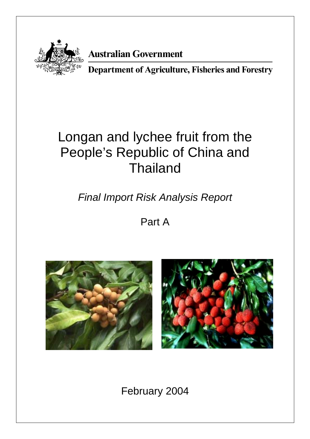

# **Australian Government**

Department of Agriculture, Fisheries and Forestry

# Longan and lychee fruit from the People's Republic of China and Thailand

*Final Import Risk Analysis Report* 

Part A





# February 2004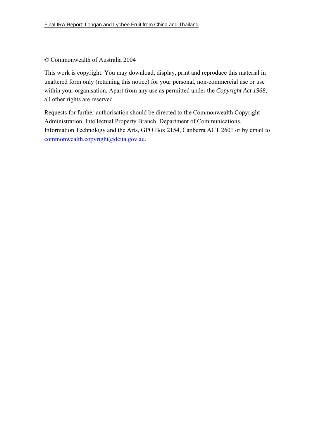#### © Commonwealth of Australia 2004

This work is copyright. You may download, display, print and reproduce this material in unaltered form only (retaining this notice) for your personal, non-commercial use or use within your organisation. Apart from any use as permitted under the *Copyright Act 1968*, all other rights are reserved.

Requests for further authorisation should be directed to the Commonwealth Copyright Administration, Intellectual Property Branch, Department of Communications, Information Technology and the Arts, GPO Box 2154, Canberra ACT 2601 or by email to commonwealth.copyright@dcita.gov.au.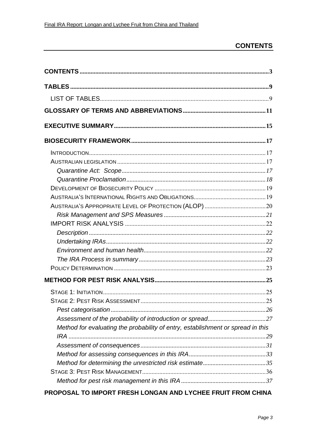# **CONTENTS**

| Method for evaluating the probability of entry, establishment or spread in this |  |
|---------------------------------------------------------------------------------|--|
|                                                                                 |  |
|                                                                                 |  |
|                                                                                 |  |
|                                                                                 |  |
|                                                                                 |  |
|                                                                                 |  |

# PROPOSAL TO IMPORT FRESH LONGAN AND LYCHEE FRUIT FROM CHINA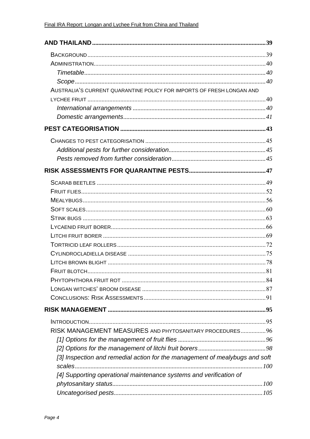| AUSTRALIA'S CURRENT QUARANTINE POLICY FOR IMPORTS OF FRESH LONGAN AND       |     |
|-----------------------------------------------------------------------------|-----|
|                                                                             |     |
|                                                                             |     |
|                                                                             |     |
|                                                                             |     |
|                                                                             |     |
|                                                                             |     |
|                                                                             |     |
|                                                                             |     |
|                                                                             |     |
|                                                                             |     |
|                                                                             |     |
|                                                                             |     |
|                                                                             |     |
|                                                                             |     |
|                                                                             |     |
|                                                                             |     |
|                                                                             |     |
|                                                                             |     |
| <b>FRUIT BLOTCH</b>                                                         | .81 |
|                                                                             |     |
|                                                                             |     |
|                                                                             |     |
|                                                                             |     |
|                                                                             |     |
| RISK MANAGEMENT MEASURES AND PHYTOSANITARY PROCEDURES 96                    |     |
|                                                                             |     |
|                                                                             |     |
| [3] Inspection and remedial action for the management of mealybugs and soft |     |
|                                                                             |     |
| [4] Supporting operational maintenance systems and verification of          |     |
|                                                                             |     |
|                                                                             |     |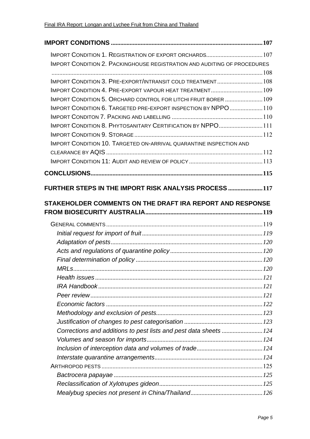| <b>IMPORT CONDITION 2. PACKINGHOUSE REGISTRATION AND AUDITING OF PROCEDURES</b> |  |
|---------------------------------------------------------------------------------|--|
|                                                                                 |  |
| IMPORT CONDITION 3. PRE-EXPORT/INTRANSIT COLD TREATMENT 108                     |  |
| IMPORT CONDITION 4. PRE-EXPORT VAPOUR HEAT TREATMENT 109                        |  |
| IMPORT CONDITION 5. ORCHARD CONTROL FOR LITCHI FRUIT BORER  109                 |  |
| IMPORT CONDITION 6. TARGETED PRE-EXPORT INSPECTION BY NPPO  110                 |  |
|                                                                                 |  |
| IMPORT CONDITION 8. PHYTOSANITARY CERTIFICATION BY NPPO 111                     |  |
|                                                                                 |  |
| <b>IMPORT CONDITION 10. TARGETED ON-ARRIVAL QUARANTINE INSPECTION AND</b>       |  |
|                                                                                 |  |
|                                                                                 |  |
|                                                                                 |  |
|                                                                                 |  |
| FURTHER STEPS IN THE IMPORT RISK ANALYSIS PROCESS117                            |  |
| STAKEHOLDER COMMENTS ON THE DRAFT IRA REPORT AND RESPONSE                       |  |
|                                                                                 |  |
|                                                                                 |  |
|                                                                                 |  |
|                                                                                 |  |
|                                                                                 |  |
|                                                                                 |  |
|                                                                                 |  |
|                                                                                 |  |
|                                                                                 |  |
|                                                                                 |  |
|                                                                                 |  |
|                                                                                 |  |
|                                                                                 |  |
| Corrections and additions to pest lists and pest data sheets124                 |  |
|                                                                                 |  |
|                                                                                 |  |
|                                                                                 |  |
|                                                                                 |  |
|                                                                                 |  |
|                                                                                 |  |
|                                                                                 |  |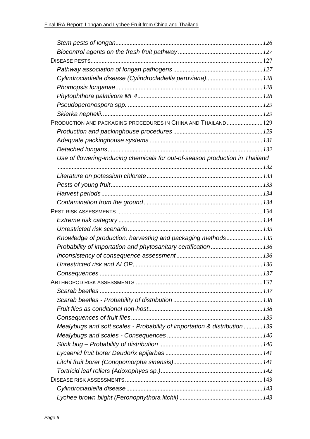| PRODUCTION AND PACKAGING PROCEDURES IN CHINA AND THAILAND 129                |  |
|------------------------------------------------------------------------------|--|
|                                                                              |  |
|                                                                              |  |
|                                                                              |  |
| Use of flowering-inducing chemicals for out-of-season production in Thailand |  |
|                                                                              |  |
|                                                                              |  |
|                                                                              |  |
|                                                                              |  |
|                                                                              |  |
|                                                                              |  |
|                                                                              |  |
|                                                                              |  |
| Knowledge of production, harvesting and packaging methods135                 |  |
| Probability of importation and phytosanitary certification136                |  |
|                                                                              |  |
|                                                                              |  |
|                                                                              |  |
|                                                                              |  |
|                                                                              |  |
|                                                                              |  |
|                                                                              |  |
|                                                                              |  |
| Mealybugs and soft scales - Probability of importation & distribution139     |  |
|                                                                              |  |
|                                                                              |  |
|                                                                              |  |
|                                                                              |  |
|                                                                              |  |
|                                                                              |  |
|                                                                              |  |
|                                                                              |  |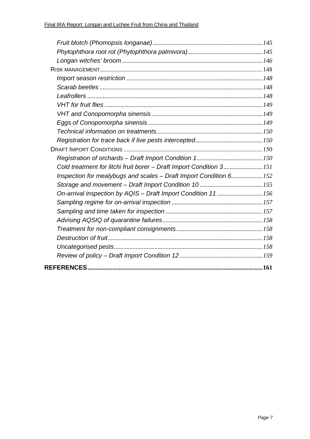| Cold treatment for litchi fruit borer - Draft Import Condition 3151 |  |
|---------------------------------------------------------------------|--|
| Inspection for mealybugs and scales - Draft Import Condition 6152   |  |
|                                                                     |  |
| On-arrival inspection by AQIS - Draft Import Condition 11156        |  |
|                                                                     |  |
|                                                                     |  |
|                                                                     |  |
|                                                                     |  |
|                                                                     |  |
|                                                                     |  |
|                                                                     |  |
|                                                                     |  |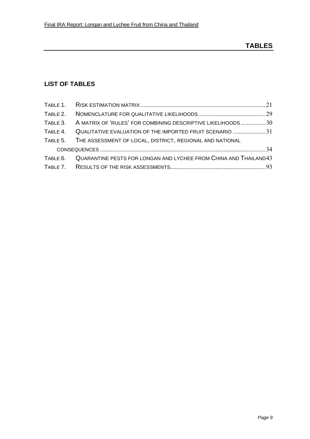# **LIST OF TABLES**

| TABLE 3. A MATRIX OF 'RULES' FOR COMBINING DESCRIPTIVE LIKELIHOODS30      |  |
|---------------------------------------------------------------------------|--|
| TABLE 4. QUALITATIVE EVALUATION OF THE IMPORTED FRUIT SCENARIO 31         |  |
| TABLE 5. THE ASSESSMENT OF LOCAL, DISTRICT, REGIONAL AND NATIONAL         |  |
|                                                                           |  |
| TABLE 6. QUARANTINE PESTS FOR LONGAN AND LYCHEE FROM CHINA AND THAILAND43 |  |
|                                                                           |  |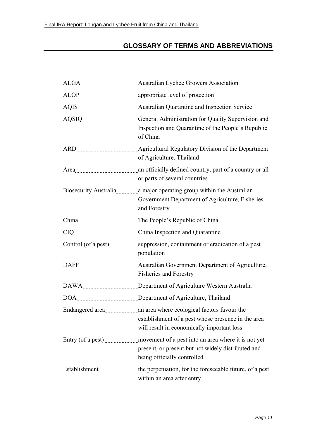# **GLOSSARY OF TERMS AND ABBREVIATIONS**

| AQIS _________________________________Australian Quarantine and Inspection Service                                                                                      |  |  |  |
|-------------------------------------------------------------------------------------------------------------------------------------------------------------------------|--|--|--|
| AQSIQ ______________________General Administration for Quality Supervision and<br>Inspection and Quarantine of the People's Republic<br>of China                        |  |  |  |
| of Agriculture, Thailand                                                                                                                                                |  |  |  |
| or parts of several countries                                                                                                                                           |  |  |  |
| Government Department of Agriculture, Fisheries<br>and Forestry                                                                                                         |  |  |  |
|                                                                                                                                                                         |  |  |  |
|                                                                                                                                                                         |  |  |  |
| population                                                                                                                                                              |  |  |  |
| <b>Fisheries and Forestry</b>                                                                                                                                           |  |  |  |
| DAWA _______________________Department of Agriculture Western Australia                                                                                                 |  |  |  |
|                                                                                                                                                                         |  |  |  |
| establishment of a pest whose presence in the area<br>will result in economically important loss                                                                        |  |  |  |
| Entry (of a pest) <u>music movement</u> of a pest into an area where it is not yet<br>present, or present but not widely distributed and<br>being officially controlled |  |  |  |
| Establishment <u>manual</u> the perpetuation, for the foreseeable future, of a pest<br>within an area after entry                                                       |  |  |  |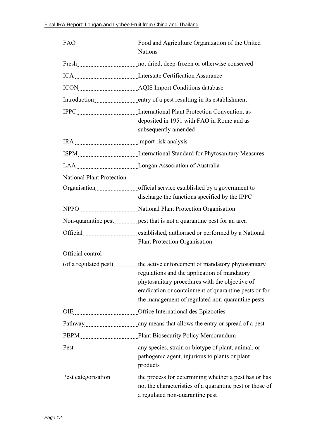|                                  | <b>Nations</b>                                                                                                                                                                                                                                                                        |  |  |
|----------------------------------|---------------------------------------------------------------------------------------------------------------------------------------------------------------------------------------------------------------------------------------------------------------------------------------|--|--|
|                                  |                                                                                                                                                                                                                                                                                       |  |  |
|                                  |                                                                                                                                                                                                                                                                                       |  |  |
|                                  |                                                                                                                                                                                                                                                                                       |  |  |
|                                  |                                                                                                                                                                                                                                                                                       |  |  |
|                                  | deposited in 1951 with FAO in Rome and as<br>subsequently amended                                                                                                                                                                                                                     |  |  |
|                                  |                                                                                                                                                                                                                                                                                       |  |  |
|                                  |                                                                                                                                                                                                                                                                                       |  |  |
|                                  |                                                                                                                                                                                                                                                                                       |  |  |
| <b>National Plant Protection</b> |                                                                                                                                                                                                                                                                                       |  |  |
|                                  | Organisation official service established by a government to<br>discharge the functions specified by the IPPC                                                                                                                                                                         |  |  |
|                                  | NPPO _________________________ National Plant Protection Organisation                                                                                                                                                                                                                 |  |  |
|                                  | Non-quarantine pest <i>manufacture pest</i> that is not a quarantine pest for an area                                                                                                                                                                                                 |  |  |
|                                  | Official <i>manufficial manufficial manufficial</i> established, authorised or performed by a National<br><b>Plant Protection Organisation</b>                                                                                                                                        |  |  |
| Official control                 |                                                                                                                                                                                                                                                                                       |  |  |
|                                  | (of a regulated pest)the active enforcement of mandatory phytosanitary<br>regulations and the application of mandatory<br>phytosanitary procedures with the objective of<br>eradication or containment of quarantine pests or for<br>the management of regulated non-quarantine pests |  |  |
|                                  |                                                                                                                                                                                                                                                                                       |  |  |
|                                  |                                                                                                                                                                                                                                                                                       |  |  |
|                                  |                                                                                                                                                                                                                                                                                       |  |  |
|                                  | pathogenic agent, injurious to plants or plant<br>products                                                                                                                                                                                                                            |  |  |
|                                  | Pest categorisation <u>the</u> process for determining whether a pest has or has<br>not the characteristics of a quarantine pest or those of<br>a regulated non-quarantine pest                                                                                                       |  |  |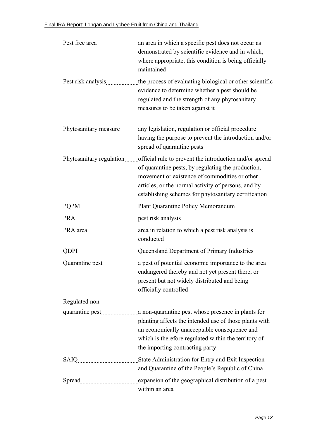#### Final IRA Report: Longan and Lychee Fruit from China and Thailand

|                | demonstrated by scientific evidence and in which,<br>where appropriate, this condition is being officially<br>maintained                                                                                                                                                                               |
|----------------|--------------------------------------------------------------------------------------------------------------------------------------------------------------------------------------------------------------------------------------------------------------------------------------------------------|
|                | Pest risk analysis the process of evaluating biological or other scientific<br>evidence to determine whether a pest should be<br>regulated and the strength of any phytosanitary<br>measures to be taken against it                                                                                    |
|                | Phytosanitary measure many legislation, regulation or official procedure<br>having the purpose to prevent the introduction and/or<br>spread of quarantine pests                                                                                                                                        |
|                | Phytosanitary regulation official rule to prevent the introduction and/or spread<br>of quarantine pests, by regulating the production,<br>movement or existence of commodities or other<br>articles, or the normal activity of persons, and by<br>establishing schemes for phytosanitary certification |
|                | PQPM __________________________Plant Quarantine Policy Memorandum                                                                                                                                                                                                                                      |
|                |                                                                                                                                                                                                                                                                                                        |
|                | conducted                                                                                                                                                                                                                                                                                              |
|                | QDPI _________________________Queensland Department of Primary Industries                                                                                                                                                                                                                              |
|                | Quarantine pest <i>manufacture asset</i> of potential economic importance to the area<br>endangered thereby and not yet present there, or<br>present but not widely distributed and being<br>officially controlled                                                                                     |
| Regulated non- |                                                                                                                                                                                                                                                                                                        |
|                | quarantine pest <u>measure a</u> non-quarantine pest whose presence in plants for<br>planting affects the intended use of those plants with<br>an economically unacceptable consequence and<br>which is therefore regulated within the territory of<br>the importing contracting party                 |
|                | SAIQ_____________________________State Administration for Entry and Exit Inspection<br>and Quarantine of the People's Republic of China                                                                                                                                                                |
|                | Spread <u>manual expansion</u> of the geographical distribution of a pest<br>within an area                                                                                                                                                                                                            |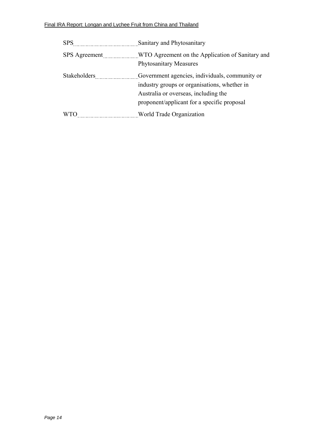#### Final IRA Report: Longan and Lychee Fruit from China and Thailand

| <b>SPS</b>          | Sanitary and Phytosanitary                                                                                                                                                            |  |  |  |
|---------------------|---------------------------------------------------------------------------------------------------------------------------------------------------------------------------------------|--|--|--|
| SPS Agreement       | WTO Agreement on the Application of Sanitary and<br><b>Phytosanitary Measures</b>                                                                                                     |  |  |  |
| <b>Stakeholders</b> | Government agencies, individuals, community or<br>industry groups or organisations, whether in<br>Australia or overseas, including the<br>proponent/applicant for a specific proposal |  |  |  |
| <b>WTO</b>          | World Trade Organization                                                                                                                                                              |  |  |  |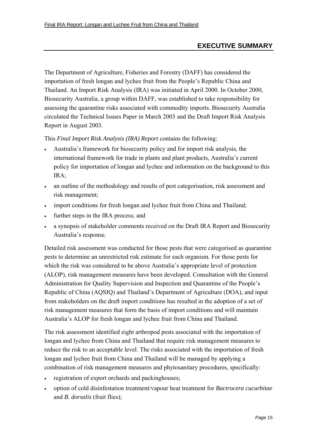The Department of Agriculture, Fisheries and Forestry (DAFF) has considered the importation of fresh longan and lychee fruit from the People's Republic China and Thailand. An Import Risk Analysis (IRA) was initiated in April 2000. In October 2000, Biosecurity Australia, a group within DAFF, was established to take responsibility for assessing the quarantine risks associated with commodity imports. Biosecurity Australia circulated the Technical Issues Paper in March 2003 and the Draft Import Risk Analysis Report in August 2003.

This *Final Import Risk Analysis (IRA) Report* contains the following:

- Australia's framework for biosecurity policy and for import risk analysis, the international framework for trade in plants and plant products, Australia's current policy for importation of longan and lychee and information on the background to this  $IRA$
- an outline of the methodology and results of pest categorisation, risk assessment and risk management;
- import conditions for fresh longan and lychee fruit from China and Thailand;
- further steps in the IRA process; and
- a synopsis of stakeholder comments received on the Draft IRA Report and Biosecurity Australia's response.

Detailed risk assessment was conducted for those pests that were categorised as quarantine pests to determine an unrestricted risk estimate for each organism. For those pests for which the risk was considered to be above Australia's appropriate level of protection (ALOP), risk management measures have been developed. Consultation with the General Administration for Quality Supervision and Inspection and Quarantine of the People's Republic of China (AQSIQ) and Thailand's Department of Agriculture (DOA), and input from stakeholders on the draft import conditions has resulted in the adoption of a set of risk management measures that form the basis of import conditions and will maintain Australia's ALOP for fresh longan and lychee fruit from China and Thailand.

The risk assessment identified eight arthropod pests associated with the importation of longan and lychee from China and Thailand that require risk management measures to reduce the risk to an acceptable level. The risks associated with the importation of fresh longan and lychee fruit from China and Thailand will be managed by applying a combination of risk management measures and phytosanitary procedures, specifically:

- registration of export orchards and packinghouses;
- option of cold disinfestation treatment/vapour heat treatment for *Bactrocera cucurbitae*  and *B. dorsalis* (fruit flies);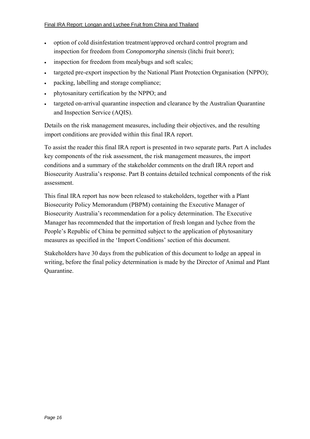- option of cold disinfestation treatment/approved orchard control program and inspection for freedom from *Conopomorpha sinensis* (litchi fruit borer);
- inspection for freedom from mealybugs and soft scales;
- targeted pre-export inspection by the National Plant Protection Organisation (NPPO);
- packing, labelling and storage compliance;
- phytosanitary certification by the NPPO; and
- targeted on-arrival quarantine inspection and clearance by the Australian Quarantine and Inspection Service (AQIS).

Details on the risk management measures, including their objectives, and the resulting import conditions are provided within this final IRA report.

To assist the reader this final IRA report is presented in two separate parts. Part A includes key components of the risk assessment, the risk management measures, the import conditions and a summary of the stakeholder comments on the draft IRA report and Biosecurity Australia's response. Part B contains detailed technical components of the risk assessment.

This final IRA report has now been released to stakeholders, together with a Plant Biosecurity Policy Memorandum (PBPM) containing the Executive Manager of Biosecurity Australia's recommendation for a policy determination. The Executive Manager has recommended that the importation of fresh longan and lychee from the People's Republic of China be permitted subject to the application of phytosanitary measures as specified in the 'Import Conditions' section of this document.

Stakeholders have 30 days from the publication of this document to lodge an appeal in writing, before the final policy determination is made by the Director of Animal and Plant Quarantine.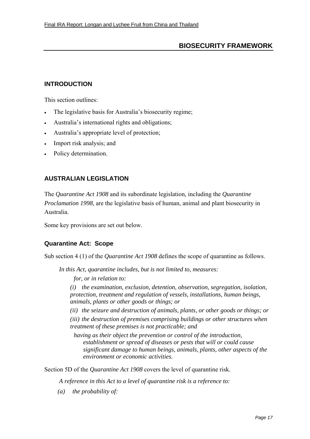# **BIOSECURITY FRAMEWORK**

#### **INTRODUCTION**

This section outlines:

- The legislative basis for Australia's biosecurity regime;
- Australia's international rights and obligations;
- Australia's appropriate level of protection;
- Import risk analysis; and
- Policy determination.

#### **AUSTRALIAN LEGISLATION**

The *Quarantine Act 1908* and its subordinate legislation, including the *Quarantine Proclamation 1998*, are the legislative basis of human, animal and plant biosecurity in Australia.

Some key provisions are set out below.

#### **Quarantine Act: Scope**

Sub section 4 (1) of the *Quarantine Act 1908* defines the scope of quarantine as follows.

*In this Act, quarantine includes, but is not limited to, measures:* 

*for, or in relation to:* 

*(i) the examination, exclusion, detention, observation, segregation, isolation, protection, treatment and regulation of vessels, installations, human beings, animals, plants or other goods or things; or* 

*(ii) the seizure and destruction of animals, plants, or other goods or things; or* 

*(iii) the destruction of premises comprising buildings or other structures when treatment of these premises is not practicable; and* 

*having as their object the prevention or control of the introduction, establishment or spread of diseases or pests that will or could cause significant damage to human beings, animals, plants, other aspects of the environment or economic activities.* 

Section 5D of the *Quarantine Act 1908* covers the level of quarantine risk.

*A reference in this Act to a level of quarantine risk is a reference to:* 

*(a) the probability of:*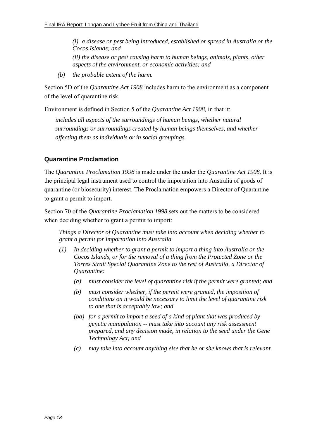*(i) a disease or pest being introduced, established or spread in Australia or the Cocos Islands; and (ii) the disease or pest causing harm to human beings, animals, plants, other aspects of the environment, or economic activities; and* 

*(b) the probable extent of the harm.* 

Section 5D of the *Quarantine Act 1908* includes harm to the environment as a component of the level of quarantine risk.

Environment is defined in Section 5 of the *Quarantine Act 1908,* in that it:

*includes all aspects of the surroundings of human beings, whether natural surroundings or surroundings created by human beings themselves, and whether affecting them as individuals or in social groupings.* 

#### **Quarantine Proclamation**

The *Quarantine Proclamation 1998* is made under the under the *Quarantine Act 1908*. It is the principal legal instrument used to control the importation into Australia of goods of quarantine (or biosecurity) interest. The Proclamation empowers a Director of Quarantine to grant a permit to import.

Section 70 of the *Quarantine Proclamation 1998* sets out the matters to be considered when deciding whether to grant a permit to import:

*Things a Director of Quarantine must take into account when deciding whether to grant a permit for importation into Australia* 

- *(1) In deciding whether to grant a permit to import a thing into Australia or the Cocos Islands, or for the removal of a thing from the Protected Zone or the Torres Strait Special Quarantine Zone to the rest of Australia, a Director of Quarantine:* 
	- *(a) must consider the level of quarantine risk if the permit were granted; and*
	- *(b) must consider whether, if the permit were granted, the imposition of conditions on it would be necessary to limit the level of quarantine risk to one that is acceptably low; and*
	- *(ba) for a permit to import a seed of a kind of plant that was produced by genetic manipulation -- must take into account any risk assessment prepared, and any decision made, in relation to the seed under the Gene Technology Act; and*
	- *(c) may take into account anything else that he or she knows that is relevant.*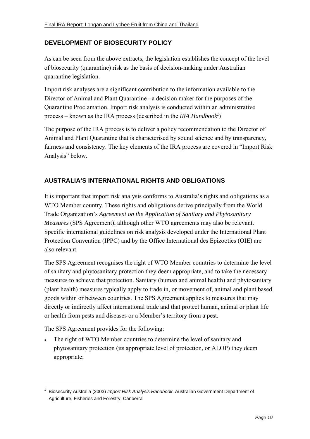# **DEVELOPMENT OF BIOSECURITY POLICY**

As can be seen from the above extracts, the legislation establishes the concept of the level of biosecurity (quarantine) risk as the basis of decision-making under Australian quarantine legislation.

Import risk analyses are a significant contribution to the information available to the Director of Animal and Plant Quarantine - a decision maker for the purposes of the Quarantine Proclamation. Import risk analysis is conducted within an administrative process – known as the IRA process (described in the *IRA Handbook<sup>1</sup>*)

The purpose of the IRA process is to deliver a policy recommendation to the Director of Animal and Plant Quarantine that is characterised by sound science and by transparency, fairness and consistency. The key elements of the IRA process are covered in "Import Risk" Analysis" below.

# **AUSTRALIA'S INTERNATIONAL RIGHTS AND OBLIGATIONS**

It is important that import risk analysis conforms to Australia's rights and obligations as a WTO Member country. These rights and obligations derive principally from the World Trade Organizationís *Agreement on the Application of Sanitary and Phytosanitary Measures* (SPS Agreement), although other WTO agreements may also be relevant. Specific international guidelines on risk analysis developed under the International Plant Protection Convention (IPPC) and by the Office International des Epizooties (OIE) are also relevant.

The SPS Agreement recognises the right of WTO Member countries to determine the level of sanitary and phytosanitary protection they deem appropriate, and to take the necessary measures to achieve that protection. Sanitary (human and animal health) and phytosanitary (plant health) measures typically apply to trade in, or movement of, animal and plant based goods within or between countries. The SPS Agreement applies to measures that may directly or indirectly affect international trade and that protect human, animal or plant life or health from pests and diseases or a Member's territory from a pest.

The SPS Agreement provides for the following:

 $\overline{a}$ 

• The right of WTO Member countries to determine the level of sanitary and phytosanitary protection (its appropriate level of protection, or ALOP) they deem appropriate;

<sup>1</sup> Biosecurity Australia (2003) *Import Risk Analysis Handbook*. Australian Government Department of Agriculture, Fisheries and Forestry, Canberra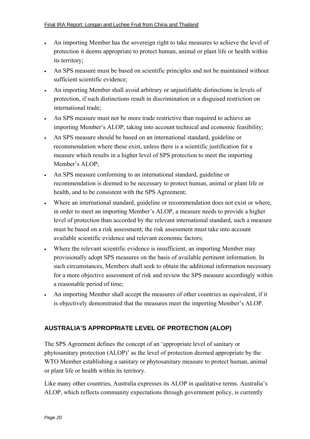- An importing Member has the sovereign right to take measures to achieve the level of protection it deems appropriate to protect human, animal or plant life or health within its territory;
- An SPS measure must be based on scientific principles and not be maintained without sufficient scientific evidence;
- An importing Member shall avoid arbitrary or unjustifiable distinctions in levels of protection, if such distinctions result in discrimination or a disguised restriction on international trade;
- An SPS measure must not be more trade restrictive than required to achieve an importing Member's ALOP, taking into account technical and economic feasibility;
- An SPS measure should be based on an international standard, guideline or recommendation where these exist, unless there is a scientific justification for a measure which results in a higher level of SPS protection to meet the importing Member's ALOP:
- An SPS measure conforming to an international standard, guideline or recommendation is deemed to be necessary to protect human, animal or plant life or health, and to be consistent with the SPS Agreement;
- Where an international standard, guideline or recommendation does not exist or where, in order to meet an importing Member's ALOP, a measure needs to provide a higher level of protection than accorded by the relevant international standard, such a measure must be based on a risk assessment; the risk assessment must take into account available scientific evidence and relevant economic factors;
- Where the relevant scientific evidence is insufficient, an importing Member may provisionally adopt SPS measures on the basis of available pertinent information. In such circumstances, Members shall seek to obtain the additional information necessary for a more objective assessment of risk and review the SPS measure accordingly within a reasonable period of time;
- An importing Member shall accept the measures of other countries as equivalent, if it is objectively demonstrated that the measures meet the importing Member's ALOP.

# **AUSTRALIA'S APPROPRIATE LEVEL OF PROTECTION (ALOP)**

The SPS Agreement defines the concept of an ëappropriate level of sanitary or phytosanitary protection (ALOP)<sup> $\cdot$ </sup> as the level of protection deemed appropriate by the WTO Member establishing a sanitary or phytosanitary measure to protect human, animal or plant life or health within its territory.

Like many other countries, Australia expresses its ALOP in qualitative terms. Australia's ALOP, which reflects community expectations through government policy, is currently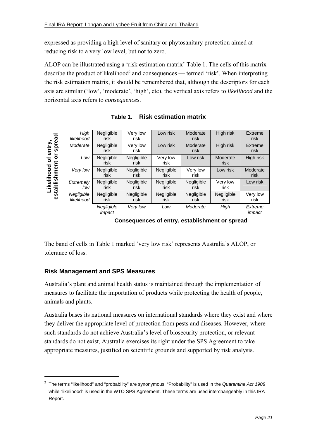expressed as providing a high level of sanitary or phytosanitary protection aimed at reducing risk to a very low level, but not to zero.

ALOP can be illustrated using a 'risk estimation matrix' Table 1. The cells of this matrix describe the product of likelihood<sup>2</sup> and consequences — termed 'risk'. When interpreting the risk estimation matrix, it should be remembered that, although the descriptors for each axis are similar ('low', 'moderate', 'high', etc), the vertical axis refers to *likelihood* and the horizontal axis refers to *consequences*.



**Table 1. Risk estimation matrix** 

**Consequences of entry, establishment or spread**

The band of cells in Table 1 marked 'very low risk' represents Australia's ALOP, or tolerance of loss.

# **Risk Management and SPS Measures**

 $\overline{a}$ 

Australia's plant and animal health status is maintained through the implementation of measures to facilitate the importation of products while protecting the health of people, animals and plants.

Australia bases its national measures on international standards where they exist and where they deliver the appropriate level of protection from pests and diseases. However, where such standards do not achieve Australia's level of biosecurity protection, or relevant standards do not exist, Australia exercises its right under the SPS Agreement to take appropriate measures, justified on scientific grounds and supported by risk analysis.

<sup>2</sup> The terms "likelihood" and "probability" are synonymous. "Probability" is used in the *Quarantine Act 1908* while "likelihood" is used in the WTO SPS Agreement. These terms are used interchangeably in this IRA Report.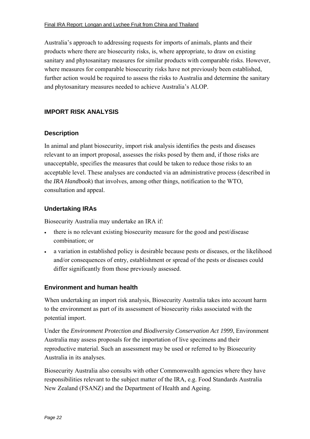Australia's approach to addressing requests for imports of animals, plants and their products where there are biosecurity risks, is, where appropriate, to draw on existing sanitary and phytosanitary measures for similar products with comparable risks. However, where measures for comparable biosecurity risks have not previously been established, further action would be required to assess the risks to Australia and determine the sanitary and phytosanitary measures needed to achieve Australia's ALOP.

# **IMPORT RISK ANALYSIS**

# **Description**

In animal and plant biosecurity, import risk analysis identifies the pests and diseases relevant to an import proposal, assesses the risks posed by them and, if those risks are unacceptable, specifies the measures that could be taken to reduce those risks to an acceptable level. These analyses are conducted via an administrative process (described in the *IRA Handbook*) that involves, among other things, notification to the WTO, consultation and appeal.

# **Undertaking IRAs**

Biosecurity Australia may undertake an IRA if:

- there is no relevant existing biosecurity measure for the good and pest/disease combination; or
- a variation in established policy is desirable because pests or diseases, or the likelihood and/or consequences of entry, establishment or spread of the pests or diseases could differ significantly from those previously assessed.

# **Environment and human health**

When undertaking an import risk analysis, Biosecurity Australia takes into account harm to the environment as part of its assessment of biosecurity risks associated with the potential import.

Under the *Environment Protection and Biodiversity Conservation Act 1999*, Environment Australia may assess proposals for the importation of live specimens and their reproductive material. Such an assessment may be used or referred to by Biosecurity Australia in its analyses.

Biosecurity Australia also consults with other Commonwealth agencies where they have responsibilities relevant to the subject matter of the IRA, e.g. Food Standards Australia New Zealand (FSANZ) and the Department of Health and Ageing.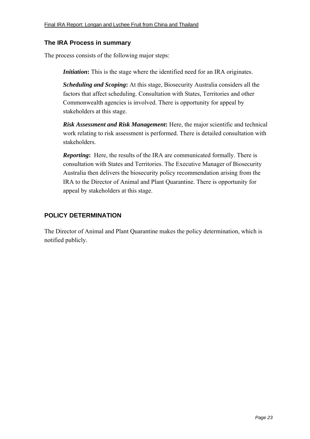# **The IRA Process in summary**

The process consists of the following major steps:

*Initiation*: This is the stage where the identified need for an IRA originates.

*Scheduling and Scoping***:** At this stage, Biosecurity Australia considers all the factors that affect scheduling. Consultation with States, Territories and other Commonwealth agencies is involved. There is opportunity for appeal by stakeholders at this stage.

*Risk Assessment and Risk Management***:** Here, the major scientific and technical work relating to risk assessment is performed. There is detailed consultation with stakeholders.

*Reporting***:** Here, the results of the IRA are communicated formally. There is consultation with States and Territories. The Executive Manager of Biosecurity Australia then delivers the biosecurity policy recommendation arising from the IRA to the Director of Animal and Plant Quarantine. There is opportunity for appeal by stakeholders at this stage.

# **POLICY DETERMINATION**

The Director of Animal and Plant Quarantine makes the policy determination, which is notified publicly.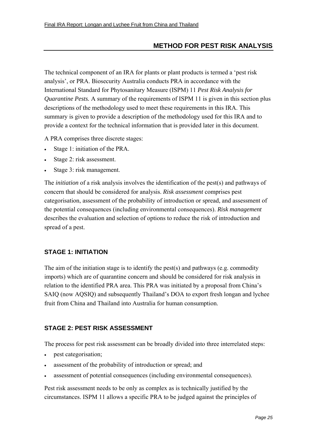# **METHOD FOR PEST RISK ANALYSIS**

The technical component of an IRA for plants or plant products is termed a 'pest risk analysis', or PRA. Biosecurity Australia conducts PRA in accordance with the International Standard for Phytosanitary Measure (ISPM) 11 *Pest Risk Analysis for Quarantine Pests.* A summary of the requirements of ISPM 11 is given in this section plus descriptions of the methodology used to meet these requirements in this IRA. This summary is given to provide a description of the methodology used for this IRA and to provide a context for the technical information that is provided later in this document.

A PRA comprises three discrete stages:

- Stage 1: initiation of the PRA.
- Stage 2: risk assessment.
- Stage 3: risk management.

The *initiation* of a risk analysis involves the identification of the pest(s) and pathways of concern that should be considered for analysis. *Risk assessment* comprises pest categorisation, assessment of the probability of introduction or spread, and assessment of the potential consequences (including environmental consequences). *Risk management* describes the evaluation and selection of options to reduce the risk of introduction and spread of a pest.

#### **STAGE 1: INITIATION**

The aim of the initiation stage is to identify the pest(s) and pathways (e.g. commodity imports) which are of quarantine concern and should be considered for risk analysis in relation to the identified PRA area. This PRA was initiated by a proposal from China's SAIQ (now AQSIQ) and subsequently Thailand's DOA to export fresh longan and lychee fruit from China and Thailand into Australia for human consumption.

#### **STAGE 2: PEST RISK ASSESSMENT**

The process for pest risk assessment can be broadly divided into three interrelated steps:

- pest categorisation;
- assessment of the probability of introduction or spread; and
- assessment of potential consequences (including environmental consequences).

Pest risk assessment needs to be only as complex as is technically justified by the circumstances. ISPM 11 allows a specific PRA to be judged against the principles of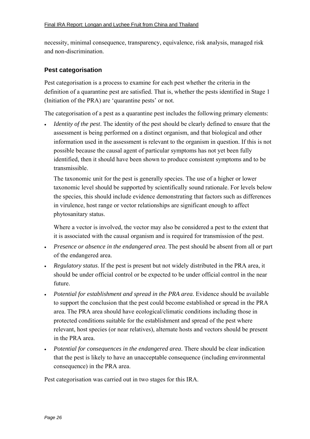necessity, minimal consequence, transparency, equivalence, risk analysis, managed risk and non-discrimination.

#### **Pest categorisation**

Pest categorisation is a process to examine for each pest whether the criteria in the definition of a quarantine pest are satisfied. That is, whether the pests identified in Stage 1 (Initiation of the PRA) are 'quarantine pests' or not.

The categorisation of a pest as a quarantine pest includes the following primary elements:

• *Identity of the pest*. The identity of the pest should be clearly defined to ensure that the assessment is being performed on a distinct organism, and that biological and other information used in the assessment is relevant to the organism in question. If this is not possible because the causal agent of particular symptoms has not yet been fully identified, then it should have been shown to produce consistent symptoms and to be transmissible.

The taxonomic unit for the pest is generally species. The use of a higher or lower taxonomic level should be supported by scientifically sound rationale. For levels below the species, this should include evidence demonstrating that factors such as differences in virulence, host range or vector relationships are significant enough to affect phytosanitary status.

Where a vector is involved, the vector may also be considered a pest to the extent that it is associated with the causal organism and is required for transmission of the pest.

- *Presence or absence in the endangered area*. The pest should be absent from all or part of the endangered area.
- *Regulatory status*. If the pest is present but not widely distributed in the PRA area, it should be under official control or be expected to be under official control in the near future.
- *Potential for establishment and spread in the PRA area*. Evidence should be available to support the conclusion that the pest could become established or spread in the PRA area. The PRA area should have ecological/climatic conditions including those in protected conditions suitable for the establishment and spread of the pest where relevant, host species (or near relatives), alternate hosts and vectors should be present in the PRA area.
- *Potential for consequences in the endangered area*. There should be clear indication that the pest is likely to have an unacceptable consequence (including environmental consequence) in the PRA area.

Pest categorisation was carried out in two stages for this IRA.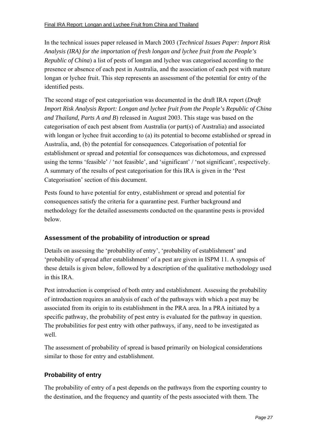In the technical issues paper released in March 2003 (*Technical Issues Paper: Import Risk Analysis (IRA) for the importation of fresh longan and lychee fruit from the People's Republic of China*) a list of pests of longan and lychee was categorised according to the presence or absence of each pest in Australia, and the association of each pest with mature longan or lychee fruit. This step represents an assessment of the potential for entry of the identified pests.

The second stage of pest categorisation was documented in the draft IRA report (*Draft Import Risk Analysis Report: Longan and lychee fruit from the People's Republic of China and Thailand, Parts A and B*) released in August 2003. This stage was based on the categorisation of each pest absent from Australia (or part(s) of Australia) and associated with longan or lychee fruit according to (a) its potential to become established or spread in Australia, and, (b) the potential for consequences. Categorisation of potential for establishment or spread and potential for consequences was dichotomous, and expressed using the terms 'feasible' / 'not feasible', and 'significant' / 'not significant', respectively. A summary of the results of pest categorisation for this IRA is given in the 'Pest Categorisation' section of this document.

Pests found to have potential for entry, establishment or spread and potential for consequences satisfy the criteria for a quarantine pest. Further background and methodology for the detailed assessments conducted on the quarantine pests is provided below.

# **Assessment of the probability of introduction or spread**

Details on assessing the 'probability of entry', 'probability of establishment' and 'probability of spread after establishment' of a pest are given in ISPM 11. A synopsis of these details is given below, followed by a description of the qualitative methodology used in this IRA

Pest introduction is comprised of both entry and establishment. Assessing the probability of introduction requires an analysis of each of the pathways with which a pest may be associated from its origin to its establishment in the PRA area. In a PRA initiated by a specific pathway, the probability of pest entry is evaluated for the pathway in question. The probabilities for pest entry with other pathways, if any, need to be investigated as well.

The assessment of probability of spread is based primarily on biological considerations similar to those for entry and establishment.

# **Probability of entry**

The probability of entry of a pest depends on the pathways from the exporting country to the destination, and the frequency and quantity of the pests associated with them. The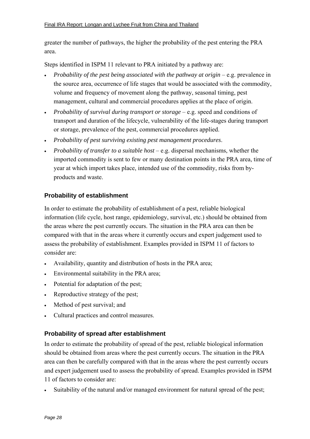greater the number of pathways, the higher the probability of the pest entering the PRA area.

Steps identified in ISPM 11 relevant to PRA initiated by a pathway are:

- *Probability of the pest being associated with the pathway at origin* e.g. prevalence in the source area, occurrence of life stages that would be associated with the commodity, volume and frequency of movement along the pathway, seasonal timing, pest management, cultural and commercial procedures applies at the place of origin.
- *Probability of survival during transport or storage*  $-e.g.$  speed and conditions of transport and duration of the lifecycle, vulnerability of the life-stages during transport or storage, prevalence of the pest, commercial procedures applied.
- *Probability of pest surviving existing pest management procedures*.
- *Probability of transfer to a suitable host*  $-e.g.$  dispersal mechanisms, whether the imported commodity is sent to few or many destination points in the PRA area, time of year at which import takes place, intended use of the commodity, risks from byproducts and waste.

#### **Probability of establishment**

In order to estimate the probability of establishment of a pest, reliable biological information (life cycle, host range, epidemiology, survival, etc.) should be obtained from the areas where the pest currently occurs. The situation in the PRA area can then be compared with that in the areas where it currently occurs and expert judgement used to assess the probability of establishment. Examples provided in ISPM 11 of factors to consider are:

- Availability, quantity and distribution of hosts in the PRA area;
- Environmental suitability in the PRA area;
- Potential for adaptation of the pest;
- Reproductive strategy of the pest;
- Method of pest survival; and
- Cultural practices and control measures.

#### **Probability of spread after establishment**

In order to estimate the probability of spread of the pest, reliable biological information should be obtained from areas where the pest currently occurs. The situation in the PRA area can then be carefully compared with that in the areas where the pest currently occurs and expert judgement used to assess the probability of spread. Examples provided in ISPM 11 of factors to consider are:

• Suitability of the natural and/or managed environment for natural spread of the pest;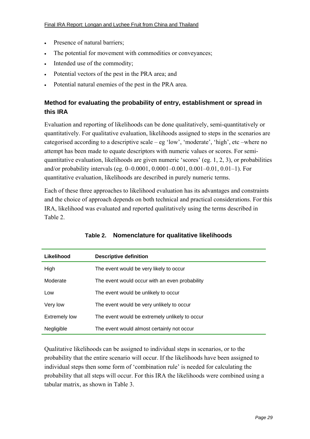- Presence of natural barriers;
- The potential for movement with commodities or conveyances;
- Intended use of the commodity;
- Potential vectors of the pest in the PRA area; and
- Potential natural enemies of the pest in the PRA area.

# **Method for evaluating the probability of entry, establishment or spread in this IRA**

Evaluation and reporting of likelihoods can be done qualitatively, semi-quantitatively or quantitatively. For qualitative evaluation, likelihoods assigned to steps in the scenarios are categorised according to a descriptive scale  $-$  eg 'low', 'moderate', 'high', etc  $-$ where no attempt has been made to equate descriptors with numeric values or scores. For semiquantitative evaluation, likelihoods are given numeric 'scores' (eg.  $1, 2, 3$ ), or probabilities and/or probability intervals (eg. 0–0.0001, 0.0001–0.001, 0.001–0.01, 0.01–1). For quantitative evaluation, likelihoods are described in purely numeric terms.

Each of these three approaches to likelihood evaluation has its advantages and constraints and the choice of approach depends on both technical and practical considerations. For this IRA, likelihood was evaluated and reported qualitatively using the terms described in Table 2.

| Likelihood           | <b>Descriptive definition</b>                  |
|----------------------|------------------------------------------------|
| High                 | The event would be very likely to occur        |
| Moderate             | The event would occur with an even probability |
| Low                  | The event would be unlikely to occur           |
| Very low             | The event would be very unlikely to occur      |
| <b>Extremely low</b> | The event would be extremely unlikely to occur |
| Negligible           | The event would almost certainly not occur     |

#### **Table 2. Nomenclature for qualitative likelihoods**

Qualitative likelihoods can be assigned to individual steps in scenarios, or to the probability that the entire scenario will occur. If the likelihoods have been assigned to individual steps then some form of 'combination rule' is needed for calculating the probability that all steps will occur. For this IRA the likelihoods were combined using a tabular matrix, as shown in Table 3.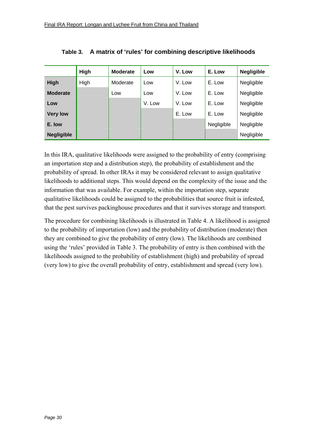|                   | High | <b>Moderate</b> | Low    | V. Low | E. Low     | <b>Negligible</b> |
|-------------------|------|-----------------|--------|--------|------------|-------------------|
| <b>High</b>       | High | Moderate        | Low    | V. Low | E. Low     | Negligible        |
| <b>Moderate</b>   |      | Low             | Low    | V. Low | E. Low     | Negligible        |
| Low               |      |                 | V. Low | V. Low | E. Low     | Negligible        |
| <b>Very low</b>   |      |                 |        | E. Low | E. Low     | Negligible        |
| E. low            |      |                 |        |        | Negligible | Negligible        |
| <b>Negligible</b> |      |                 |        |        |            | Negligible        |

**Table 3. A matrix of 'rules' for combining descriptive likelihoods** 

In this IRA, qualitative likelihoods were assigned to the probability of entry (comprising an importation step and a distribution step), the probability of establishment and the probability of spread. In other IRAs it may be considered relevant to assign qualitative likelihoods to additional steps. This would depend on the complexity of the issue and the information that was available. For example, within the importation step, separate qualitative likelihoods could be assigned to the probabilities that source fruit is infested, that the pest survives packinghouse procedures and that it survives storage and transport.

The procedure for combining likelihoods is illustrated in Table 4. A likelihood is assigned to the probability of importation (low) and the probability of distribution (moderate) then they are combined to give the probability of entry (low). The likelihoods are combined using the 'rules' provided in Table 3. The probability of entry is then combined with the likelihoods assigned to the probability of establishment (high) and probability of spread (very low) to give the overall probability of entry, establishment and spread (very low).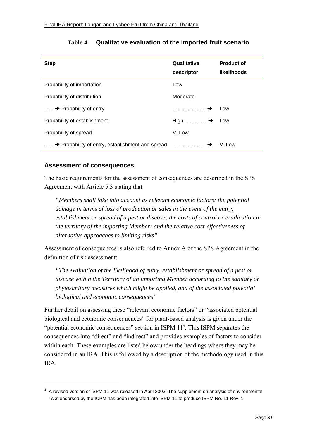| <b>Step</b>                                                  | Qualitative<br>descriptor | <b>Product of</b><br>likelihoods |
|--------------------------------------------------------------|---------------------------|----------------------------------|
| Probability of importation                                   | Low                       |                                  |
| Probability of distribution                                  | Moderate                  |                                  |
| $\ldots$ $\rightarrow$ Probability of entry                  | ……………………    →             | Low                              |
| Probability of establishment                                 | High $\rightarrow$ Low    |                                  |
| Probability of spread                                        | V. Low                    |                                  |
| $\rightarrow$ Probability of entry, establishment and spread | →                         | V. Low                           |

#### Table 4. Qualitative evaluation of the imported fruit scenario

#### **Assessment of consequences**

The basic requirements for the assessment of consequences are described in the SPS Agreement with Article 5.3 stating that

"Members shall take into account as relevant economic factors: the potential damage in terms of loss of production or sales in the event of the entry, establishment or spread of a pest or disease; the costs of control or eradication in the territory of the importing Member; and the relative cost-effectiveness of alternative approaches to limiting risks"

Assessment of consequences is also referred to Annex A of the SPS Agreement in the definition of risk assessment:

"The evaluation of the likelihood of entry, establishment or spread of a pest or disease within the Territory of an importing Member according to the sanitary or phytosanitary measures which might be applied, and of the associated potential biological and economic consequences"

Further detail on assessing these "relevant economic factors" or "associated potential biological and economic consequences" for plant-based analysis is given under the "potential economic consequences" section in ISPM 11<sup>3</sup>. This ISPM separates the consequences into "direct" and "indirect" and provides examples of factors to consider within each. These examples are listed below under the headings where they may be considered in an IRA. This is followed by a description of the methodology used in this  $IRA$ 

<sup>&</sup>lt;sup>3</sup> A revised version of ISPM 11 was released in April 2003. The supplement on analysis of environmental risks endorsed by the ICPM has been integrated into ISPM 11 to produce ISPM No. 11 Rev. 1.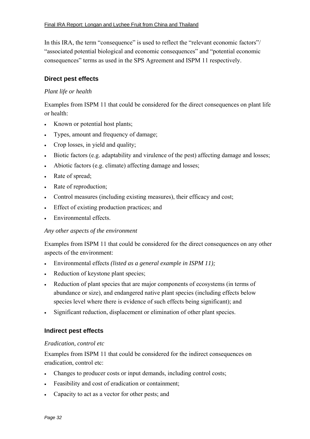In this IRA, the term "consequence" is used to reflect the "relevant economic factors"/ "associated potential biological and economic consequences" and "potential economic consequences" terms as used in the SPS Agreement and ISPM 11 respectively.

#### **Direct pest effects**

#### *Plant life or health*

Examples from ISPM 11 that could be considered for the direct consequences on plant life or health:

- Known or potential host plants;
- Types, amount and frequency of damage;
- Crop losses, in yield and quality;
- Biotic factors (e.g. adaptability and virulence of the pest) affecting damage and losses;
- Abiotic factors (e.g. climate) affecting damage and losses;
- Rate of spread;
- Rate of reproduction;
- Control measures (including existing measures), their efficacy and cost;
- Effect of existing production practices; and
- Environmental effects.

#### *Any other aspects of the environment*

Examples from ISPM 11 that could be considered for the direct consequences on any other aspects of the environment:

- Environmental effects *(listed as a general example in ISPM 11);*
- Reduction of keystone plant species;
- Reduction of plant species that are major components of ecosystems (in terms of abundance or size), and endangered native plant species (including effects below species level where there is evidence of such effects being significant); and
- Significant reduction, displacement or elimination of other plant species.

#### **Indirect pest effects**

#### *Eradication, control etc*

Examples from ISPM 11 that could be considered for the indirect consequences on eradication, control etc:

- Changes to producer costs or input demands, including control costs;
- Feasibility and cost of eradication or containment;
- Capacity to act as a vector for other pests; and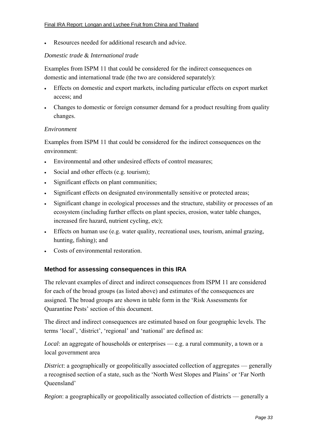• Resources needed for additional research and advice.

#### *Domestic trade* & *International trade*

Examples from ISPM 11 that could be considered for the indirect consequences on domestic and international trade (the two are considered separately):

- Effects on domestic and export markets, including particular effects on export market access; and
- Changes to domestic or foreign consumer demand for a product resulting from quality changes.

#### *Environment*

Examples from ISPM 11 that could be considered for the indirect consequences on the environment:

- Environmental and other undesired effects of control measures;
- Social and other effects (e.g. tourism);
- Significant effects on plant communities;
- Significant effects on designated environmentally sensitive or protected areas;
- Significant change in ecological processes and the structure, stability or processes of an ecosystem (including further effects on plant species, erosion, water table changes, increased fire hazard, nutrient cycling, etc);
- Effects on human use (e.g. water quality, recreational uses, tourism, animal grazing, hunting, fishing); and
- Costs of environmental restoration.

# **Method for assessing consequences in this IRA**

The relevant examples of direct and indirect consequences from ISPM 11 are considered for each of the broad groups (as listed above) and estimates of the consequences are assigned. The broad groups are shown in table form in the ëRisk Assessments for Quarantine Pests' section of this document.

The direct and indirect consequences are estimated based on four geographic levels. The terms 'local', 'district', 'regional' and 'national' are defined as:

*Local*: an aggregate of households or enterprises — e.g. a rural community, a town or a local government area

*District*: a geographically or geopolitically associated collection of aggregates — generally a recognised section of a state, such as the 'North West Slopes and Plains' or 'Far North Oueensland'

*Region*: a geographically or geopolitically associated collection of districts — generally a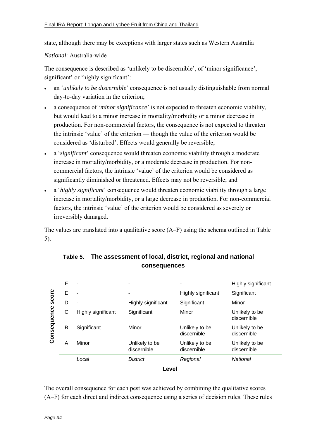state, although there may be exceptions with larger states such as Western Australia

#### *National*: Australia-wide

The consequence is described as 'unlikely to be discernible', of 'minor significance', significant' or 'highly significant':

- an '*unlikely to be discernible*' consequence is not usually distinguishable from normal day-to-day variation in the criterion;
- a consequence of *'minor significance'* is not expected to threaten economic viability, but would lead to a minor increase in mortality/morbidity or a minor decrease in production. For non-commercial factors, the consequence is not expected to threaten the intrinsic 'value' of the criterion — though the value of the criterion would be considered as 'disturbed'. Effects would generally be reversible;
- a 'significant' consequence would threaten economic viability through a moderate increase in mortality/morbidity, or a moderate decrease in production. For noncommercial factors, the intrinsic 'value' of the criterion would be considered as significantly diminished or threatened. Effects may not be reversible; and
- a *'highly significant'* consequence would threaten economic viability through a large increase in mortality/morbidity, or a large decrease in production. For non-commercial factors, the intrinsic 'value' of the criterion would be considered as severely or irreversibly damaged.

The values are translated into a qualitative score  $(A-F)$  using the schema outlined in Table 5).

|                      | F            | -                        | ۰                             |                               | Highly significant            |  |
|----------------------|--------------|--------------------------|-------------------------------|-------------------------------|-------------------------------|--|
| score<br>Consequence | E            | $\overline{\phantom{a}}$ | ٠                             | Highly significant            | Significant                   |  |
|                      | D            | $\overline{\phantom{0}}$ | Highly significant            | Significant                   | Minor                         |  |
|                      | $\mathsf{C}$ | Highly significant       | Significant                   | Minor                         | Unlikely to be<br>discernible |  |
|                      | B            | Significant              | Minor                         | Unlikely to be<br>discernible | Unlikely to be<br>discernible |  |
|                      | A            | Minor                    | Unlikely to be<br>discernible | Unlikely to be<br>discernible | Unlikely to be<br>discernible |  |
|                      |              | Local                    | <b>District</b>               | Regional                      | <b>National</b>               |  |
| Level                |              |                          |                               |                               |                               |  |

# **Table 5. The assessment of local, district, regional and national consequences**

The overall consequence for each pest was achieved by combining the qualitative scores  $(A-F)$  for each direct and indirect consequence using a series of decision rules. These rules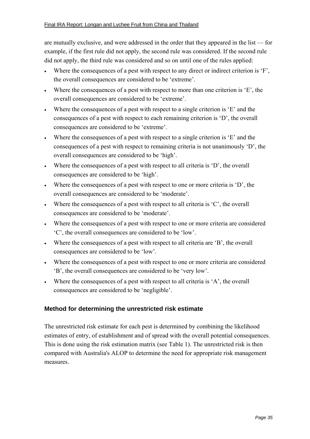are mutually exclusive, and were addressed in the order that they appeared in the list  $\overline{\phantom{a}}$  for example, if the first rule did not apply, the second rule was considered. If the second rule did not apply, the third rule was considered and so on until one of the rules applied:

- Where the consequences of a pest with respect to any direct or indirect criterion is 'F', the overall consequences are considered to be 'extreme'.
- Where the consequences of a pest with respect to more than one criterion is  $E'$ , the overall consequences are considered to be 'extreme'.
- Where the consequences of a pest with respect to a single criterion is  $E'$  and the consequences of a pest with respect to each remaining criterion is  $D'$ , the overall consequences are considered to be 'extreme'.
- Where the consequences of a pest with respect to a single criterion is  $E'$  and the consequences of a pest with respect to remaining criteria is not unanimously 'D', the overall consequences are considered to be 'high'.
- Where the consequences of a pest with respect to all criteria is  $D^{\prime}$ , the overall consequences are considered to be 'high'.
- Where the consequences of a pest with respect to one or more criteria is  $D$ , the overall consequences are considered to be 'moderate'.
- Where the consequences of a pest with respect to all criteria is  $\mathcal{C}$ , the overall consequences are considered to be 'moderate'.
- Where the consequences of a pest with respect to one or more criteria are considered  $^{\circ}$ C', the overall consequences are considered to be 'low'.
- Where the consequences of a pest with respect to all criteria are  $B'$ , the overall consequences are considered to be 'low'.
- Where the consequences of a pest with respect to one or more criteria are considered  $B'$ , the overall consequences are considered to be 'very low'.
- Where the consequences of a pest with respect to all criteria is  $A^{\prime}$ , the overall consequences are considered to be 'negligible'.

# **Method for determining the unrestricted risk estimate**

The unrestricted risk estimate for each pest is determined by combining the likelihood estimates of entry, of establishment and of spread with the overall potential consequences. This is done using the risk estimation matrix (see Table 1). The unrestricted risk is then compared with Australia's ALOP to determine the need for appropriate risk management measures.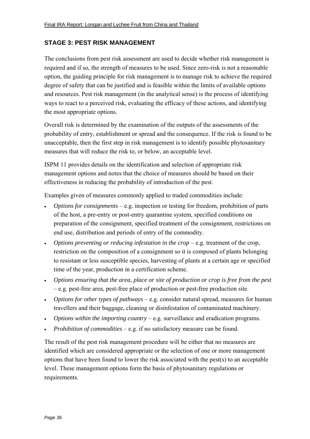# **STAGE 3: PEST RISK MANAGEMENT**

The conclusions from pest risk assessment are used to decide whether risk management is required and if so, the strength of measures to be used. Since zero-risk is not a reasonable option, the guiding principle for risk management is to manage risk to achieve the required degree of safety that can be justified and is feasible within the limits of available options and resources. Pest risk management (in the analytical sense) is the process of identifying ways to react to a perceived risk, evaluating the efficacy of these actions, and identifying the most appropriate options.

Overall risk is determined by the examination of the outputs of the assessments of the probability of entry, establishment or spread and the consequence. If the risk is found to be unacceptable, then the first step in risk management is to identify possible phytosanitary measures that will reduce the risk to, or below, an acceptable level.

ISPM 11 provides details on the identification and selection of appropriate risk management options and notes that the choice of measures should be based on their effectiveness in reducing the probability of introduction of the pest.

Examples given of measures commonly applied to traded commodities include:

- *Options for consignments* e.g. inspection or testing for freedom, prohibition of parts of the host, a pre-entry or post-entry quarantine system, specified conditions on preparation of the consignment, specified treatment of the consignment, restrictions on end use, distribution and periods of entry of the commodity.
- *Options preventing or reducing infestation in the crop e.g. treatment of the crop.* restriction on the composition of a consignment so it is composed of plants belonging to resistant or less susceptible species, harvesting of plants at a certain age or specified time of the year, production in a certification scheme.
- *Options ensuring that the area, place or site of production or crop is free from the pest* – e.g. pest-free area, pest-free place of production or pest-free production site.
- *Options for other types of pathways* e.g. consider natural spread, measures for human travellers and their baggage, cleaning or disinfestation of contaminated machinery.
- *Options within the importing country*  $-e.g.$  surveillance and eradication programs.
- *Prohibition of commodities*  $-e.g.$  if no satisfactory measure can be found.

The result of the pest risk management procedure will be either that no measures are identified which are considered appropriate or the selection of one or more management options that have been found to lower the risk associated with the pest(s) to an acceptable level. These management options form the basis of phytosanitary regulations or requirements.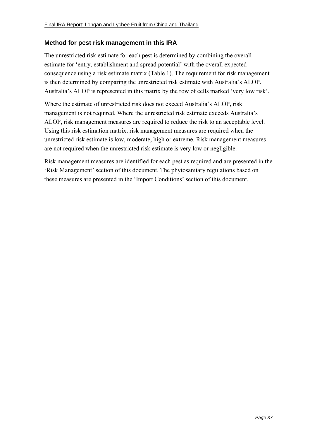## **Method for pest risk management in this IRA**

The unrestricted risk estimate for each pest is determined by combining the overall estimate for 'entry, establishment and spread potential' with the overall expected consequence using a risk estimate matrix (Table 1). The requirement for risk management is then determined by comparing the unrestricted risk estimate with Australia's ALOP. Australia's ALOP is represented in this matrix by the row of cells marked 'very low risk'.

Where the estimate of unrestricted risk does not exceed Australia's ALOP, risk management is not required. Where the unrestricted risk estimate exceeds Australia's ALOP, risk management measures are required to reduce the risk to an acceptable level. Using this risk estimation matrix, risk management measures are required when the unrestricted risk estimate is low, moderate, high or extreme. Risk management measures are not required when the unrestricted risk estimate is very low or negligible.

Risk management measures are identified for each pest as required and are presented in the Kisk Management' section of this document. The phytosanitary regulations based on these measures are presented in the 'Import Conditions' section of this document.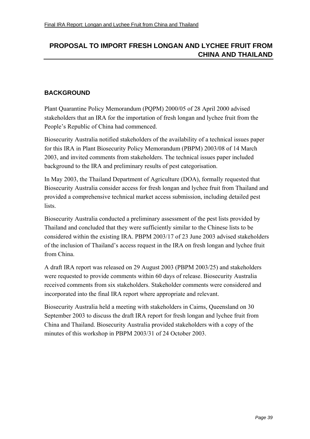# **PROPOSAL TO IMPORT FRESH LONGAN AND LYCHEE FRUIT FROM CHINA AND THAILAND**

#### **BACKGROUND**

Plant Quarantine Policy Memorandum (PQPM) 2000/05 of 28 April 2000 advised stakeholders that an IRA for the importation of fresh longan and lychee fruit from the People's Republic of China had commenced.

Biosecurity Australia notified stakeholders of the availability of a technical issues paper for this IRA in Plant Biosecurity Policy Memorandum (PBPM) 2003/08 of 14 March 2003, and invited comments from stakeholders. The technical issues paper included background to the IRA and preliminary results of pest categorisation.

In May 2003, the Thailand Department of Agriculture (DOA), formally requested that Biosecurity Australia consider access for fresh longan and lychee fruit from Thailand and provided a comprehensive technical market access submission, including detailed pest lists.

Biosecurity Australia conducted a preliminary assessment of the pest lists provided by Thailand and concluded that they were sufficiently similar to the Chinese lists to be considered within the existing IRA. PBPM 2003/17 of 23 June 2003 advised stakeholders of the inclusion of Thailand's access request in the IRA on fresh longan and lychee fruit from China.

A draft IRA report was released on 29 August 2003 (PBPM 2003/25) and stakeholders were requested to provide comments within 60 days of release. Biosecurity Australia received comments from six stakeholders. Stakeholder comments were considered and incorporated into the final IRA report where appropriate and relevant.

Biosecurity Australia held a meeting with stakeholders in Cairns, Queensland on 30 September 2003 to discuss the draft IRA report for fresh longan and lychee fruit from China and Thailand. Biosecurity Australia provided stakeholders with a copy of the minutes of this workshop in PBPM 2003/31 of 24 October 2003.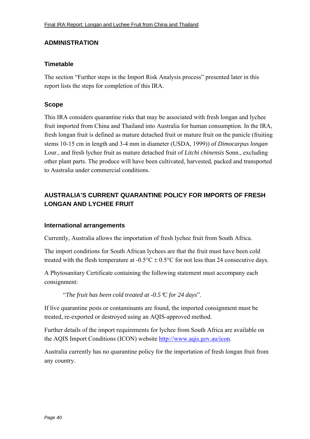# **ADMINISTRATION**

## **Timetable**

The section "Further steps in the Import Risk Analysis process" presented later in this report lists the steps for completion of this IRA.

# **Scope**

This IRA considers quarantine risks that may be associated with fresh longan and lychee fruit imported from China and Thailand into Australia for human consumption. In the IRA, fresh longan fruit is defined as mature detached fruit or mature fruit on the panicle (fruiting stems 10-15 cm in length and 3-4 mm in diameter (USDA, 1999)) of *Dimocarpus longan* Lour., and fresh lychee fruit as mature detached fruit of *Litchi chinensis* Sonn., excluding other plant parts. The produce will have been cultivated, harvested, packed and transported to Australia under commercial conditions.

# **AUSTRALIA'S CURRENT QUARANTINE POLICY FOR IMPORTS OF FRESH LONGAN AND LYCHEE FRUIT**

#### **International arrangements**

Currently, Australia allows the importation of fresh lychee fruit from South Africa.

The import conditions for South African lychees are that the fruit must have been cold treated with the flesh temperature at  $-0.5^{\circ}$ C  $\pm$  0.5°C for not less than 24 consecutive days.

A Phytosanitary Certificate containing the following statement must accompany each consignment:

<sup>*"*The fruit has been cold treated at -0.5  $\mathcal{C}$  for 24 days".</sup>

If live quarantine pests or contaminants are found, the imported consignment must be treated, re-exported or destroyed using an AQIS-approved method.

Further details of the import requirements for lychee from South Africa are available on the AQIS Import Conditions (ICON) website http://www.aqis.gov.au/icon.

Australia currently has no quarantine policy for the importation of fresh longan fruit from any country.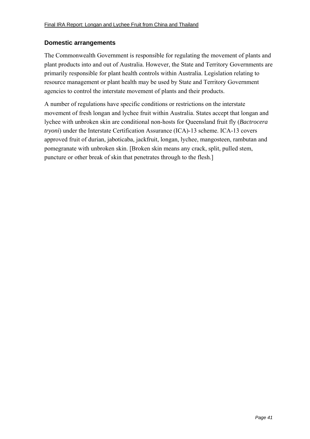# **Domestic arrangements**

The Commonwealth Government is responsible for regulating the movement of plants and plant products into and out of Australia. However, the State and Territory Governments are primarily responsible for plant health controls within Australia. Legislation relating to resource management or plant health may be used by State and Territory Government agencies to control the interstate movement of plants and their products.

A number of regulations have specific conditions or restrictions on the interstate movement of fresh longan and lychee fruit within Australia. States accept that longan and lychee with unbroken skin are conditional non-hosts for Queensland fruit fly (*Bactrocera tryoni*) under the Interstate Certification Assurance (ICA)-13 scheme. ICA-13 covers approved fruit of durian, jaboticaba, jackfruit, longan, lychee, mangosteen, rambutan and pomegranate with unbroken skin. [Broken skin means any crack, split, pulled stem, puncture or other break of skin that penetrates through to the flesh.]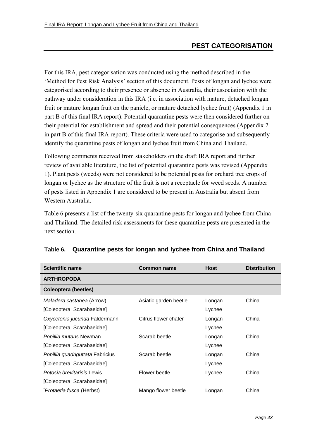# **PEST CATEGORISATION**

For this IRA, pest categorisation was conducted using the method described in the 'Method for Pest Risk Analysis' section of this document. Pests of longan and lychee were categorised according to their presence or absence in Australia, their association with the pathway under consideration in this IRA (i.e. in association with mature, detached longan fruit or mature longan fruit on the panicle, or mature detached lychee fruit) (Appendix 1 in part B of this final IRA report). Potential quarantine pests were then considered further on their potential for establishment and spread and their potential consequences (Appendix 2 in part B of this final IRA report). These criteria were used to categorise and subsequently identify the quarantine pests of longan and lychee fruit from China and Thailand.

Following comments received from stakeholders on the draft IRA report and further review of available literature, the list of potential quarantine pests was revised (Appendix 1). Plant pests (weeds) were not considered to be potential pests for orchard tree crops of longan or lychee as the structure of the fruit is not a receptacle for weed seeds. A number of pests listed in Appendix 1 are considered to be present in Australia but absent from Western Australia.

Table 6 presents a list of the twenty-six quarantine pests for longan and lychee from China and Thailand. The detailed risk assessments for these quarantine pests are presented in the next section.

| <b>Scientific name</b>            | <b>Common name</b>    | <b>Host</b> | <b>Distribution</b> |
|-----------------------------------|-----------------------|-------------|---------------------|
| <b>ARTHROPODA</b>                 |                       |             |                     |
| <b>Coleoptera (beetles)</b>       |                       |             |                     |
| <i>Maladera castanea</i> (Arrow)  | Asiatic garden beetle | Longan      | China               |
| [Coleoptera: Scarabaeidae]        |                       | Lychee      |                     |
| Oxycetonia jucunda Faldermann     | Citrus flower chafer  | Longan      | China               |
| [Coleoptera: Scarabaeidae]        |                       | Lychee      |                     |
| Popillia mutans Newman            | Scarab beetle         | Longan      | China               |
| [Coleoptera: Scarabaeidae]        |                       | Lychee      |                     |
| Popillia quadriguttata Fabricius  | Scarab beetle         | Longan      | China               |
| [Coleoptera: Scarabaeidae]        |                       | Lychee      |                     |
| <i>Potosia brevitarisis</i> Lewis | Flower beetle         | Lychee      | China               |
| [Coleoptera: Scarabaeidae]        |                       |             |                     |
| Protaetia fusca (Herbst)          | Mango flower beetle   | Longan      | China               |

|  | Table 6. Quarantine pests for longan and lychee from China and Thailand |  |  |  |  |  |
|--|-------------------------------------------------------------------------|--|--|--|--|--|
|--|-------------------------------------------------------------------------|--|--|--|--|--|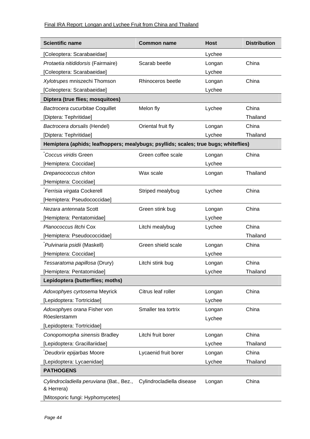# Final IRA Report: Longan and Lychee Fruit from China and Thailand

| <b>Scientific name</b>                                                              | <b>Common name</b>        | <b>Host</b> | <b>Distribution</b> |
|-------------------------------------------------------------------------------------|---------------------------|-------------|---------------------|
| [Coleoptera: Scarabaeidae]                                                          |                           | Lychee      |                     |
| Protaetia nitididorsis (Fairmaire)                                                  | Scarab beetle             | Longan      | China               |
| [Coleoptera: Scarabaeidae]                                                          |                           | Lychee      |                     |
| Xylotrupes mniszechi Thomson                                                        | Rhinoceros beetle         | Longan      | China               |
| [Coleoptera: Scarabaeidae]                                                          |                           | Lychee      |                     |
| Diptera (true flies; mosquitoes)                                                    |                           |             |                     |
| Bactrocera cucurbitae Coquillet                                                     | Melon fly                 | Lychee      | China               |
| [Diptera: Tephritidae]                                                              |                           |             | Thailand            |
| Bactrocera dorsalis (Hendel)                                                        | Oriental fruit fly        | Longan      | China               |
| [Diptera: Tephritidae]                                                              |                           | Lychee      | Thailand            |
| Hemiptera (aphids; leafhoppers; mealybugs; psyllids; scales; true bugs; whiteflies) |                           |             |                     |
| Coccus viridis Green                                                                | Green coffee scale        | Longan      | China               |
| [Hemiptera: Coccidae]                                                               |                           | Lychee      |                     |
| Drepanococcus chiton                                                                | Wax scale                 | Longan      | Thailand            |
| [Hemiptera: Coccidae]                                                               |                           |             |                     |
| Ferrisia virgata Cockerell                                                          | Striped mealybug          | Lychee      | China               |
| [Hemiptera: Pseudococcidae]                                                         |                           |             |                     |
| Nezara antennata Scott                                                              | Green stink bug           | Longan      | China               |
| [Hemiptera: Pentatomidae]                                                           |                           | Lychee      |                     |
| Planococcus litchi Cox                                                              | Litchi mealybug           | Lychee      | China               |
| [Hemiptera: Pseudococcidae]                                                         |                           |             | Thailand            |
| Pulvinaria psidii (Maskell)                                                         | Green shield scale        | Longan      | China               |
| [Hemiptera: Coccidae]                                                               |                           | Lychee      |                     |
| Tessaratoma papillosa (Drury)                                                       | Litchi stink bug          | Longan      | China               |
| [Hemiptera: Pentatomidae]                                                           |                           | Lychee      | Thailand            |
| Lepidoptera (butterflies; moths)                                                    |                           |             |                     |
| Adoxophyes cyrtosema Meyrick                                                        | Citrus leaf roller        | Longan      | China               |
| [Lepidoptera: Tortricidae]                                                          |                           | Lychee      |                     |
| Adoxophyes orana Fisher von                                                         | Smaller tea tortrix       | Longan      | China               |
| Röeslerstamm                                                                        |                           | Lychee      |                     |
| [Lepidoptera: Tortricidae]                                                          |                           |             |                     |
| Conopomorpha sinensis Bradley                                                       | Litchi fruit borer        | Longan      | China               |
| [Lepidoptera: Gracillariidae]                                                       |                           | Lychee      | Thailand            |
| Deudorix epijarbas Moore                                                            | Lycaenid fruit borer      | Longan      | China               |
| [Lepidoptera: Lycaenidae]                                                           |                           | Lychee      | Thailand            |
| <b>PATHOGENS</b>                                                                    |                           |             |                     |
| Cylindrocladiella peruviana (Bat., Bez.,<br>& Herrera)                              | Cylindrocladiella disease | Longan      | China               |
| [Mitosporic fungi: Hyphomycetes]                                                    |                           |             |                     |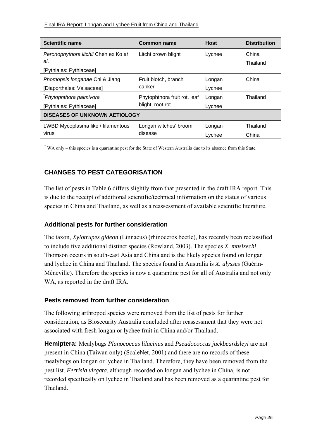Final IRA Report: Longan and Lychee Fruit from China and Thailand

| <b>Scientific name</b>               | Common name                  | <b>Host</b> | <b>Distribution</b> |
|--------------------------------------|------------------------------|-------------|---------------------|
| Peronophythora litchii Chen ex Ko et | Litchi brown blight          | Lychee      | China               |
| al.                                  |                              |             | Thailand            |
| [Pythiales: Pythiaceae]              |                              |             |                     |
| Phomopsis longanae Chi & Jiang       | Fruit blotch, branch         | Longan      | China               |
| [Diaporthales: Valsaceae]            | canker                       | Lychee      |                     |
| Phytophthora palmivora               | Phytophthora fruit rot, leaf | Longan      | Thailand            |
| [Pythiales: Pythiaceae]              | blight, root rot             | Lychee      |                     |
| <b>DISEASES OF UNKNOWN AETIOLOGY</b> |                              |             |                     |
| LWBD Mycoplasma like / filamentous   | Longan witches' broom        | Longan      | Thailand            |
| virus                                | disease                      | Lychee      | China               |

\* WA only – this species is a quarantine pest for the State of Western Australia due to its absence from this State.

# **CHANGES TO PEST CATEGORISATION**

The list of pests in Table 6 differs slightly from that presented in the draft IRA report. This is due to the receipt of additional scientific/technical information on the status of various species in China and Thailand, as well as a reassessment of available scientific literature.

#### **Additional pests for further consideration**

The taxon, *Xylotrupes gideon* (Linnaeus) (rhinoceros beetle), has recently been reclassified to include five additional distinct species (Rowland, 2003). The species *X. mnsizechi* Thomson occurs in south-east Asia and China and is the likely species found on longan and lychee in China and Thailand. The species found in Australia is *X. ulysses* (Guérin-MÈneville). Therefore the species is now a quarantine pest for all of Australia and not only WA, as reported in the draft IRA.

#### **Pests removed from further consideration**

The following arthropod species were removed from the list of pests for further consideration, as Biosecurity Australia concluded after reassessment that they were not associated with fresh longan or lychee fruit in China and/or Thailand.

**Hemiptera:** Mealybugs *Planococcus lilacinus* and *Pseudococcus jackbeardsleyi* are not present in China (Taiwan only) (ScaleNet, 2001) and there are no records of these mealybugs on longan or lychee in Thailand. Therefore, they have been removed from the pest list. *Ferrisia virgata*, although recorded on longan and lychee in China, is not recorded specifically on lychee in Thailand and has been removed as a quarantine pest for Thailand.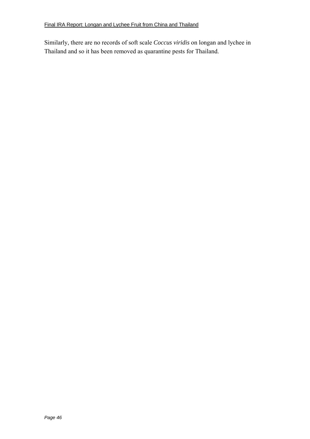Similarly, there are no records of soft scale *Coccus viridis* on longan and lychee in Thailand and so it has been removed as quarantine pests for Thailand.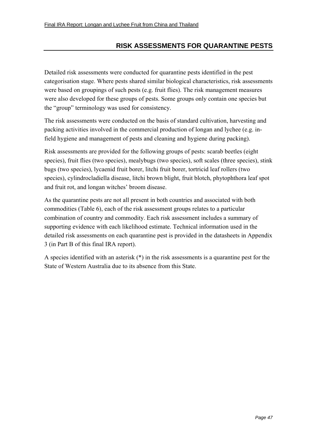# **RISK ASSESSMENTS FOR QUARANTINE PESTS**

Detailed risk assessments were conducted for quarantine pests identified in the pest categorisation stage. Where pests shared similar biological characteristics, risk assessments were based on groupings of such pests (e.g. fruit flies). The risk management measures were also developed for these groups of pests. Some groups only contain one species but the "group" terminology was used for consistency.

The risk assessments were conducted on the basis of standard cultivation, harvesting and packing activities involved in the commercial production of longan and lychee (e.g. infield hygiene and management of pests and cleaning and hygiene during packing).

Risk assessments are provided for the following groups of pests: scarab beetles (eight species), fruit flies (two species), mealybugs (two species), soft scales (three species), stink bugs (two species), lycaenid fruit borer, litchi fruit borer, tortricid leaf rollers (two species), cylindrocladiella disease, litchi brown blight, fruit blotch, phytophthora leaf spot and fruit rot, and longan witches' broom disease.

As the quarantine pests are not all present in both countries and associated with both commodities (Table 6), each of the risk assessment groups relates to a particular combination of country and commodity. Each risk assessment includes a summary of supporting evidence with each likelihood estimate. Technical information used in the detailed risk assessments on each quarantine pest is provided in the datasheets in Appendix 3 (in Part B of this final IRA report).

A species identified with an asterisk (\*) in the risk assessments is a quarantine pest for the State of Western Australia due to its absence from this State.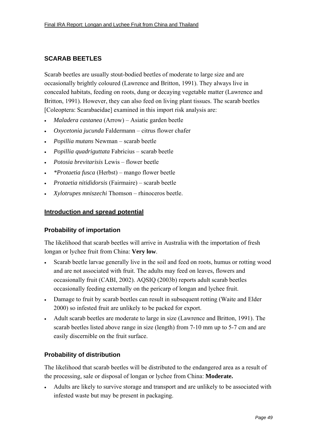# **SCARAB BEETLES**

Scarab beetles are usually stout-bodied beetles of moderate to large size and are occasionally brightly coloured (Lawrence and Britton, 1991). They always live in concealed habitats, feeding on roots, dung or decaying vegetable matter (Lawrence and Britton, 1991). However, they can also feed on living plant tissues. The scarab beetles [Coleoptera: Scarabaeidae] examined in this import risk analysis are:

- *Maladera castanea* (Arrow) Asiatic garden beetle
- Oxycetonia jucunda Faldermann citrus flower chafer
- *Popillia mutans* Newman scarab beetle
- *Popillia quadriguttata* Fabricius scarab beetle
- *Potosia brevitarisis* Lewis flower beetle
- $\cdot$  *\*Protaetia fusca* (Herbst) mango flower beetle
- *Protaetia nitididorsis* (Fairmaire) scarab beetle
- *Xylotrupes mniszechi* Thomson rhinoceros beetle.

### **Introduction and spread potential**

#### **Probability of importation**

The likelihood that scarab beetles will arrive in Australia with the importation of fresh longan or lychee fruit from China: **Very low**.

- Scarab beetle larvae generally live in the soil and feed on roots, humus or rotting wood and are not associated with fruit. The adults may feed on leaves, flowers and occasionally fruit (CABI, 2002). AQSIQ (2003b) reports adult scarab beetles occasionally feeding externally on the pericarp of longan and lychee fruit.
- Damage to fruit by scarab beetles can result in subsequent rotting (Waite and Elder) 2000) so infested fruit are unlikely to be packed for export.
- Adult scarab beetles are moderate to large in size (Lawrence and Britton, 1991). The scarab beetles listed above range in size (length) from 7-10 mm up to 5-7 cm and are easily discernible on the fruit surface.

# **Probability of distribution**

The likelihood that scarab beetles will be distributed to the endangered area as a result of the processing, sale or disposal of longan or lychee from China: **Moderate.**

• Adults are likely to survive storage and transport and are unlikely to be associated with infested waste but may be present in packaging.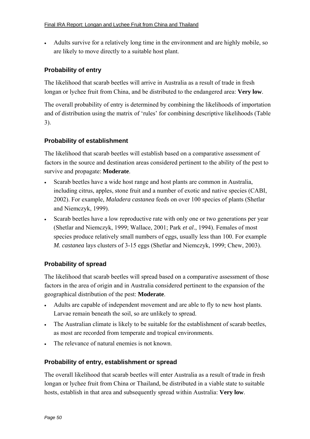• Adults survive for a relatively long time in the environment and are highly mobile, so are likely to move directly to a suitable host plant.

## **Probability of entry**

The likelihood that scarab beetles will arrive in Australia as a result of trade in fresh longan or lychee fruit from China, and be distributed to the endangered area: **Very low**.

The overall probability of entry is determined by combining the likelihoods of importation and of distribution using the matrix of 'rules' for combining descriptive likelihoods (Table 3).

#### **Probability of establishment**

The likelihood that scarab beetles will establish based on a comparative assessment of factors in the source and destination areas considered pertinent to the ability of the pest to survive and propagate: **Moderate**.

- Scarab beetles have a wide host range and host plants are common in Australia, including citrus, apples, stone fruit and a number of exotic and native species (CABI, 2002). For example, *Maladera castanea* feeds on over 100 species of plants (Shetlar and Niemczyk, 1999).
- Scarab beetles have a low reproductive rate with only one or two generations per year (Shetlar and Niemczyk, 1999; Wallace, 2001; Park *et al*., 1994). Females of most species produce relatively small numbers of eggs, usually less than 100. For example *M. castanea* lays clusters of 3-15 eggs (Shetlar and Niemczyk, 1999; Chew, 2003).

#### **Probability of spread**

The likelihood that scarab beetles will spread based on a comparative assessment of those factors in the area of origin and in Australia considered pertinent to the expansion of the geographical distribution of the pest: **Moderate**.

- Adults are capable of independent movement and are able to fly to new host plants. Larvae remain beneath the soil, so are unlikely to spread.
- The Australian climate is likely to be suitable for the establishment of scarab beetles, as most are recorded from temperate and tropical environments.
- The relevance of natural enemies is not known.

#### **Probability of entry, establishment or spread**

The overall likelihood that scarab beetles will enter Australia as a result of trade in fresh longan or lychee fruit from China or Thailand, be distributed in a viable state to suitable hosts, establish in that area and subsequently spread within Australia: **Very low**.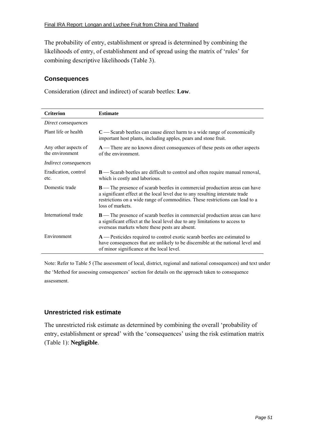The probability of entry, establishment or spread is determined by combining the likelihoods of entry, of establishment and of spread using the matrix of 'rules' for combining descriptive likelihoods (Table 3).

## **Consequences**

Consideration (direct and indirect) of scarab beetles: **Low**.

| <b>Criterion</b>                        | <b>Estimate</b>                                                                                                                                                                                                                                                        |
|-----------------------------------------|------------------------------------------------------------------------------------------------------------------------------------------------------------------------------------------------------------------------------------------------------------------------|
| Direct consequences                     |                                                                                                                                                                                                                                                                        |
| Plant life or health                    | $C$ — Scarab beetles can cause direct harm to a wide range of economically<br>important host plants, including apples, pears and stone fruit.                                                                                                                          |
| Any other aspects of<br>the environment | $A$ — There are no known direct consequences of these pests on other aspects<br>of the environment.                                                                                                                                                                    |
| <i>Indirect consequences</i>            |                                                                                                                                                                                                                                                                        |
| Eradication, control<br>etc.            | <b>B</b> — Scarab beetles are difficult to control and often require manual removal,<br>which is costly and laborious.                                                                                                                                                 |
| Domestic trade                          | <b>B</b> —The presence of scarab beetles in commercial production areas can have<br>a significant effect at the local level due to any resulting interstate trade<br>restrictions on a wide range of commodities. These restrictions can lead to a<br>loss of markets. |
| International trade                     | <b>B</b> — The presence of scarab beetles in commercial production areas can have<br>a significant effect at the local level due to any limitations to access to<br>overseas markets where these pests are absent.                                                     |
| Environment                             | $A$ — Pesticides required to control exotic scarab beetles are estimated to<br>have consequences that are unlikely to be discernible at the national level and<br>of minor significance at the local level.                                                            |

Note: Refer to Table 5 (The assessment of local, district, regional and national consequences) and text under the 'Method for assessing consequences' section for details on the approach taken to consequence assessment.

#### **Unrestricted risk estimate**

The unrestricted risk estimate as determined by combining the overall 'probability of entry, establishment or spread' with the 'consequences' using the risk estimation matrix (Table 1): **Negligible**.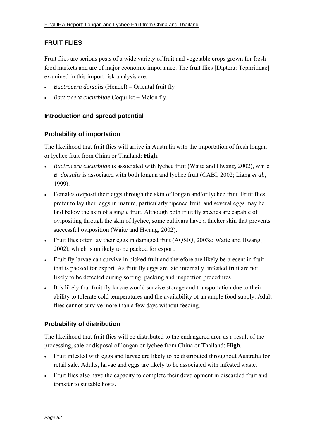# **FRUIT FLIES**

Fruit flies are serious pests of a wide variety of fruit and vegetable crops grown for fresh food markets and are of major economic importance. The fruit flies [Diptera: Tephritidae] examined in this import risk analysis are:

- *Bactrocera dorsalis* (Hendel) Oriental fruit fly
- Bactrocera cucurbitae Coquillet Melon fly.

### **Introduction and spread potential**

### **Probability of importation**

The likelihood that fruit flies will arrive in Australia with the importation of fresh longan or lychee fruit from China or Thailand: **High**.

- *Bactrocera cucurbitae* is associated with lychee fruit (Waite and Hwang, 2002), while *B. dorsalis* is associated with both longan and lychee fruit (CABI, 2002; Liang *et al*., 1999).
- Females oviposit their eggs through the skin of longan and/or lychee fruit. Fruit flies prefer to lay their eggs in mature, particularly ripened fruit, and several eggs may be laid below the skin of a single fruit. Although both fruit fly species are capable of ovipositing through the skin of lychee, some cultivars have a thicker skin that prevents successful oviposition (Waite and Hwang, 2002).
- Fruit flies often lay their eggs in damaged fruit (AQSIQ, 2003a; Waite and Hwang, 2002), which is unlikely to be packed for export.
- Fruit fly larvae can survive in picked fruit and therefore are likely be present in fruit that is packed for export. As fruit fly eggs are laid internally, infested fruit are not likely to be detected during sorting, packing and inspection procedures.
- It is likely that fruit fly larvae would survive storage and transportation due to their ability to tolerate cold temperatures and the availability of an ample food supply. Adult flies cannot survive more than a few days without feeding.

# **Probability of distribution**

The likelihood that fruit flies will be distributed to the endangered area as a result of the processing, sale or disposal of longan or lychee from China or Thailand: **High**.

- Fruit infested with eggs and larvae are likely to be distributed throughout Australia for retail sale. Adults, larvae and eggs are likely to be associated with infested waste.
- Fruit flies also have the capacity to complete their development in discarded fruit and transfer to suitable hosts.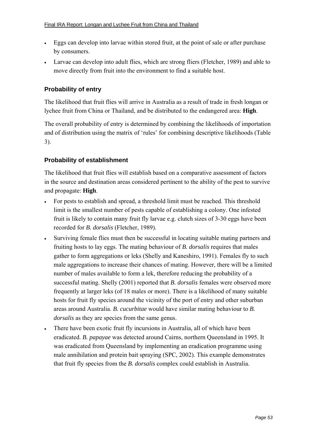- Eggs can develop into larvae within stored fruit, at the point of sale or after purchase by consumers.
- Larvae can develop into adult flies, which are strong fliers (Fletcher, 1989) and able to move directly from fruit into the environment to find a suitable host.

# **Probability of entry**

The likelihood that fruit flies will arrive in Australia as a result of trade in fresh longan or lychee fruit from China or Thailand, and be distributed to the endangered area: **High**.

The overall probability of entry is determined by combining the likelihoods of importation and of distribution using the matrix of 'rules' for combining descriptive likelihoods (Table 3).

# **Probability of establishment**

The likelihood that fruit flies will establish based on a comparative assessment of factors in the source and destination areas considered pertinent to the ability of the pest to survive and propagate: **High**.

- For pests to establish and spread, a threshold limit must be reached. This threshold limit is the smallest number of pests capable of establishing a colony. One infested fruit is likely to contain many fruit fly larvae e.g. clutch sizes of 3-30 eggs have been recorded for *B. dorsalis* (Fletcher, 1989).
- Surviving female flies must then be successful in locating suitable mating partners and fruiting hosts to lay eggs. The mating behaviour of *B. dorsalis* requires that males gather to form aggregations or leks (Shelly and Kaneshiro, 1991). Females fly to such male aggregations to increase their chances of mating. However, there will be a limited number of males available to form a lek, therefore reducing the probability of a successful mating. Shelly (2001) reported that *B. dorsalis* females were observed more frequently at larger leks (of 18 males or more). There is a likelihood of many suitable hosts for fruit fly species around the vicinity of the port of entry and other suburban areas around Australia. *B. cucurbitae* would have similar mating behaviour to *B. dorsalis* as they are species from the same genus.
- There have been exotic fruit fly incursions in Australia, all of which have been eradicated. *B. papayae* was detected around Cairns, northern Queensland in 1995. It was eradicated from Queensland by implementing an eradication programme using male annihilation and protein bait spraying (SPC, 2002). This example demonstrates that fruit fly species from the *B. dorsalis* complex could establish in Australia.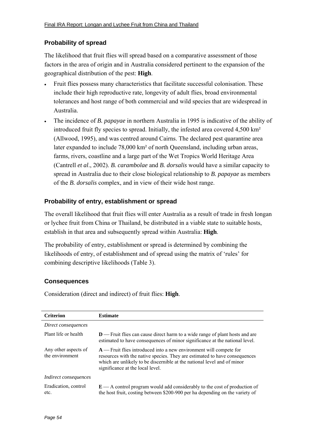# **Probability of spread**

The likelihood that fruit flies will spread based on a comparative assessment of those factors in the area of origin and in Australia considered pertinent to the expansion of the geographical distribution of the pest: **High**.

- Fruit flies possess many characteristics that facilitate successful colonisation. These include their high reproductive rate, longevity of adult flies, broad environmental tolerances and host range of both commercial and wild species that are widespread in Australia.
- The incidence of *B. papayae* in northern Australia in 1995 is indicative of the ability of introduced fruit fly species to spread. Initially, the infested area covered 4,500 km² (Allwood, 1995), and was centred around Cairns. The declared pest quarantine area later expanded to include 78,000 km² of north Queensland, including urban areas, farms, rivers, coastline and a large part of the Wet Tropics World Heritage Area (Cantrell *et al*., 2002). *B. carambolae* and *B. dorsalis* would have a similar capacity to spread in Australia due to their close biological relationship to *B. papayae* as members of the *B. dorsalis* complex, and in view of their wide host range.

# **Probability of entry, establishment or spread**

The overall likelihood that fruit flies will enter Australia as a result of trade in fresh longan or lychee fruit from China or Thailand, be distributed in a viable state to suitable hosts, establish in that area and subsequently spread within Australia: **High**.

The probability of entry, establishment or spread is determined by combining the likelihoods of entry, of establishment and of spread using the matrix of 'rules' for combining descriptive likelihoods (Table 3).

#### **Consequences**

Consideration (direct and indirect) of fruit flies: **High**.

| <b>Criterion</b>                        | <b>Estimate</b>                                                                                                                                                                                                                                                   |
|-----------------------------------------|-------------------------------------------------------------------------------------------------------------------------------------------------------------------------------------------------------------------------------------------------------------------|
| Direct consequences                     |                                                                                                                                                                                                                                                                   |
| Plant life or health                    | $\mathbf{D}$ —Fruit flies can cause direct harm to a wide range of plant hosts and are<br>estimated to have consequences of minor significance at the national level.                                                                                             |
| Any other aspects of<br>the environment | $A$ — Fruit flies introduced into a new environment will compete for<br>resources with the native species. They are estimated to have consequences<br>which are unlikely to be discernible at the national level and of minor<br>significance at the local level. |
| <i>Indirect consequences</i>            |                                                                                                                                                                                                                                                                   |
| Eradication, control<br>etc.            | $E$ — A control program would add considerably to the cost of production of<br>the host fruit, costing between \$200-900 per ha depending on the variety of                                                                                                       |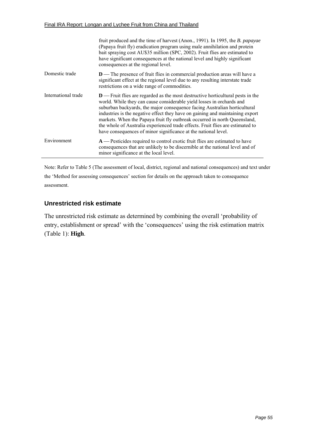#### Final IRA Report: Longan and Lychee Fruit from China and Thailand

|                     | fruit produced and the time of harvest (Anon., 1991). In 1995, the <i>B. papayae</i><br>(Papaya fruit fly) eradication program using male annihilation and protein<br>bait spraying cost AU\$35 million (SPC, 2002). Fruit flies are estimated to<br>have significant consequences at the national level and highly significant<br>consequences at the regional level.                                                                                                                                                                                    |
|---------------------|-----------------------------------------------------------------------------------------------------------------------------------------------------------------------------------------------------------------------------------------------------------------------------------------------------------------------------------------------------------------------------------------------------------------------------------------------------------------------------------------------------------------------------------------------------------|
| Domestic trade      | $D$ — The presence of fruit flies in commercial production areas will have a<br>significant effect at the regional level due to any resulting interstate trade<br>restrictions on a wide range of commodities.                                                                                                                                                                                                                                                                                                                                            |
| International trade | $D$ — Fruit flies are regarded as the most destructive horticultural pests in the<br>world. While they can cause considerable yield losses in orchards and<br>suburban backyards, the major consequence facing Australian horticultural<br>industries is the negative effect they have on gaining and maintaining export<br>markets. When the Papaya fruit fly outbreak occurred in north Queensland,<br>the whole of Australia experienced trade effects. Fruit flies are estimated to<br>have consequences of minor significance at the national level. |
| Environment         | A — Pesticides required to control exotic fruit flies are estimated to have<br>consequences that are unlikely to be discernible at the national level and of<br>minor significance at the local level.                                                                                                                                                                                                                                                                                                                                                    |

Note: Refer to Table 5 (The assessment of local, district, regional and national consequences) and text under the 'Method for assessing consequences' section for details on the approach taken to consequence assessment.

### **Unrestricted risk estimate**

The unrestricted risk estimate as determined by combining the overall 'probability of entry, establishment or spread' with the 'consequences' using the risk estimation matrix (Table 1): **High**.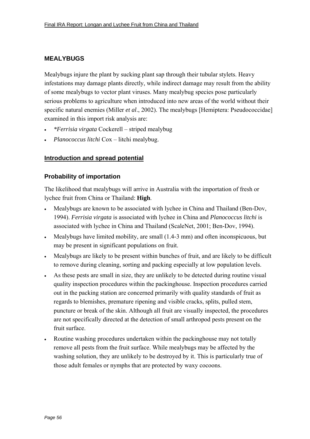# **MEALYBUGS**

Mealybugs injure the plant by sucking plant sap through their tubular stylets. Heavy infestations may damage plants directly, while indirect damage may result from the ability of some mealybugs to vector plant viruses. Many mealybug species pose particularly serious problems to agriculture when introduced into new areas of the world without their specific natural enemies (Miller *et al*., 2002). The mealybugs [Hemiptera: Pseudococcidae] examined in this import risk analysis are:

- *\*Ferrisia virgata* Cockerell ñ striped mealybug
- *Planococcus litchi* Cox litchi mealybug.

# **Introduction and spread potential**

### **Probability of importation**

The likelihood that mealybugs will arrive in Australia with the importation of fresh or lychee fruit from China or Thailand: **High**.

- Mealybugs are known to be associated with lychee in China and Thailand (Ben-Doy, 1994). *Ferrisia virgata* is associated with lychee in China and *Planococcus litchi* is associated with lychee in China and Thailand (ScaleNet, 2001; Ben-Dov, 1994).
- Mealybugs have limited mobility, are small (1.4-3 mm) and often inconspicuous, but may be present in significant populations on fruit.
- Mealybugs are likely to be present within bunches of fruit, and are likely to be difficult to remove during cleaning, sorting and packing especially at low population levels.
- As these pests are small in size, they are unlikely to be detected during routine visual quality inspection procedures within the packinghouse. Inspection procedures carried out in the packing station are concerned primarily with quality standards of fruit as regards to blemishes, premature ripening and visible cracks, splits, pulled stem, puncture or break of the skin. Although all fruit are visually inspected, the procedures are not specifically directed at the detection of small arthropod pests present on the fruit surface.
- Routine washing procedures undertaken within the packinghouse may not totally remove all pests from the fruit surface. While mealybugs may be affected by the washing solution, they are unlikely to be destroyed by it. This is particularly true of those adult females or nymphs that are protected by waxy cocoons.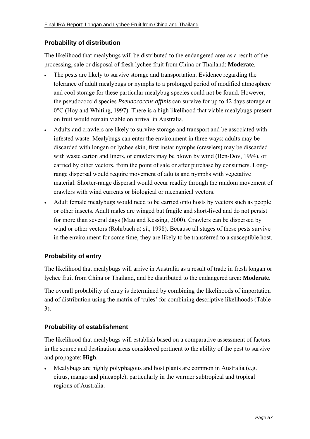# **Probability of distribution**

The likelihood that mealybugs will be distributed to the endangered area as a result of the processing, sale or disposal of fresh lychee fruit from China or Thailand: **Moderate**.

- The pests are likely to survive storage and transportation. Evidence regarding the tolerance of adult mealybugs or nymphs to a prolonged period of modified atmosphere and cool storage for these particular mealybug species could not be found. However, the pseudococcid species *Pseudococcus affinis* can survive for up to 42 days storage at 0°C (Hoy and Whiting, 1997). There is a high likelihood that viable mealybugs present on fruit would remain viable on arrival in Australia.
- Adults and crawlers are likely to survive storage and transport and be associated with infested waste. Mealybugs can enter the environment in three ways: adults may be discarded with longan or lychee skin, first instar nymphs (crawlers) may be discarded with waste carton and liners, or crawlers may be blown by wind (Ben-Dov, 1994), or carried by other vectors, from the point of sale or after purchase by consumers. Longrange dispersal would require movement of adults and nymphs with vegetative material. Shorter-range dispersal would occur readily through the random movement of crawlers with wind currents or biological or mechanical vectors.
- Adult female mealybugs would need to be carried onto hosts by vectors such as people or other insects. Adult males are winged but fragile and short-lived and do not persist for more than several days (Mau and Kessing, 2000). Crawlers can be dispersed by wind or other vectors (Rohrbach *et al*., 1998). Because all stages of these pests survive in the environment for some time, they are likely to be transferred to a susceptible host.

# **Probability of entry**

The likelihood that mealybugs will arrive in Australia as a result of trade in fresh longan or lychee fruit from China or Thailand, and be distributed to the endangered area: **Moderate**.

The overall probability of entry is determined by combining the likelihoods of importation and of distribution using the matrix of 'rules' for combining descriptive likelihoods (Table 3).

# **Probability of establishment**

The likelihood that mealybugs will establish based on a comparative assessment of factors in the source and destination areas considered pertinent to the ability of the pest to survive and propagate: **High**.

• Mealybugs are highly polyphagous and host plants are common in Australia (e.g. citrus, mango and pineapple), particularly in the warmer subtropical and tropical regions of Australia.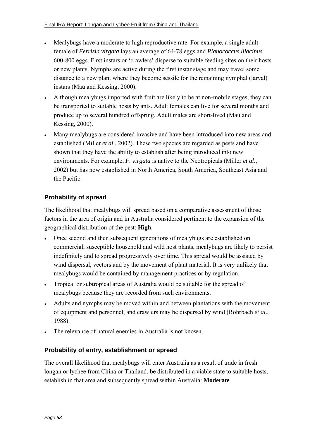- Mealybugs have a moderate to high reproductive rate. For example, a single adult female of *Ferrisia virgata* lays an average of 64-78 eggs and *Planococcus lilacinus*  600-800 eggs. First instars or ëcrawlersí disperse to suitable feeding sites on their hosts or new plants. Nymphs are active during the first instar stage and may travel some distance to a new plant where they become sessile for the remaining nymphal (larval) instars (Mau and Kessing, 2000).
- Although mealybugs imported with fruit are likely to be at non-mobile stages, they can be transported to suitable hosts by ants. Adult females can live for several months and produce up to several hundred offspring. Adult males are short-lived (Mau and Kessing, 2000).
- Many mealybugs are considered invasive and have been introduced into new areas and established (Miller *et al*., 2002). These two species are regarded as pests and have shown that they have the ability to establish after being introduced into new environments. For example, *F. virgata* is native to the Neotropicals (Miller *et al*., 2002) but has now established in North America, South America, Southeast Asia and the Pacific.

# **Probability of spread**

The likelihood that mealybugs will spread based on a comparative assessment of those factors in the area of origin and in Australia considered pertinent to the expansion of the geographical distribution of the pest: **High**.

- Once second and then subsequent generations of mealybugs are established on commercial, susceptible household and wild host plants, mealybugs are likely to persist indefinitely and to spread progressively over time. This spread would be assisted by wind dispersal, vectors and by the movement of plant material. It is very unlikely that mealybugs would be contained by management practices or by regulation.
- Tropical or subtropical areas of Australia would be suitable for the spread of mealybugs because they are recorded from such environments.
- Adults and nymphs may be moved within and between plantations with the movement of equipment and personnel, and crawlers may be dispersed by wind (Rohrbach *et al*., 1988).
- The relevance of natural enemies in Australia is not known.

#### **Probability of entry, establishment or spread**

The overall likelihood that mealybugs will enter Australia as a result of trade in fresh longan or lychee from China or Thailand, be distributed in a viable state to suitable hosts, establish in that area and subsequently spread within Australia: **Moderate**.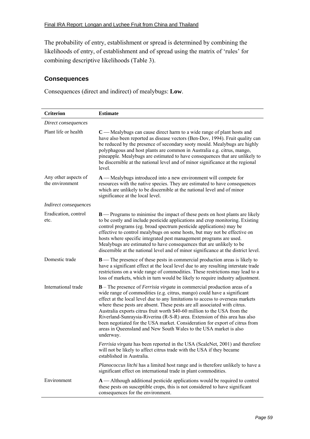The probability of entry, establishment or spread is determined by combining the likelihoods of entry, of establishment and of spread using the matrix of 'rules' for combining descriptive likelihoods (Table 3).

# **Consequences**

Consequences (direct and indirect) of mealybugs: **Low**.

| <b>Criterion</b>                        | <b>Estimate</b>                                                                                                                                                                                                                                                                                                                                                                                                                                                                                                                                                                                                                                                 |
|-----------------------------------------|-----------------------------------------------------------------------------------------------------------------------------------------------------------------------------------------------------------------------------------------------------------------------------------------------------------------------------------------------------------------------------------------------------------------------------------------------------------------------------------------------------------------------------------------------------------------------------------------------------------------------------------------------------------------|
| Direct consequences                     |                                                                                                                                                                                                                                                                                                                                                                                                                                                                                                                                                                                                                                                                 |
| Plant life or health                    | $C$ — Mealybugs can cause direct harm to a wide range of plant hosts and<br>have also been reported as disease vectors (Ben-Dov, 1994). Fruit quality can<br>be reduced by the presence of secondary sooty mould. Mealybugs are highly<br>polyphagous and host plants are common in Australia e.g. citrus, mango,<br>pineapple. Mealybugs are estimated to have consequences that are unlikely to<br>be discernible at the national level and of minor significance at the regional<br>level.                                                                                                                                                                   |
| Any other aspects of<br>the environment | A — Mealybugs introduced into a new environment will compete for<br>resources with the native species. They are estimated to have consequences<br>which are unlikely to be discernible at the national level and of minor<br>significance at the local level.                                                                                                                                                                                                                                                                                                                                                                                                   |
| Indirect consequences                   |                                                                                                                                                                                                                                                                                                                                                                                                                                                                                                                                                                                                                                                                 |
| Eradication, control<br>etc.            | <b>B</b> — Programs to minimise the impact of these pests on host plants are likely<br>to be costly and include pesticide applications and crop monitoring. Existing<br>control programs (eg. broad spectrum pesticide applications) may be<br>effective to control mealybugs on some hosts, but may not be effective on<br>hosts where specific integrated pest management programs are used.<br>Mealybugs are estimated to have consequences that are unlikely to be<br>discernible at the national level and of minor significance at the district level.                                                                                                    |
| Domestic trade                          | <b>B</b> —The presence of these pests in commercial production areas is likely to<br>have a significant effect at the local level due to any resulting interstate trade<br>restrictions on a wide range of commodities. These restrictions may lead to a<br>loss of markets, which in turn would be likely to require industry adjustment.                                                                                                                                                                                                                                                                                                                      |
| International trade                     | $\mathbf{B}$ – The presence of <i>Ferrisia virgata</i> in commercial production areas of a<br>wide range of commodities (e.g. citrus, mango) could have a significant<br>effect at the local level due to any limitations to access to overseas markets<br>where these pests are absent. These pests are all associated with citrus.<br>Australia exports citrus fruit worth \$40-60 million to the USA from the<br>Riverland-Sunraysia-Riverina (R-S-R) area. Extension of this area has also<br>been negotiated for the USA market. Consideration for export of citrus from<br>areas in Queensland and New South Wales to the USA market is also<br>underway. |
|                                         | Ferrisia virgata has been reported in the USA (ScaleNet, 2001) and therefore<br>will not be likely to affect citrus trade with the USA if they became<br>established in Australia.                                                                                                                                                                                                                                                                                                                                                                                                                                                                              |
|                                         | Planococcus litchi has a limited host range and is therefore unlikely to have a<br>significant effect on international trade in plant commodities.                                                                                                                                                                                                                                                                                                                                                                                                                                                                                                              |
| Environment                             | A — Although additional pesticide applications would be required to control<br>these pests on susceptible crops, this is not considered to have significant<br>consequences for the environment.                                                                                                                                                                                                                                                                                                                                                                                                                                                                |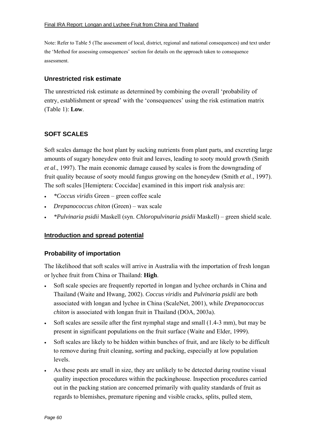Note: Refer to Table 5 (The assessment of local, district, regional and national consequences) and text under the 'Method for assessing consequences' section for details on the approach taken to consequence assessment.

## **Unrestricted risk estimate**

The unrestricted risk estimate as determined by combining the overall 'probability of entry, establishment or spread' with the 'consequences' using the risk estimation matrix (Table 1): **Low**.

# **SOFT SCALES**

Soft scales damage the host plant by sucking nutrients from plant parts, and excreting large amounts of sugary honeydew onto fruit and leaves, leading to sooty mould growth (Smith *et al*., 1997). The main economic damage caused by scales is from the downgrading of fruit quality because of sooty mould fungus growing on the honeydew (Smith *et al*., 1997). The soft scales [Hemiptera: Coccidae] examined in this import risk analysis are:

- *\*Coccus viridis* Green ñ green coffee scale
- *Drepanococcus chiton* (Green) wax scale
- *\*Pulvinaria psidii* Maskell (syn. *Chloropulvinaria psidii* Maskell) ñ green shield scale.

# **Introduction and spread potential**

#### **Probability of importation**

The likelihood that soft scales will arrive in Australia with the importation of fresh longan or lychee fruit from China or Thailand: **High**.

- Soft scale species are frequently reported in longan and lychee orchards in China and Thailand (Waite and Hwang, 2002). *Coccus viridis* and *Pulvinaria psidii* are both associated with longan and lychee in China (ScaleNet, 2001), while *Drepanococcus chiton* is associated with longan fruit in Thailand (DOA, 2003a).
- Soft scales are sessile after the first nymphal stage and small (1.4-3 mm), but may be present in significant populations on the fruit surface (Waite and Elder, 1999).
- Soft scales are likely to be hidden within bunches of fruit, and are likely to be difficult to remove during fruit cleaning, sorting and packing, especially at low population levels.
- As these pests are small in size, they are unlikely to be detected during routine visual quality inspection procedures within the packinghouse. Inspection procedures carried out in the packing station are concerned primarily with quality standards of fruit as regards to blemishes, premature ripening and visible cracks, splits, pulled stem,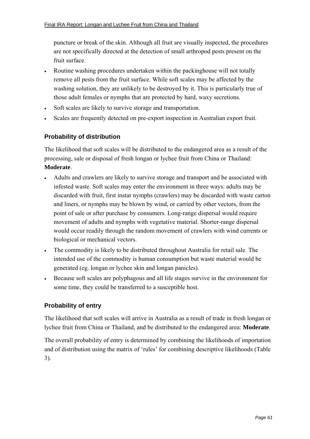puncture or break of the skin. Although all fruit are visually inspected, the procedures are not specifically directed at the detection of small arthropod pests present on the fruit surface.

- Routine washing procedures undertaken within the packinghouse will not totally remove all pests from the fruit surface. While soft scales may be affected by the washing solution, they are unlikely to be destroyed by it. This is particularly true of those adult females or nymphs that are protected by hard, waxy secretions.
- Soft scales are likely to survive storage and transportation.
- Scales are frequently detected on pre-export inspection in Australian export fruit.

# **Probability of distribution**

The likelihood that soft scales will be distributed to the endangered area as a result of the processing, sale or disposal of fresh longan or lychee fruit from China or Thailand: **Moderate**.

- Adults and crawlers are likely to survive storage and transport and be associated with infested waste. Soft scales may enter the environment in three ways: adults may be discarded with fruit, first instar nymphs (crawlers) may be discarded with waste carton and liners, or nymphs may be blown by wind, or carried by other vectors, from the point of sale or after purchase by consumers. Long-range dispersal would require movement of adults and nymphs with vegetative material. Shorter-range dispersal would occur readily through the random movement of crawlers with wind currents or biological or mechanical vectors.
- The commodity is likely to be distributed throughout Australia for retail sale. The intended use of the commodity is human consumption but waste material would be generated (eg. longan or lychee skin and longan panicles).
- Because soft scales are polyphagous and all life stages survive in the environment for some time, they could be transferred to a susceptible host.

# **Probability of entry**

The likelihood that soft scales will arrive in Australia as a result of trade in fresh longan or lychee fruit from China or Thailand, and be distributed to the endangered area: **Moderate**.

The overall probability of entry is determined by combining the likelihoods of importation and of distribution using the matrix of 'rules' for combining descriptive likelihoods (Table 3).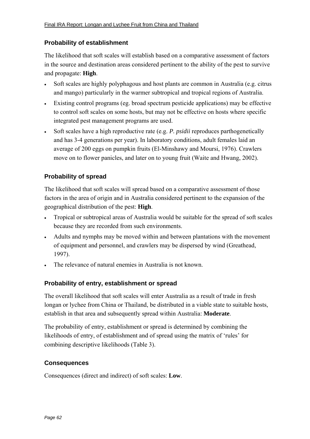### **Probability of establishment**

The likelihood that soft scales will establish based on a comparative assessment of factors in the source and destination areas considered pertinent to the ability of the pest to survive and propagate: **High**.

- Soft scales are highly polyphagous and host plants are common in Australia (e.g. citrus and mango) particularly in the warmer subtropical and tropical regions of Australia.
- Existing control programs (eg. broad spectrum pesticide applications) may be effective to control soft scales on some hosts, but may not be effective on hosts where specific integrated pest management programs are used.
- Soft scales have a high reproductive rate (e.g. *P. psidii* reproduces parthogenetically and has 3-4 generations per year). In laboratory conditions, adult females laid an average of 200 eggs on pumpkin fruits (El-Minshawy and Moursi, 1976). Crawlers move on to flower panicles, and later on to young fruit (Waite and Hwang, 2002).

# **Probability of spread**

The likelihood that soft scales will spread based on a comparative assessment of those factors in the area of origin and in Australia considered pertinent to the expansion of the geographical distribution of the pest: **High**.

- Tropical or subtropical areas of Australia would be suitable for the spread of soft scales because they are recorded from such environments.
- Adults and nymphs may be moved within and between plantations with the movement of equipment and personnel, and crawlers may be dispersed by wind (Greathead, 1997).
- The relevance of natural enemies in Australia is not known.

#### **Probability of entry, establishment or spread**

The overall likelihood that soft scales will enter Australia as a result of trade in fresh longan or lychee from China or Thailand, be distributed in a viable state to suitable hosts, establish in that area and subsequently spread within Australia: **Moderate**.

The probability of entry, establishment or spread is determined by combining the likelihoods of entry, of establishment and of spread using the matrix of 'rules' for combining descriptive likelihoods (Table 3).

#### **Consequences**

Consequences (direct and indirect) of soft scales: **Low**.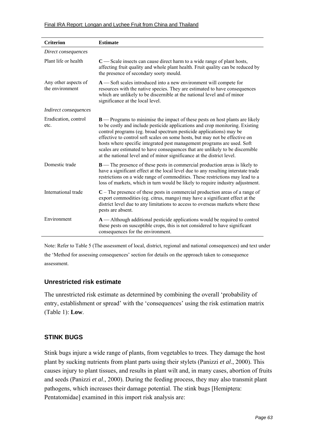#### Final IRA Report: Longan and Lychee Fruit from China and Thailand

| <b>Criterion</b>                        | <b>Estimate</b>                                                                                                                                                                                                                                                                                                                                                                                                                                                                                                                                                  |
|-----------------------------------------|------------------------------------------------------------------------------------------------------------------------------------------------------------------------------------------------------------------------------------------------------------------------------------------------------------------------------------------------------------------------------------------------------------------------------------------------------------------------------------------------------------------------------------------------------------------|
| Direct consequences                     |                                                                                                                                                                                                                                                                                                                                                                                                                                                                                                                                                                  |
| Plant life or health                    | $C$ - Scale insects can cause direct harm to a wide range of plant hosts,<br>affecting fruit quality and whole plant health. Fruit quality can be reduced by<br>the presence of secondary sooty mould.                                                                                                                                                                                                                                                                                                                                                           |
| Any other aspects of<br>the environment | $A$ — Soft scales introduced into a new environment will compete for<br>resources with the native species. They are estimated to have consequences<br>which are unlikely to be discernible at the national level and of minor<br>significance at the local level.                                                                                                                                                                                                                                                                                                |
| Indirect consequences                   |                                                                                                                                                                                                                                                                                                                                                                                                                                                                                                                                                                  |
| Eradication, control<br>etc.            | <b>B</b> — Programs to minimise the impact of these pests on host plants are likely<br>to be costly and include pesticide applications and crop monitoring. Existing<br>control programs (eg. broad spectrum pesticide applications) may be<br>effective to control soft scales on some hosts, but may not be effective on<br>hosts where specific integrated pest management programs are used. Soft<br>scales are estimated to have consequences that are unlikely to be discernible<br>at the national level and of minor significance at the district level. |
| Domestic trade                          | <b>B</b> — The presence of these pests in commercial production areas is likely to<br>have a significant effect at the local level due to any resulting interstate trade<br>restrictions on a wide range of commodities. These restrictions may lead to a<br>loss of markets, which in turn would be likely to require industry adjustment.                                                                                                                                                                                                                      |
| International trade                     | $C$ – The presence of these pests in commercial production areas of a range of<br>export commodities (eg. citrus, mango) may have a significant effect at the<br>district level due to any limitations to access to overseas markets where these<br>pests are absent.                                                                                                                                                                                                                                                                                            |
| Environment                             | $A$ — Although additional pesticide applications would be required to control<br>these pests on susceptible crops, this is not considered to have significant<br>consequences for the environment.                                                                                                                                                                                                                                                                                                                                                               |

Note: Refer to Table 5 (The assessment of local, district, regional and national consequences) and text under the 'Method for assessing consequences' section for details on the approach taken to consequence assessment.

#### **Unrestricted risk estimate**

The unrestricted risk estimate as determined by combining the overall 'probability of entry, establishment or spread' with the 'consequences' using the risk estimation matrix (Table 1): **Low**.

#### **STINK BUGS**

Stink bugs injure a wide range of plants, from vegetables to trees. They damage the host plant by sucking nutrients from plant parts using their stylets (Panizzi *et al*., 2000). This causes injury to plant tissues, and results in plant wilt and, in many cases, abortion of fruits and seeds (Panizzi *et al*., 2000). During the feeding process, they may also transmit plant pathogens, which increases their damage potential. The stink bugs [Hemiptera: Pentatomidae] examined in this import risk analysis are: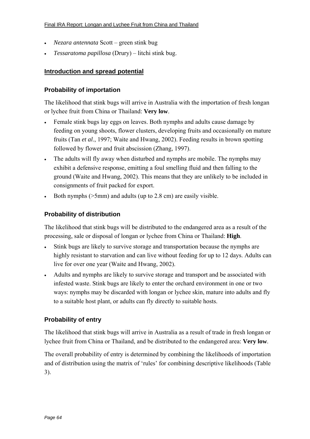- *Nezara antennata* Scott green stink bug
- *Tessaratoma papillosa* (Drury) litchi stink bug.

## **Introduction and spread potential**

## **Probability of importation**

The likelihood that stink bugs will arrive in Australia with the importation of fresh longan or lychee fruit from China or Thailand: **Very low**.

- Female stink bugs lay eggs on leaves. Both nymphs and adults cause damage by feeding on young shoots, flower clusters, developing fruits and occasionally on mature fruits (Tan *et al*., 1997; Waite and Hwang, 2002). Feeding results in brown spotting followed by flower and fruit abscission (Zhang, 1997).
- The adults will fly away when disturbed and nymphs are mobile. The nymphs may exhibit a defensive response, emitting a foul smelling fluid and then falling to the ground (Waite and Hwang, 2002). This means that they are unlikely to be included in consignments of fruit packed for export.
- Both nymphs  $(>\,5\,\text{mm})$  and adults (up to 2.8 cm) are easily visible.

# **Probability of distribution**

The likelihood that stink bugs will be distributed to the endangered area as a result of the processing, sale or disposal of longan or lychee from China or Thailand: **High**.

- Stink bugs are likely to survive storage and transportation because the nymphs are highly resistant to starvation and can live without feeding for up to 12 days. Adults can live for over one year (Waite and Hwang, 2002).
- Adults and nymphs are likely to survive storage and transport and be associated with infested waste. Stink bugs are likely to enter the orchard environment in one or two ways: nymphs may be discarded with longan or lychee skin, mature into adults and fly to a suitable host plant, or adults can fly directly to suitable hosts.

# **Probability of entry**

The likelihood that stink bugs will arrive in Australia as a result of trade in fresh longan or lychee fruit from China or Thailand, and be distributed to the endangered area: **Very low**.

The overall probability of entry is determined by combining the likelihoods of importation and of distribution using the matrix of 'rules' for combining descriptive likelihoods (Table 3).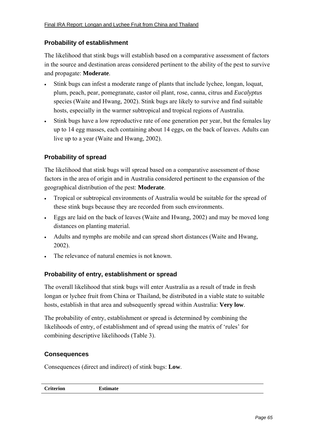# **Probability of establishment**

The likelihood that stink bugs will establish based on a comparative assessment of factors in the source and destination areas considered pertinent to the ability of the pest to survive and propagate: **Moderate**.

- Stink bugs can infest a moderate range of plants that include lychee, longan, loquat, plum, peach, pear, pomegranate, castor oil plant, rose, canna, citrus and *Eucalyptus* species (Waite and Hwang, 2002). Stink bugs are likely to survive and find suitable hosts, especially in the warmer subtropical and tropical regions of Australia.
- Stink bugs have a low reproductive rate of one generation per year, but the females lay up to 14 egg masses, each containing about 14 eggs, on the back of leaves. Adults can live up to a year (Waite and Hwang, 2002).

# **Probability of spread**

The likelihood that stink bugs will spread based on a comparative assessment of those factors in the area of origin and in Australia considered pertinent to the expansion of the geographical distribution of the pest: **Moderate**.

- Tropical or subtropical environments of Australia would be suitable for the spread of these stink bugs because they are recorded from such environments.
- Eggs are laid on the back of leaves (Waite and Hwang, 2002) and may be moved long distances on planting material.
- Adults and nymphs are mobile and can spread short distances (Waite and Hwang, 2002).
- The relevance of natural enemies is not known.

# **Probability of entry, establishment or spread**

The overall likelihood that stink bugs will enter Australia as a result of trade in fresh longan or lychee fruit from China or Thailand, be distributed in a viable state to suitable hosts, establish in that area and subsequently spread within Australia: **Very low**.

The probability of entry, establishment or spread is determined by combining the likelihoods of entry, of establishment and of spread using the matrix of 'rules' for combining descriptive likelihoods (Table 3).

#### **Consequences**

Consequences (direct and indirect) of stink bugs: **Low**.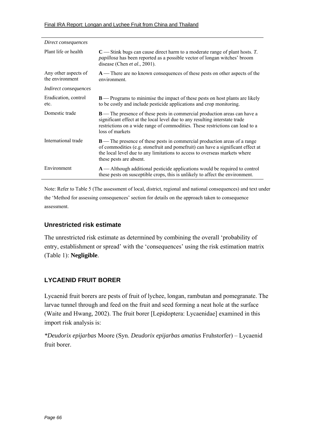| Direct consequences                     |                                                                                                                                                                                                                                                                         |
|-----------------------------------------|-------------------------------------------------------------------------------------------------------------------------------------------------------------------------------------------------------------------------------------------------------------------------|
| Plant life or health                    | $C$ - Stink bugs can cause direct harm to a moderate range of plant hosts. T.<br><i>papillosa</i> has been reported as a possible vector of longan witches' broom<br>disease (Chen et al., 2001).                                                                       |
| Any other aspects of<br>the environment | A — There are no known consequences of these pests on other aspects of the<br>environment.                                                                                                                                                                              |
| <i>Indirect consequences</i>            |                                                                                                                                                                                                                                                                         |
| Eradication, control<br>etc.            | <b>B</b> — Programs to minimise the impact of these pests on host plants are likely<br>to be costly and include pesticide applications and crop monitoring.                                                                                                             |
| Domestic trade                          | <b>B</b> —The presence of these pests in commercial production areas can have a<br>significant effect at the local level due to any resulting interstate trade<br>restrictions on a wide range of commodities. These restrictions can lead to a<br>loss of markets      |
| International trade                     | $B$ — The presence of these pests in commercial production areas of a range<br>of commodities (e.g. stonefruit and pomefruit) can have a significant effect at<br>the local level due to any limitations to access to overseas markets where<br>these pests are absent. |
| Environment                             | $A$ — Although additional pesticide applications would be required to control<br>these pests on susceptible crops, this is unlikely to affect the environment.                                                                                                          |

Note: Refer to Table 5 (The assessment of local, district, regional and national consequences) and text under the 'Method for assessing consequences' section for details on the approach taken to consequence assessment.

# **Unrestricted risk estimate**

The unrestricted risk estimate as determined by combining the overall 'probability of entry, establishment or spread' with the 'consequences' using the risk estimation matrix (Table 1): **Negligible**.

# **LYCAENID FRUIT BORER**

Lycaenid fruit borers are pests of fruit of lychee, longan, rambutan and pomegranate. The larvae tunnel through and feed on the fruit and seed forming a neat hole at the surface (Waite and Hwang, 2002). The fruit borer [Lepidoptera: Lycaenidae] examined in this import risk analysis is:

*\*Deudorix epijarbas* Moore (Syn. *Deudorix epijarbas amatius* Fruhstorfer) – Lycaenid fruit borer.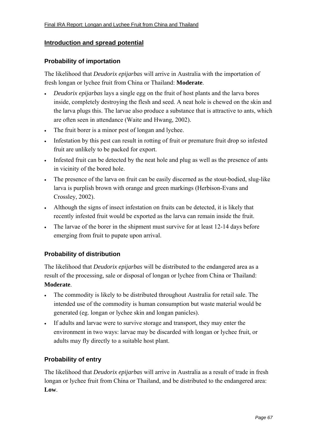## **Introduction and spread potential**

### **Probability of importation**

The likelihood that *Deudorix epijarbas* will arrive in Australia with the importation of fresh longan or lychee fruit from China or Thailand: **Moderate**.

- *Deudorix epijarbas* lays a single egg on the fruit of host plants and the larva bores inside, completely destroying the flesh and seed. A neat hole is chewed on the skin and the larva plugs this. The larvae also produce a substance that is attractive to ants, which are often seen in attendance (Waite and Hwang, 2002).
- The fruit borer is a minor pest of longan and lychee.
- Infestation by this pest can result in rotting of fruit or premature fruit drop so infested fruit are unlikely to be packed for export.
- Infested fruit can be detected by the neat hole and plug as well as the presence of ants in vicinity of the bored hole.
- The presence of the larva on fruit can be easily discerned as the stout-bodied, slug-like larva is purplish brown with orange and green markings (Herbison-Evans and Crossley, 2002).
- Although the signs of insect infestation on fruits can be detected, it is likely that recently infested fruit would be exported as the larva can remain inside the fruit.
- The larvae of the borer in the shipment must survive for at least 12-14 days before emerging from fruit to pupate upon arrival.

# **Probability of distribution**

The likelihood that *Deudorix epijarbas* will be distributed to the endangered area as a result of the processing, sale or disposal of longan or lychee from China or Thailand: **Moderate**.

- The commodity is likely to be distributed throughout Australia for retail sale. The intended use of the commodity is human consumption but waste material would be generated (eg. longan or lychee skin and longan panicles).
- If adults and larvae were to survive storage and transport, they may enter the environment in two ways: larvae may be discarded with longan or lychee fruit, or adults may fly directly to a suitable host plant.

#### **Probability of entry**

The likelihood that *Deudorix epijarbas* will arrive in Australia as a result of trade in fresh longan or lychee fruit from China or Thailand, and be distributed to the endangered area: **Low**.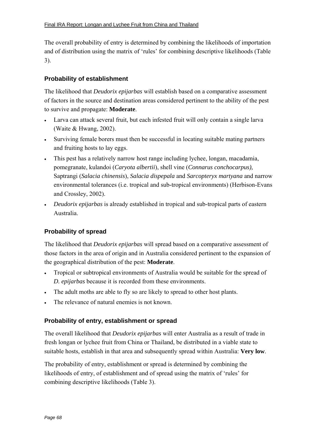The overall probability of entry is determined by combining the likelihoods of importation and of distribution using the matrix of 'rules' for combining descriptive likelihoods (Table 3).

# **Probability of establishment**

The likelihood that *Deudorix epijarbas* will establish based on a comparative assessment of factors in the source and destination areas considered pertinent to the ability of the pest to survive and propagate: **Moderate**.

- Larva can attack several fruit, but each infested fruit will only contain a single larva (Waite & Hwang, 2002).
- Surviving female borers must then be successful in locating suitable mating partners and fruiting hosts to lay eggs.
- This pest has a relatively narrow host range including lychee, longan, macadamia, pomegranate, kulandoi (*Caryota albertii*), shell vine (*Connarus conchocarpus),*  Saptrangi (*Salacia chinensis*), *Salacia dispepala* and *Sarcopteryx martyana* and narrow environmental tolerances (i.e. tropical and sub-tropical environments) (Herbison-Evans and Crossley, 2002).
- *Deudorix epijarbas* is already established in tropical and sub-tropical parts of eastern Australia.

# **Probability of spread**

The likelihood that *Deudorix epijarbas* will spread based on a comparative assessment of those factors in the area of origin and in Australia considered pertinent to the expansion of the geographical distribution of the pest: **Moderate**.

- Tropical or subtropical environments of Australia would be suitable for the spread of *D. epijarbas* because it is recorded from these environments.
- The adult moths are able to fly so are likely to spread to other host plants.
- The relevance of natural enemies is not known.

#### **Probability of entry, establishment or spread**

The overall likelihood that *Deudorix epijarbas* will enter Australia as a result of trade in fresh longan or lychee fruit from China or Thailand, be distributed in a viable state to suitable hosts, establish in that area and subsequently spread within Australia: **Very low**.

The probability of entry, establishment or spread is determined by combining the likelihoods of entry, of establishment and of spread using the matrix of 'rules' for combining descriptive likelihoods (Table 3).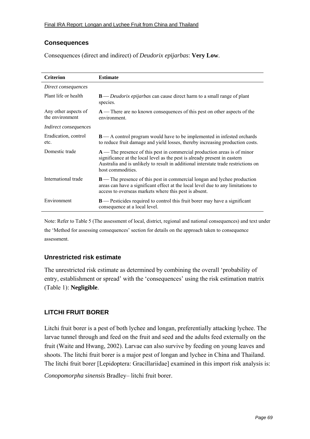# **Consequences**

Consequences (direct and indirect) of *Deudorix epijarbas*: **Very Low**.

| <b>Criterion</b>                        | <b>Estimate</b>                                                                                                                                                                                                                                                    |
|-----------------------------------------|--------------------------------------------------------------------------------------------------------------------------------------------------------------------------------------------------------------------------------------------------------------------|
| Direct consequences                     |                                                                                                                                                                                                                                                                    |
| Plant life or health                    | $\mathbf{B}$ — <i>Deudorix epijarbas</i> can cause direct harm to a small range of plant<br>species.                                                                                                                                                               |
| Any other aspects of<br>the environment | $A$ — There are no known consequences of this pest on other aspects of the<br>environment.                                                                                                                                                                         |
| <i>Indirect consequences</i>            |                                                                                                                                                                                                                                                                    |
| Eradication, control<br>etc.            | $B$ — A control program would have to be implemented in infested orchards<br>to reduce fruit damage and yield losses, thereby increasing production costs.                                                                                                         |
| Domestic trade                          | $A$ — The presence of this pest in commercial production areas is of minor<br>significance at the local level as the pest is already present in eastern<br>Australia and is unlikely to result in additional interstate trade restrictions on<br>host commodities. |
| International trade                     | $\mathbf{B}$ — The presence of this pest in commercial longan and lychee production<br>areas can have a significant effect at the local level due to any limitations to<br>access to overseas markets where this pest is absent.                                   |
| Environment                             | $B$ — Pesticides required to control this fruit borer may have a significant<br>consequence at a local level.                                                                                                                                                      |

Note: Refer to Table 5 (The assessment of local, district, regional and national consequences) and text under the 'Method for assessing consequences' section for details on the approach taken to consequence assessment.

# **Unrestricted risk estimate**

The unrestricted risk estimate as determined by combining the overall 'probability of entry, establishment or spread' with the 'consequences' using the risk estimation matrix (Table 1): **Negligible**.

# **LITCHI FRUIT BORER**

Litchi fruit borer is a pest of both lychee and longan, preferentially attacking lychee. The larvae tunnel through and feed on the fruit and seed and the adults feed externally on the fruit (Waite and Hwang, 2002). Larvae can also survive by feeding on young leaves and shoots. The litchi fruit borer is a major pest of longan and lychee in China and Thailand. The litchi fruit borer [Lepidoptera: Gracillariidae] examined in this import risk analysis is:

*Conopomorpha sinensis Bradley-litchi fruit borer.*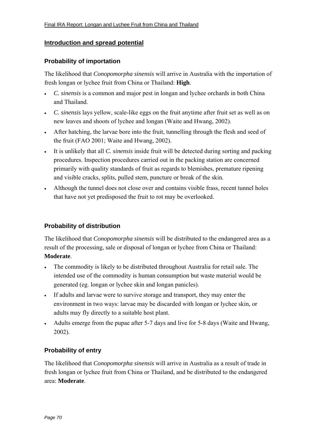## **Introduction and spread potential**

#### **Probability of importation**

The likelihood that *Conopomorpha sinensis* will arrive in Australia with the importation of fresh longan or lychee fruit from China or Thailand: **High**.

- *C. sinensis* is a common and major pest in longan and lychee orchards in both China and Thailand.
- *C. sinensis* lays yellow, scale-like eggs on the fruit anytime after fruit set as well as on new leaves and shoots of lychee and longan (Waite and Hwang, 2002).
- After hatching, the larvae bore into the fruit, tunnelling through the flesh and seed of the fruit (FAO 2001; Waite and Hwang, 2002).
- It is unlikely that all *C. sinensis* inside fruit will be detected during sorting and packing procedures. Inspection procedures carried out in the packing station are concerned primarily with quality standards of fruit as regards to blemishes, premature ripening and visible cracks, splits, pulled stem, puncture or break of the skin.
- Although the tunnel does not close over and contains visible frass, recent tunnel holes that have not yet predisposed the fruit to rot may be overlooked.

# **Probability of distribution**

The likelihood that *Conopomorpha sinensis* will be distributed to the endangered area as a result of the processing, sale or disposal of longan or lychee from China or Thailand: **Moderate**.

- The commodity is likely to be distributed throughout Australia for retail sale. The intended use of the commodity is human consumption but waste material would be generated (eg. longan or lychee skin and longan panicles).
- If adults and larvae were to survive storage and transport, they may enter the environment in two ways: larvae may be discarded with longan or lychee skin, or adults may fly directly to a suitable host plant.
- Adults emerge from the pupae after 5-7 days and live for 5-8 days (Waite and Hwang, 2002).

#### **Probability of entry**

The likelihood that *Conopomorpha sinensis* will arrive in Australia as a result of trade in fresh longan or lychee fruit from China or Thailand, and be distributed to the endangered area: **Moderate**.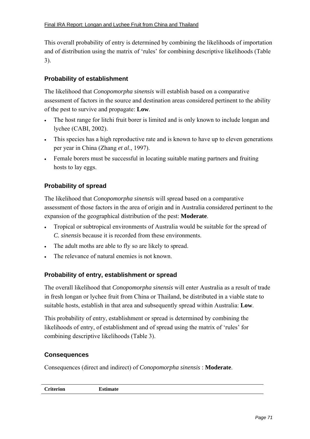This overall probability of entry is determined by combining the likelihoods of importation and of distribution using the matrix of 'rules' for combining descriptive likelihoods (Table 3).

## **Probability of establishment**

The likelihood that *Conopomorpha sinensis* will establish based on a comparative assessment of factors in the source and destination areas considered pertinent to the ability of the pest to survive and propagate: **Low**.

- The host range for litchi fruit borer is limited and is only known to include longan and lychee (CABI, 2002).
- This species has a high reproductive rate and is known to have up to eleven generations per year in China (Zhang *et al*., 1997).
- Female borers must be successful in locating suitable mating partners and fruiting hosts to lay eggs.

### **Probability of spread**

The likelihood that *Conopomorpha sinensis* will spread based on a comparative assessment of those factors in the area of origin and in Australia considered pertinent to the expansion of the geographical distribution of the pest: **Moderate**.

- Tropical or subtropical environments of Australia would be suitable for the spread of *C. sinensis* because it is recorded from these environments.
- The adult moths are able to fly so are likely to spread.
- The relevance of natural enemies is not known.

#### **Probability of entry, establishment or spread**

The overall likelihood that *Conopomorpha sinensis* will enter Australia as a result of trade in fresh longan or lychee fruit from China or Thailand, be distributed in a viable state to suitable hosts, establish in that area and subsequently spread within Australia: **Low**.

This probability of entry, establishment or spread is determined by combining the likelihoods of entry, of establishment and of spread using the matrix of 'rules' for combining descriptive likelihoods (Table 3).

#### **Consequences**

Consequences (direct and indirect) of *Conopomorpha sinensis* : **Moderate**.

|--|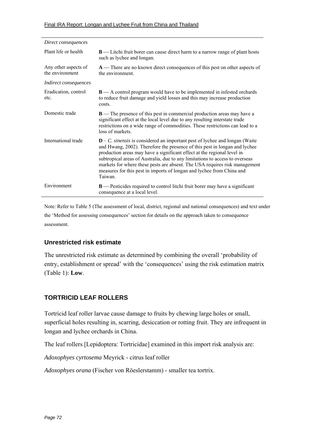| Direct consequences                     |                                                                                                                                                                                                                                                                                                                                                                                                                                                                                                  |
|-----------------------------------------|--------------------------------------------------------------------------------------------------------------------------------------------------------------------------------------------------------------------------------------------------------------------------------------------------------------------------------------------------------------------------------------------------------------------------------------------------------------------------------------------------|
| Plant life or health                    | <b>B</b> — Litchi fruit borer can cause direct harm to a narrow range of plant hosts<br>such as lychee and longan.                                                                                                                                                                                                                                                                                                                                                                               |
| Any other aspects of<br>the environment | $A$ — There are no known direct consequences of this pest on other aspects of<br>the environment                                                                                                                                                                                                                                                                                                                                                                                                 |
| <i>Indirect consequences</i>            |                                                                                                                                                                                                                                                                                                                                                                                                                                                                                                  |
| Eradication, control<br>etc.            | $B$ — A control program would have to be implemented in infested orchards<br>to reduce fruit damage and yield losses and this may increase production<br>costs.                                                                                                                                                                                                                                                                                                                                  |
| Domestic trade                          | <b>B</b> —The presence of this pest in commercial production areas may have a<br>significant effect at the local level due to any resulting interstate trade<br>restrictions on a wide range of commodities. These restrictions can lead to a<br>loss of markets                                                                                                                                                                                                                                 |
| International trade                     | $D - C$ . <i>sinensis</i> is considered an important pest of lychee and longan (Waite<br>and Hwang, 2002). Therefore the presence of this pest in longan and lychee<br>production areas may have a significant effect at the regional level in<br>subtropical areas of Australia, due to any limitations to access to overseas<br>markets for where these pests are absent. The USA requires risk management<br>measures for this pest in imports of longan and lychee from China and<br>Taiwan. |
| Environment                             | <b>B</b> — Pesticides required to control litchi fruit borer may have a significant<br>consequence at a local level.                                                                                                                                                                                                                                                                                                                                                                             |

Note: Refer to Table 5 (The assessment of local, district, regional and national consequences) and text under the 'Method for assessing consequences' section for details on the approach taken to consequence assessment.

# **Unrestricted risk estimate**

The unrestricted risk estimate as determined by combining the overall ëprobability of entry, establishment or spread' with the 'consequences' using the risk estimation matrix (Table 1): **Low**.

# **TORTRICID LEAF ROLLERS**

Tortricid leaf roller larvae cause damage to fruits by chewing large holes or small, superficial holes resulting in, scarring, desiccation or rotting fruit. They are infrequent in longan and lychee orchards in China.

The leaf rollers [Lepidoptera: Tortricidae] examined in this import risk analysis are:

*Adoxophyes cyrtosema* Meyrick - citrus leaf roller

*Adoxophyes orana* (Fischer von Röeslerstamm) - smaller tea tortrix.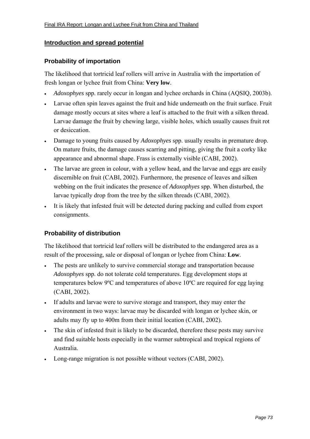### **Introduction and spread potential**

### **Probability of importation**

The likelihood that tortricid leaf rollers will arrive in Australia with the importation of fresh longan or lychee fruit from China: **Very low**.

- *Adoxophyes* spp. rarely occur in longan and lychee orchards in China (AQSIQ, 2003b).
- Larvae often spin leaves against the fruit and hide underneath on the fruit surface. Fruit damage mostly occurs at sites where a leaf is attached to the fruit with a silken thread. Larvae damage the fruit by chewing large, visible holes, which usually causes fruit rot or desiccation.
- Damage to young fruits caused by *Adoxophyes* spp. usually results in premature drop. On mature fruits, the damage causes scarring and pitting, giving the fruit a corky like appearance and abnormal shape. Frass is externally visible (CABI, 2002).
- The larvae are green in colour, with a yellow head, and the larvae and eggs are easily discernible on fruit (CABI, 2002). Furthermore, the presence of leaves and silken webbing on the fruit indicates the presence of *Adoxophyes* spp. When disturbed, the larvae typically drop from the tree by the silken threads (CABI, 2002).
- It is likely that infested fruit will be detected during packing and culled from export consignments.

### **Probability of distribution**

The likelihood that tortricid leaf rollers will be distributed to the endangered area as a result of the processing, sale or disposal of longan or lychee from China: **Low**.

- The pests are unlikely to survive commercial storage and transportation because *Adoxophyes* spp. do not tolerate cold temperatures. Egg development stops at temperatures below 9ºC and temperatures of above 10ºC are required for egg laying (CABI, 2002).
- If adults and larvae were to survive storage and transport, they may enter the environment in two ways: larvae may be discarded with longan or lychee skin, or adults may fly up to 400m from their initial location (CABI, 2002).
- The skin of infested fruit is likely to be discarded, therefore these pests may survive and find suitable hosts especially in the warmer subtropical and tropical regions of Australia.
- Long-range migration is not possible without vectors (CABI, 2002).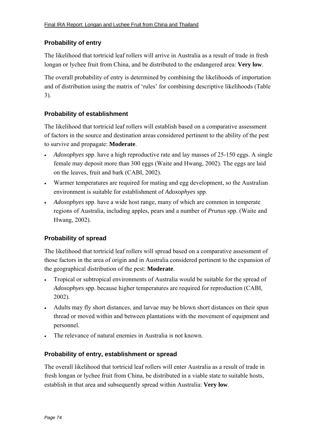### **Probability of entry**

The likelihood that tortricid leaf rollers will arrive in Australia as a result of trade in fresh longan or lychee fruit from China, and be distributed to the endangered area: **Very low**.

The overall probability of entry is determined by combining the likelihoods of importation and of distribution using the matrix of 'rules' for combining descriptive likelihoods (Table 3).

### **Probability of establishment**

The likelihood that tortricid leaf rollers will establish based on a comparative assessment of factors in the source and destination areas considered pertinent to the ability of the pest to survive and propagate: **Moderate**.

- *Adoxophyes* spp. have a high reproductive rate and lay masses of 25-150 eggs. A single female may deposit more than 300 eggs (Waite and Hwang, 2002). The eggs are laid on the leaves, fruit and bark (CABI, 2002).
- Warmer temperatures are required for mating and egg development, so the Australian environment is suitable for establishment of *Adoxophyes* spp.
- *Adoxophyes* spp. have a wide host range, many of which are common in temperate regions of Australia, including apples, pears and a number of *Prunus* spp. (Waite and Hwang, 2002).

### **Probability of spread**

The likelihood that tortricid leaf rollers will spread based on a comparative assessment of those factors in the area of origin and in Australia considered pertinent to the expansion of the geographical distribution of the pest: **Moderate**.

- Tropical or subtropical environments of Australia would be suitable for the spread of *Adoxophyes* spp. because higher temperatures are required for reproduction (CABI, 2002).
- Adults may fly short distances, and larvae may be blown short distances on their spun thread or moved within and between plantations with the movement of equipment and personnel.
- The relevance of natural enemies in Australia is not known.

#### **Probability of entry, establishment or spread**

The overall likelihood that tortricid leaf rollers will enter Australia as a result of trade in fresh longan or lychee fruit from China, be distributed in a viable state to suitable hosts, establish in that area and subsequently spread within Australia: **Very low**.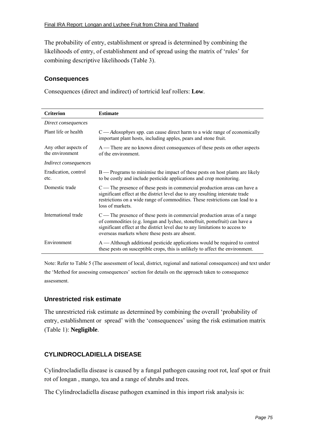The probability of entry, establishment or spread is determined by combining the likelihoods of entry, of establishment and of spread using the matrix of 'rules' for combining descriptive likelihoods (Table 3).

### **Consequences**

Consequences (direct and indirect) of tortricid leaf rollers: **Low**.

| <b>Criterion</b>                        | <b>Estimate</b>                                                                                                                                                                                                                                                                            |  |  |  |  |
|-----------------------------------------|--------------------------------------------------------------------------------------------------------------------------------------------------------------------------------------------------------------------------------------------------------------------------------------------|--|--|--|--|
| Direct consequences                     |                                                                                                                                                                                                                                                                                            |  |  |  |  |
| Plant life or health                    | C — Adoxophyes spp. can cause direct harm to a wide range of economically<br>important plant hosts, including apples, pears and stone fruit.                                                                                                                                               |  |  |  |  |
| Any other aspects of<br>the environment | A — There are no known direct consequences of these pests on other aspects<br>of the environment.                                                                                                                                                                                          |  |  |  |  |
| <i>Indirect consequences</i>            |                                                                                                                                                                                                                                                                                            |  |  |  |  |
| Eradication, control<br>etc.            | B — Programs to minimise the impact of these pests on host plants are likely<br>to be costly and include pesticide applications and crop monitoring.                                                                                                                                       |  |  |  |  |
| Domestic trade                          | C — The presence of these pests in commercial production areas can have a<br>significant effect at the district level due to any resulting interstate trade<br>restrictions on a wide range of commodities. These restrictions can lead to a<br>loss of markets.                           |  |  |  |  |
| International trade                     | $C$ — The presence of these pests in commercial production areas of a range<br>of commodities (e.g. longan and lychee, stonefruit, pomefruit) can have a<br>significant effect at the district level due to any limitations to access to<br>overseas markets where these pests are absent. |  |  |  |  |
| Environment                             | A — Although additional pesticide applications would be required to control<br>these pests on susceptible crops, this is unlikely to affect the environment.                                                                                                                               |  |  |  |  |

Note: Refer to Table 5 (The assessment of local, district, regional and national consequences) and text under the 'Method for assessing consequences' section for details on the approach taken to consequence assessment.

#### **Unrestricted risk estimate**

The unrestricted risk estimate as determined by combining the overall 'probability of entry, establishment or spread' with the 'consequences' using the risk estimation matrix (Table 1): **Negligible**.

### **CYLINDROCLADIELLA DISEASE**

Cylindrocladiella disease is caused by a fungal pathogen causing root rot, leaf spot or fruit rot of longan , mango, tea and a range of shrubs and trees.

The Cylindrocladiella disease pathogen examined in this import risk analysis is: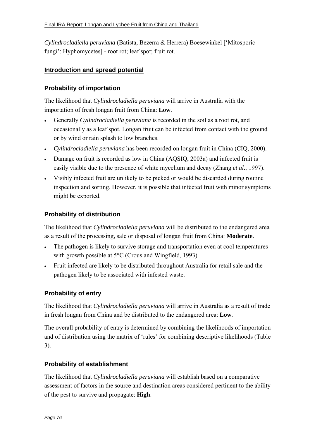*Cylindrocladiella peruviana* (Batista, Bezerra & Herrera) Boesewinkel [ëMitosporic fungi': Hyphomycetes] - root rot; leaf spot; fruit rot.

### **Introduction and spread potential**

#### **Probability of importation**

The likelihood that *Cylindrocladiella peruviana* will arrive in Australia with the importation of fresh longan fruit from China: **Low**.

- Generally *Cylindrocladiella peruviana* is recorded in the soil as a root rot, and occasionally as a leaf spot. Longan fruit can be infected from contact with the ground or by wind or rain splash to low branches.
- *Cylindrocladiella peruviana* has been recorded on longan fruit in China (CIQ, 2000).
- Damage on fruit is recorded as low in China (AQSIQ, 2003a) and infected fruit is easily visible due to the presence of white mycelium and decay (Zhang *et al*., 1997).
- Visibly infected fruit are unlikely to be picked or would be discarded during routine inspection and sorting. However, it is possible that infected fruit with minor symptoms might be exported.

### **Probability of distribution**

The likelihood that *Cylindrocladiella peruviana* will be distributed to the endangered area as a result of the processing, sale or disposal of longan fruit from China: **Moderate**.

- The pathogen is likely to survive storage and transportation even at cool temperatures with growth possible at 5<sup>o</sup>C (Crous and Wingfield, 1993).
- Fruit infected are likely to be distributed throughout Australia for retail sale and the pathogen likely to be associated with infested waste.

### **Probability of entry**

The likelihood that *Cylindrocladiella peruviana* will arrive in Australia as a result of trade in fresh longan from China and be distributed to the endangered area: **Low**.

The overall probability of entry is determined by combining the likelihoods of importation and of distribution using the matrix of 'rules' for combining descriptive likelihoods (Table 3).

#### **Probability of establishment**

The likelihood that *Cylindrocladiella peruviana* will establish based on a comparative assessment of factors in the source and destination areas considered pertinent to the ability of the pest to survive and propagate: **High**.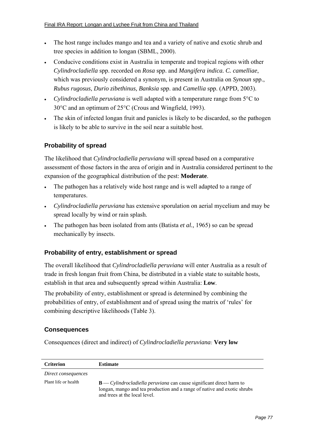- The host range includes mango and tea and a variety of native and exotic shrub and tree species in addition to longan (SBML, 2000).
- Conducive conditions exist in Australia in temperate and tropical regions with other *Cylindrocladiella* spp. recorded on *Rosa* spp. and *Mangifera indica. C. camelliae*, which was previously considered a synonym, is present in Australia on *Synoun* spp., *Rubus rugosus*, *Durio zibethinus, Banksia* spp. and *Camellia* spp. (APPD, 2003).
- *Cylindrocladiella peruviana* is well adapted with a temperature range from 5°C to 30°C and an optimum of 25°C (Crous and Wingfield, 1993).
- The skin of infected longan fruit and panicles is likely to be discarded, so the pathogen is likely to be able to survive in the soil near a suitable host.

## **Probability of spread**

The likelihood that *Cylindrocladiella peruviana* will spread based on a comparative assessment of those factors in the area of origin and in Australia considered pertinent to the expansion of the geographical distribution of the pest: **Moderate**.

- The pathogen has a relatively wide host range and is well adapted to a range of temperatures.
- *Cylindrocladiella peruviana* has extensive sporulation on aerial mycelium and may be spread locally by wind or rain splash.
- The pathogen has been isolated from ants (Batista *et al.,* 1965) so can be spread mechanically by insects.

### **Probability of entry, establishment or spread**

The overall likelihood that *Cylindrocladiella peruviana* will enter Australia as a result of trade in fresh longan fruit from China, be distributed in a viable state to suitable hosts, establish in that area and subsequently spread within Australia: **Low**.

The probability of entry, establishment or spread is determined by combining the probabilities of entry, of establishment and of spread using the matrix of 'rules' for combining descriptive likelihoods (Table 3).

#### **Consequences**

Consequences (direct and indirect) of *Cylindrocladiella peruviana:* **Very low** 

| <b>Criterion</b>     | <b>Estimate</b>                                                                                                                                                                              |  |  |  |  |
|----------------------|----------------------------------------------------------------------------------------------------------------------------------------------------------------------------------------------|--|--|--|--|
| Direct consequences  |                                                                                                                                                                                              |  |  |  |  |
| Plant life or health | $\mathbf{B}$ — Cylindrocladiella peruviana can cause significant direct harm to<br>longan, mango and tea production and a range of native and exotic shrubs<br>and trees at the local level. |  |  |  |  |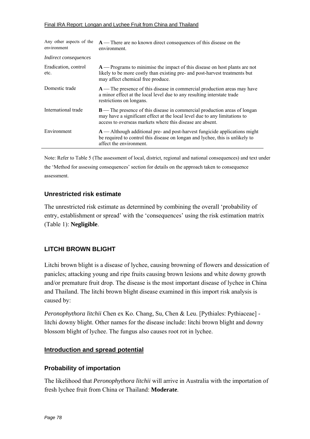#### Final IRA Report: Longan and Lychee Fruit from China and Thailand

| Any other aspects of the<br>environment | A — There are no known direct consequences of this disease on the<br>environment.                                                                                                                                          |  |  |  |
|-----------------------------------------|----------------------------------------------------------------------------------------------------------------------------------------------------------------------------------------------------------------------------|--|--|--|
| <i>Indirect consequences</i>            |                                                                                                                                                                                                                            |  |  |  |
| Eradication, control<br>etc.            | $A$ — Programs to minimise the impact of this disease on host plants are not<br>likely to be more costly than existing pre- and post-harvest treatments but<br>may affect chemical free produce.                           |  |  |  |
| Domestic trade                          | $A$ — The presence of this disease in commercial production areas may have<br>a minor effect at the local level due to any resulting interstate trade<br>restrictions on longans.                                          |  |  |  |
| International trade                     | <b>B</b> —The presence of this disease in commercial production areas of longan<br>may have a significant effect at the local level due to any limitations to<br>access to overseas markets where this disease are absent. |  |  |  |
| Environment                             | $A$ — Although additional pre- and post-harvest fungicide applications might<br>be required to control this disease on longan and lychee, this is unlikely to<br>affect the environment.                                   |  |  |  |

Note: Refer to Table 5 (The assessment of local, district, regional and national consequences) and text under the 'Method for assessing consequences' section for details on the approach taken to consequence assessment.

#### **Unrestricted risk estimate**

The unrestricted risk estimate as determined by combining the overall 'probability of entry, establishment or spread' with the 'consequences' using the risk estimation matrix (Table 1): **Negligible**.

### **LITCHI BROWN BLIGHT**

Litchi brown blight is a disease of lychee, causing browning of flowers and dessication of panicles; attacking young and ripe fruits causing brown lesions and white downy growth and/or premature fruit drop. The disease is the most important disease of lychee in China and Thailand. The litchi brown blight disease examined in this import risk analysis is caused by:

*Peronophythora litchii* Chen ex Ko. Chang, Su, Chen & Leu. [Pythiales: Pythiaceae] litchi downy blight. Other names for the disease include: litchi brown blight and downy blossom blight of lychee. The fungus also causes root rot in lychee.

### **Introduction and spread potential**

### **Probability of importation**

The likelihood that *Peronophythora litchii* will arrive in Australia with the importation of fresh lychee fruit from China or Thailand: **Moderate**.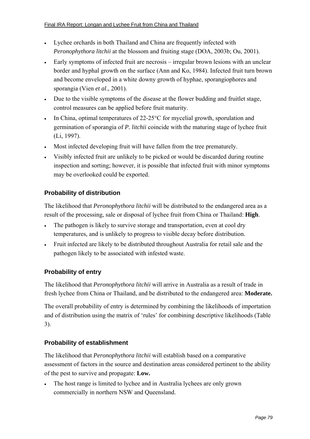- Lychee orchards in both Thailand and China are frequently infected with *Peronophythora litchii* at the blossom and fruiting stage (DOA, 2003b; Ou, 2001).
- $\bullet$  Early symptoms of infected fruit are necrosis irregular brown lesions with an unclear border and hyphal growth on the surface (Ann and Ko, 1984). Infected fruit turn brown and become enveloped in a white downy growth of hyphae, sporangiophores and sporangia (Vien *et al*., 2001).
- Due to the visible symptoms of the disease at the flower budding and fruitlet stage, control measures can be applied before fruit maturity.
- In China, optimal temperatures of 22-25<sup>o</sup>C for mycelial growth, sporulation and germination of sporangia of *P. litchii* coincide with the maturing stage of lychee fruit (Li, 1997).
- Most infected developing fruit will have fallen from the tree prematurely.
- Visibly infected fruit are unlikely to be picked or would be discarded during routine inspection and sorting; however, it is possible that infected fruit with minor symptoms may be overlooked could be exported.

### **Probability of distribution**

The likelihood that *Peronophythora litchii* will be distributed to the endangered area as a result of the processing, sale or disposal of lychee fruit from China or Thailand: **High**.

- The pathogen is likely to survive storage and transportation, even at cool dry temperatures, and is unlikely to progress to visible decay before distribution.
- Fruit infected are likely to be distributed throughout Australia for retail sale and the pathogen likely to be associated with infested waste.

### **Probability of entry**

The likelihood that *Peronophythora litchii* will arrive in Australia as a result of trade in fresh lychee from China or Thailand, and be distributed to the endangered area: **Moderate.** 

The overall probability of entry is determined by combining the likelihoods of importation and of distribution using the matrix of 'rules' for combining descriptive likelihoods (Table 3).

#### **Probability of establishment**

The likelihood that *Peronophythora litchii* will establish based on a comparative assessment of factors in the source and destination areas considered pertinent to the ability of the pest to survive and propagate: **Low.** 

The host range is limited to lychee and in Australia lychees are only grown commercially in northern NSW and Queensland.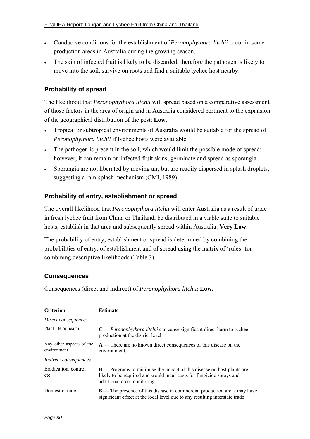- Conducive conditions for the establishment of *Peronophythora litchii* occur in some production areas in Australia during the growing season.
- The skin of infected fruit is likely to be discarded, therefore the pathogen is likely to move into the soil, survive on roots and find a suitable lychee host nearby.

### **Probability of spread**

The likelihood that *Peronophythora litchii* will spread based on a comparative assessment of those factors in the area of origin and in Australia considered pertinent to the expansion of the geographical distribution of the pest: **Low**.

- Tropical or subtropical environments of Australia would be suitable for the spread of *Peronophythora litchii* if lychee hosts were available.
- The pathogen is present in the soil, which would limit the possible mode of spread; however, it can remain on infected fruit skins, germinate and spread as sporangia.
- Sporangia are not liberated by moving air, but are readily dispersed in splash droplets, suggesting a rain-splash mechanism (CMI, 1989).

### **Probability of entry, establishment or spread**

The overall likelihood that *Peronophythora litchii* will enter Australia as a result of trade in fresh lychee fruit from China or Thailand, be distributed in a viable state to suitable hosts, establish in that area and subsequently spread within Australia: **Very Low**.

The probability of entry, establishment or spread is determined by combining the probabilities of entry, of establishment and of spread using the matrix of 'rules' for combining descriptive likelihoods (Table 3).

#### **Consequences**

Consequences (direct and indirect) of *Peronophythora litchii:* **Low.** 

| <b>Criterion</b>                        | <b>Estimate</b>                                                                                                                                                                      |  |  |  |  |
|-----------------------------------------|--------------------------------------------------------------------------------------------------------------------------------------------------------------------------------------|--|--|--|--|
| Direct consequences                     |                                                                                                                                                                                      |  |  |  |  |
| Plant life or health                    | C — Peronophythora litchii can cause significant direct harm to lychee<br>production at the district level.                                                                          |  |  |  |  |
| Any other aspects of the<br>environment | A — There are no known direct consequences of this disease on the<br>environment.                                                                                                    |  |  |  |  |
| <i>Indirect consequences</i>            |                                                                                                                                                                                      |  |  |  |  |
| Eradication, control<br>etc.            | <b>B</b> — Programs to minimise the impact of this disease on host plants are<br>likely to be required and would incur costs for fungicide sprays and<br>additional crop monitoring. |  |  |  |  |
| Domestic trade                          | <b>B</b> —The presence of this disease in commercial production areas may have a<br>significant effect at the local level due to any resulting interstate trade                      |  |  |  |  |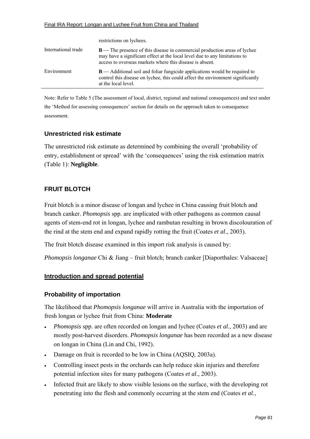#### Final IRA Report: Longan and Lychee Fruit from China and Thailand

|                     | restrictions on lychees.                                                                                                                                                                                                  |  |  |
|---------------------|---------------------------------------------------------------------------------------------------------------------------------------------------------------------------------------------------------------------------|--|--|
| International trade | <b>B</b> —The presence of this disease in commercial production areas of lychee<br>may have a significant effect at the local level due to any limitations to<br>access to overseas markets where this disease is absent. |  |  |
| Environment         | $B$ — Additional soil and foliar fungicide applications would be required to<br>control this disease on lychee, this could affect the environment significantly<br>at the local level.                                    |  |  |

Note: Refer to Table 5 (The assessment of local, district, regional and national consequences) and text under the 'Method for assessing consequences' section for details on the approach taken to consequence assessment.

#### **Unrestricted risk estimate**

The unrestricted risk estimate as determined by combining the overall 'probability of entry, establishment or spread' with the 'consequences' using the risk estimation matrix (Table 1): **Negligible**.

### **FRUIT BLOTCH**

Fruit blotch is a minor disease of longan and lychee in China causing fruit blotch and branch canker. *Phomopsis* spp. are implicated with other pathogens as common causal agents of stem-end rot in longan, lychee and rambutan resulting in brown discolouration of the rind at the stem end and expand rapidly rotting the fruit (Coates *et al*., 2003).

The fruit blotch disease examined in this import risk analysis is caused by:

*Phomopsis longanae* Chi & Jiang – fruit blotch; branch canker [Diaporthales: Valsaceae]

#### **Introduction and spread potential**

#### **Probability of importation**

The likelihood that *Phomopsis longanae* will arrive in Australia with the importation of fresh longan or lychee fruit from China: **Moderate**

- *Phomopsis* spp. are often recorded on longan and lychee (Coates *et al*., 2003) and are mostly post-harvest disorders. *Phomopsis longanae* has been recorded as a new disease on longan in China (Lin and Chi, 1992).
- Damage on fruit is recorded to be low in China (AQSIQ, 2003a).
- Controlling insect pests in the orchards can help reduce skin injuries and therefore potential infection sites for many pathogens (Coates *et al*., 2003).
- Infected fruit are likely to show visible lesions on the surface, with the developing rot penetrating into the flesh and commonly occurring at the stem end (Coates *et al*.,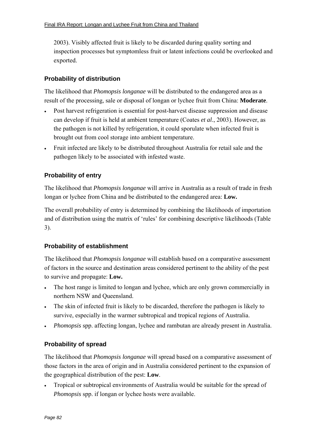2003). Visibly affected fruit is likely to be discarded during quality sorting and inspection processes but symptomless fruit or latent infections could be overlooked and exported.

## **Probability of distribution**

The likelihood that *Phomopsis longanae* will be distributed to the endangered area as a result of the processing, sale or disposal of longan or lychee fruit from China: **Moderate**.

- Post harvest refrigeration is essential for post-harvest disease suppression and disease can develop if fruit is held at ambient temperature (Coates *et al*., 2003). However, as the pathogen is not killed by refrigeration, it could sporulate when infected fruit is brought out from cool storage into ambient temperature.
- Fruit infected are likely to be distributed throughout Australia for retail sale and the pathogen likely to be associated with infested waste.

## **Probability of entry**

The likelihood that *Phomopsis longanae* will arrive in Australia as a result of trade in fresh longan or lychee from China and be distributed to the endangered area: **Low.** 

The overall probability of entry is determined by combining the likelihoods of importation and of distribution using the matrix of 'rules' for combining descriptive likelihoods (Table 3).

### **Probability of establishment**

The likelihood that *Phomopsis longanae* will establish based on a comparative assessment of factors in the source and destination areas considered pertinent to the ability of the pest to survive and propagate: **Low.** 

- The host range is limited to longan and lychee, which are only grown commercially in northern NSW and Queensland.
- The skin of infected fruit is likely to be discarded, therefore the pathogen is likely to survive, especially in the warmer subtropical and tropical regions of Australia.
- *Phomopsis* spp. affecting longan, lychee and rambutan are already present in Australia.

## **Probability of spread**

The likelihood that *Phomopsis longanae* will spread based on a comparative assessment of those factors in the area of origin and in Australia considered pertinent to the expansion of the geographical distribution of the pest: **Low**.

• Tropical or subtropical environments of Australia would be suitable for the spread of *Phomopsis* spp. if longan or lychee hosts were available.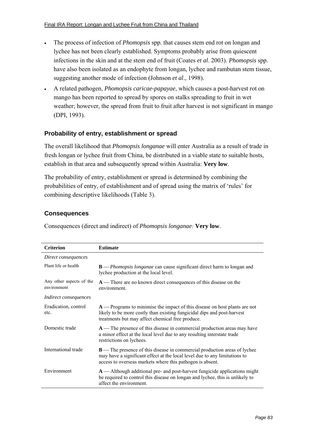- The process of infection of *Phomopsis* spp. that causes stem end rot on longan and lychee has not been clearly established. Symptoms probably arise from quiescent infections in the skin and at the stem end of fruit (Coates *et al*. 2003). *Phomopsis* spp. have also been isolated as an endophyte from longan, lychee and rambutan stem tissue, suggesting another mode of infection (Johnson *et al*., 1998).
- A related pathogen, *Phomopsis caricae-papayae*, which causes a post-harvest rot on mango has been reported to spread by spores on stalks spreading to fruit in wet weather; however, the spread from fruit to fruit after harvest is not significant in mango (DPI, 1993).

### **Probability of entry, establishment or spread**

The overall likelihood that *Phomopsis longanae* will enter Australia as a result of trade in fresh longan or lychee fruit from China, be distributed in a viable state to suitable hosts, establish in that area and subsequently spread within Australia: **Very low**.

The probability of entry, establishment or spread is determined by combining the probabilities of entry, of establishment and of spread using the matrix of 'rules' for combining descriptive likelihoods (Table 3).

#### **Consequences**

Consequences (direct and indirect) of *Phomopsis longanae:* **Very low**.

| <b>Criterion</b>                        | <b>Estimate</b>                                                                                                                                                                                                             |  |
|-----------------------------------------|-----------------------------------------------------------------------------------------------------------------------------------------------------------------------------------------------------------------------------|--|
| Direct consequences                     |                                                                                                                                                                                                                             |  |
| Plant life or health                    | <b>B</b> — <i>Phomopsis longanae</i> can cause significant direct harm to longan and<br>lychee production at the local level.                                                                                               |  |
| Any other aspects of the<br>environment | A — There are no known direct consequences of this disease on the<br>environment.                                                                                                                                           |  |
| <i>Indirect consequences</i>            |                                                                                                                                                                                                                             |  |
| Eradication, control<br>etc.            | $A$ — Programs to minimise the impact of this disease on host plants are not<br>likely to be more costly than existing fungicidal dips and post-harvest<br>treatments but may affect chemical free produce.                 |  |
| Domestic trade                          | A — The presence of this disease in commercial production areas may have<br>a minor effect at the local level due to any resulting interstate trade<br>restrictions on lychees.                                             |  |
| International trade                     | <b>B</b> — The presence of this disease in commercial production areas of lychee<br>may have a significant effect at the local level due to any limitations to<br>access to overseas markets where this pathogen is absent. |  |
| Environment                             | $A$ — Although additional pre- and post-harvest fungicide applications might<br>be required to control this disease on longan and lychee, this is unlikely to<br>affect the environment.                                    |  |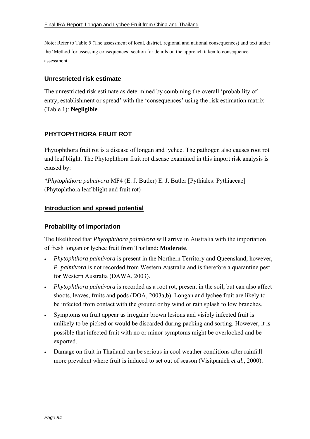Note: Refer to Table 5 (The assessment of local, district, regional and national consequences) and text under the 'Method for assessing consequences' section for details on the approach taken to consequence assessment.

### **Unrestricted risk estimate**

The unrestricted risk estimate as determined by combining the overall 'probability of entry, establishment or spread' with the 'consequences' using the risk estimation matrix (Table 1): **Negligible**.

## **PHYTOPHTHORA FRUIT ROT**

Phytophthora fruit rot is a disease of longan and lychee. The pathogen also causes root rot and leaf blight. The Phytophthora fruit rot disease examined in this import risk analysis is caused by:

*\*Phytophthora palmivora* MF4 (E. J. Butler) E. J. Butler [Pythiales: Pythiaceae] (Phytophthora leaf blight and fruit rot)

#### **Introduction and spread potential**

#### **Probability of importation**

The likelihood that *Phytophthora palmivora* will arrive in Australia with the importation of fresh longan or lychee fruit from Thailand: **Moderate**.

- *Phytophthora palmivora* is present in the Northern Territory and Queensland; however, *P. palmivora* is not recorded from Western Australia and is therefore a quarantine pest for Western Australia (DAWA, 2003).
- *Phytophthora palmivora* is recorded as a root rot, present in the soil, but can also affect shoots, leaves, fruits and pods (DOA, 2003a,b). Longan and lychee fruit are likely to be infected from contact with the ground or by wind or rain splash to low branches.
- Symptoms on fruit appear as irregular brown lesions and visibly infected fruit is unlikely to be picked or would be discarded during packing and sorting. However, it is possible that infected fruit with no or minor symptoms might be overlooked and be exported.
- Damage on fruit in Thailand can be serious in cool weather conditions after rainfall more prevalent where fruit is induced to set out of season (Visitpanich *et al*., 2000).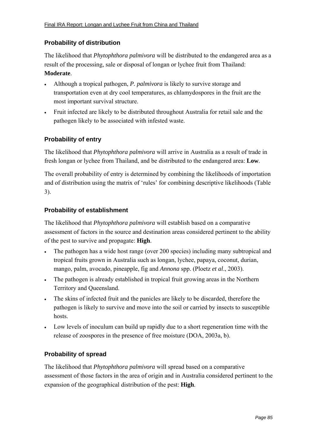### **Probability of distribution**

The likelihood that *Phytophthora palmivora* will be distributed to the endangered area as a result of the processing, sale or disposal of longan or lychee fruit from Thailand: **Moderate**.

- Although a tropical pathogen, *P. palmivora* is likely to survive storage and transportation even at dry cool temperatures, as chlamydospores in the fruit are the most important survival structure.
- Fruit infected are likely to be distributed throughout Australia for retail sale and the pathogen likely to be associated with infested waste.

### **Probability of entry**

The likelihood that *Phytophthora palmivora* will arrive in Australia as a result of trade in fresh longan or lychee from Thailand, and be distributed to the endangered area: **Low**.

The overall probability of entry is determined by combining the likelihoods of importation and of distribution using the matrix of 'rules' for combining descriptive likelihoods (Table 3).

#### **Probability of establishment**

The likelihood that *Phytophthora palmivora* will establish based on a comparative assessment of factors in the source and destination areas considered pertinent to the ability of the pest to survive and propagate: **High**.

- The pathogen has a wide host range (over 200 species) including many subtropical and tropical fruits grown in Australia such as longan, lychee, papaya, coconut, durian, mango, palm, avocado, pineapple, fig and *Annona* spp. (Ploetz *et al*., 2003).
- The pathogen is already established in tropical fruit growing areas in the Northern Territory and Queensland.
- The skins of infected fruit and the panicles are likely to be discarded, therefore the pathogen is likely to survive and move into the soil or carried by insects to susceptible hosts.
- Low levels of inoculum can build up rapidly due to a short regeneration time with the release of zoospores in the presence of free moisture (DOA, 2003a, b).

#### **Probability of spread**

The likelihood that *Phytophthora palmivora* will spread based on a comparative assessment of those factors in the area of origin and in Australia considered pertinent to the expansion of the geographical distribution of the pest: **High**.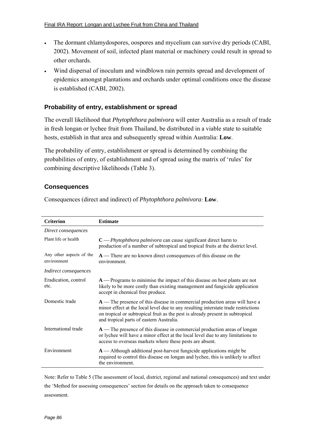- The dormant chlamydospores, oospores and mycelium can survive dry periods (CABI, 2002). Movement of soil, infected plant material or machinery could result in spread to other orchards.
- Wind dispersal of inoculum and windblown rain permits spread and development of epidemics amongst plantations and orchards under optimal conditions once the disease is established (CABI, 2002).

### **Probability of entry, establishment or spread**

The overall likelihood that *Phytophthora palmivora* will enter Australia as a result of trade in fresh longan or lychee fruit from Thailand, be distributed in a viable state to suitable hosts, establish in that area and subsequently spread within Australia: **Low**.

The probability of entry, establishment or spread is determined by combining the probabilities of entry, of establishment and of spread using the matrix of 'rules' for combining descriptive likelihoods (Table 3).

#### **Consequences**

Consequences (direct and indirect) of *Phytophthora palmivora:* **Low**.

| <b>Criterion</b>                        | <b>Estimate</b>                                                                                                                                                                                                                                                                                 |  |  |  |  |
|-----------------------------------------|-------------------------------------------------------------------------------------------------------------------------------------------------------------------------------------------------------------------------------------------------------------------------------------------------|--|--|--|--|
| Direct consequences                     |                                                                                                                                                                                                                                                                                                 |  |  |  |  |
| Plant life or health                    | $C$ – <i>Phytophthora palmivora</i> can cause significant direct harm to<br>production of a number of subtropical and tropical fruits at the district level.                                                                                                                                    |  |  |  |  |
| Any other aspects of the<br>environment | A — There are no known direct consequences of this disease on the<br>environment.                                                                                                                                                                                                               |  |  |  |  |
| <i>Indirect consequences</i>            |                                                                                                                                                                                                                                                                                                 |  |  |  |  |
| Eradication, control<br>etc.            | $A$ — Programs to minimise the impact of this disease on host plants are not<br>likely to be more costly than existing management and fungicide application<br>accept in chemical free produce.                                                                                                 |  |  |  |  |
| Domestic trade                          | A — The presence of this disease in commercial production areas will have a<br>minor effect at the local level due to any resulting interstate trade restrictions<br>on tropical or subtropical fruit as the pest is already present in subtropical<br>and tropical parts of eastern Australia. |  |  |  |  |
| International trade                     | $A$ — The presence of this disease in commercial production areas of longan<br>or lychee will have a minor effect at the local level due to any limitations to<br>access to overseas markets where these pests are absent.                                                                      |  |  |  |  |
| Environment                             | $A$ — Although additional post-harvest fungicide applications might be<br>required to control this disease on longan and lychee, this is unlikely to affect<br>the environment.                                                                                                                 |  |  |  |  |

Note: Refer to Table 5 (The assessment of local, district, regional and national consequences) and text under the 'Method for assessing consequences' section for details on the approach taken to consequence assessment.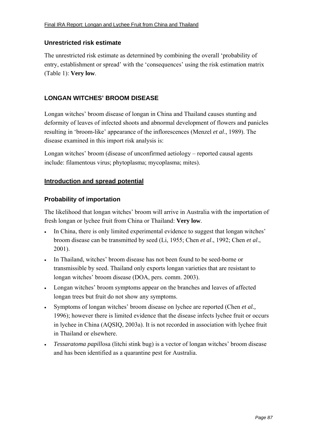### **Unrestricted risk estimate**

The unrestricted risk estimate as determined by combining the overall 'probability of entry, establishment or spread' with the 'consequences' using the risk estimation matrix (Table 1): **Very low**.

### **LONGAN WITCHES' BROOM DISEASE**

Longan witches<sup>'</sup> broom disease of longan in China and Thailand causes stunting and deformity of leaves of infected shoots and abnormal development of flowers and panicles resulting in 'broom-like' appearance of the inflorescences (Menzel *et al.*, 1989). The disease examined in this import risk analysis is:

Longan witches' broom (disease of unconfirmed aetiology – reported causal agents include: filamentous virus; phytoplasma; mycoplasma; mites).

### **Introduction and spread potential**

#### **Probability of importation**

The likelihood that longan witches' broom will arrive in Australia with the importation of fresh longan or lychee fruit from China or Thailand: **Very low**.

- In China, there is only limited experimental evidence to suggest that longan witches<sup>†</sup> broom disease can be transmitted by seed (Li, 1955; Chen *et al*., 1992; Chen *et al*., 2001).
- In Thailand, witches' broom disease has not been found to be seed-borne or transmissible by seed. Thailand only exports longan varieties that are resistant to longan witches' broom disease (DOA, pers. comm. 2003).
- Longan witches' broom symptoms appear on the branches and leaves of affected longan trees but fruit do not show any symptoms.
- Symptoms of longan witches' broom disease on lychee are reported (Chen *et al.*, 1996); however there is limited evidence that the disease infects lychee fruit or occurs in lychee in China (AQSIQ, 2003a). It is not recorded in association with lychee fruit in Thailand or elsewhere.
- *Tessaratoma papillosa* (litchi stink bug) is a vector of longan witches broom disease and has been identified as a quarantine pest for Australia.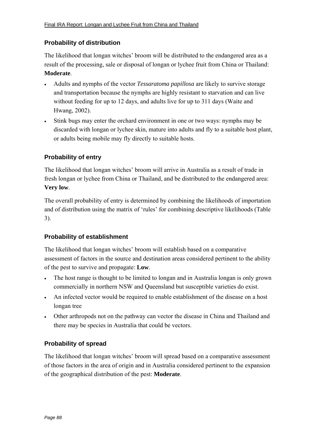### **Probability of distribution**

The likelihood that longan witches' broom will be distributed to the endangered area as a result of the processing, sale or disposal of longan or lychee fruit from China or Thailand: **Moderate**.

- Adults and nymphs of the vector *Tessaratoma papillosa* are likely to survive storage and transportation because the nymphs are highly resistant to starvation and can live without feeding for up to 12 days, and adults live for up to 311 days (Waite and Hwang, 2002).
- Stink bugs may enter the orchard environment in one or two ways: nymphs may be discarded with longan or lychee skin, mature into adults and fly to a suitable host plant, or adults being mobile may fly directly to suitable hosts.

### **Probability of entry**

The likelihood that longan witches' broom will arrive in Australia as a result of trade in fresh longan or lychee from China or Thailand, and be distributed to the endangered area: **Very low**.

The overall probability of entry is determined by combining the likelihoods of importation and of distribution using the matrix of 'rules' for combining descriptive likelihoods (Table 3).

#### **Probability of establishment**

The likelihood that longan witches' broom will establish based on a comparative assessment of factors in the source and destination areas considered pertinent to the ability of the pest to survive and propagate: **Low**.

- The host range is thought to be limited to longan and in Australia longan is only grown commercially in northern NSW and Queensland but susceptible varieties do exist.
- An infected vector would be required to enable establishment of the disease on a host longan tree
- Other arthropods not on the pathway can vector the disease in China and Thailand and there may be species in Australia that could be vectors.

#### **Probability of spread**

The likelihood that longan witches' broom will spread based on a comparative assessment of those factors in the area of origin and in Australia considered pertinent to the expansion of the geographical distribution of the pest: **Moderate**.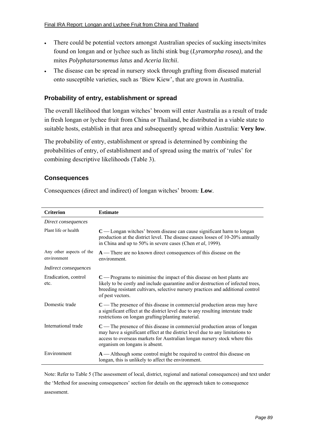- There could be potential vectors amongst Australian species of sucking insects/mites found on longan and or lychee such as litchi stink bug (*Lyramorpha rosea),* and the mites *Polyphatarsonemus latus* and *Aceria litchii*.
- The disease can be spread in nursery stock through grafting from diseased material onto susceptible varieties, such as 'Biew Kiew', that are grown in Australia.

#### **Probability of entry, establishment or spread**

The overall likelihood that longan witches' broom will enter Australia as a result of trade in fresh longan or lychee fruit from China or Thailand, be distributed in a viable state to suitable hosts, establish in that area and subsequently spread within Australia: **Very low**.

The probability of entry, establishment or spread is determined by combining the probabilities of entry, of establishment and of spread using the matrix of 'rules' for combining descriptive likelihoods (Table 3).

#### **Consequences**

| <b>Criterion</b>                        | <b>Estimate</b>                                                                                                                                                                                                                                                             |  |  |  |
|-----------------------------------------|-----------------------------------------------------------------------------------------------------------------------------------------------------------------------------------------------------------------------------------------------------------------------------|--|--|--|
| Direct consequences                     |                                                                                                                                                                                                                                                                             |  |  |  |
| Plant life or health                    | $C$ — Longan witches' broom disease can cause significant harm to longan<br>production at the district level. The disease causes losses of 10-20% annually<br>in China and up to 50% in severe cases (Chen et al, 1999).                                                    |  |  |  |
| Any other aspects of the<br>environment | A — There are no known direct consequences of this disease on the<br>environment.                                                                                                                                                                                           |  |  |  |
| <i>Indirect consequences</i>            |                                                                                                                                                                                                                                                                             |  |  |  |
| Eradication, control<br>etc.            | $C$ – Programs to minimise the impact of this disease on host plants are<br>likely to be costly and include quarantine and/or destruction of infected trees,<br>breeding resistant cultivars, selective nursery practices and additional control<br>of pest vectors.        |  |  |  |
| Domestic trade                          | $C$ — The presence of this disease in commercial production areas may have<br>a significant effect at the district level due to any resulting interstate trade<br>restrictions on longan grafting/planting material.                                                        |  |  |  |
| International trade                     | $C$ — The presence of this disease in commercial production areas of longan<br>may have a significant effect at the district level due to any limitations to<br>access to overseas markets for Australian longan nursery stock where this<br>organism on longans is absent. |  |  |  |
| Environment                             | $A$ — Although some control might be required to control this disease on<br>longan, this is unlikely to affect the environment.                                                                                                                                             |  |  |  |

Consequences (direct and indirect) of longan witches' broom: **Low**.

Note: Refer to Table 5 (The assessment of local, district, regional and national consequences) and text under the 'Method for assessing consequences' section for details on the approach taken to consequence assessment.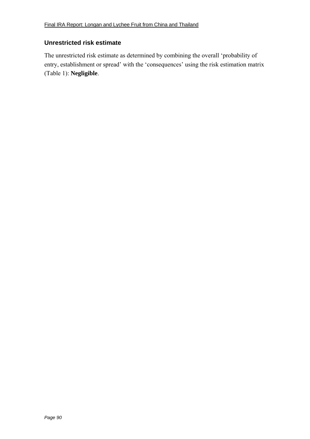## **Unrestricted risk estimate**

The unrestricted risk estimate as determined by combining the overall 'probability of entry, establishment or spread' with the 'consequences' using the risk estimation matrix (Table 1): **Negligible**.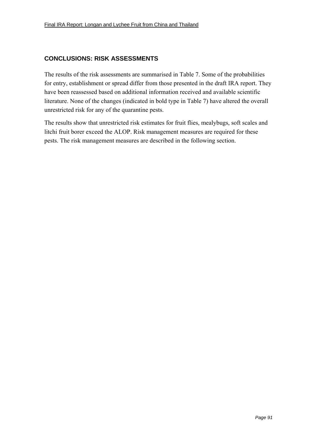### **CONCLUSIONS: RISK ASSESSMENTS**

The results of the risk assessments are summarised in Table 7. Some of the probabilities for entry, establishment or spread differ from those presented in the draft IRA report. They have been reassessed based on additional information received and available scientific literature. None of the changes (indicated in bold type in Table 7) have altered the overall unrestricted risk for any of the quarantine pests.

The results show that unrestricted risk estimates for fruit flies, mealybugs, soft scales and litchi fruit borer exceed the ALOP. Risk management measures are required for these pests. The risk management measures are described in the following section.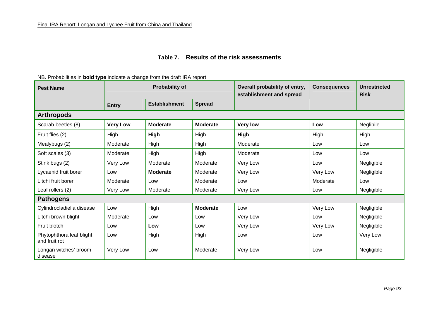#### **Table 7. Results of the risk assessments**

#### NB. Probabilities in **bold type** indicate a change from the draft IRA report

| <b>Pest Name</b>                          | <b>Probability of</b> |                      |                 | Overall probability of entry,<br>establishment and spread | <b>Consequences</b> | <b>Unrestricted</b><br><b>Risk</b> |
|-------------------------------------------|-----------------------|----------------------|-----------------|-----------------------------------------------------------|---------------------|------------------------------------|
|                                           | <b>Entry</b>          | <b>Establishment</b> | <b>Spread</b>   |                                                           |                     |                                    |
| <b>Arthropods</b>                         |                       |                      |                 |                                                           |                     |                                    |
| Scarab beetles (8)                        | <b>Very Low</b>       | <b>Moderate</b>      | <b>Moderate</b> | <b>Very low</b>                                           | Low                 | Neglibile                          |
| Fruit flies (2)                           | High                  | High                 | High            | High                                                      | High                | High                               |
| Mealybugs (2)                             | Moderate              | High                 | High            | Moderate                                                  | Low                 | Low                                |
| Soft scales (3)                           | Moderate              | High                 | High            | Moderate                                                  | Low                 | Low                                |
| Stink bugs (2)                            | Very Low              | Moderate             | Moderate        | Very Low                                                  | Low                 | Negligible                         |
| Lycaenid fruit borer                      | Low                   | <b>Moderate</b>      | Moderate        | Very Low                                                  | Very Low            | Negligible                         |
| Litchi fruit borer                        | Moderate              | Low                  | Moderate        | Low                                                       | Moderate            | Low                                |
| Leaf rollers (2)                          | Very Low              | Moderate             | Moderate        | Very Low                                                  | Low                 | Negligible                         |
| <b>Pathogens</b>                          |                       |                      |                 |                                                           |                     |                                    |
| Cylindrocladiella disease                 | Low                   | High                 | <b>Moderate</b> | Low                                                       | Very Low            | Negligible                         |
| Litchi brown blight                       | Moderate              | Low                  | Low             | Very Low                                                  | Low                 | Negligible                         |
| Fruit blotch                              | Low                   | Low                  | Low             | Very Low                                                  | Very Low            | Negligible                         |
| Phytophthora leaf blight<br>and fruit rot | Low                   | High                 | High            | Low                                                       | Low                 | Very Low                           |
| Longan witches' broom<br>disease          | Very Low              | Low                  | Moderate        | Very Low                                                  | Low                 | Negligible                         |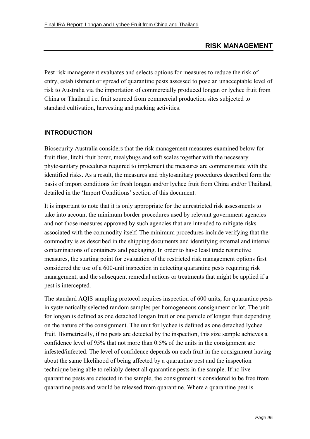Pest risk management evaluates and selects options for measures to reduce the risk of entry, establishment or spread of quarantine pests assessed to pose an unacceptable level of risk to Australia via the importation of commercially produced longan or lychee fruit from China or Thailand i.e. fruit sourced from commercial production sites subjected to standard cultivation, harvesting and packing activities.

### **INTRODUCTION**

Biosecurity Australia considers that the risk management measures examined below for fruit flies, litchi fruit borer, mealybugs and soft scales together with the necessary phytosanitary procedures required to implement the measures are commensurate with the identified risks. As a result, the measures and phytosanitary procedures described form the basis of import conditions for fresh longan and/or lychee fruit from China and/or Thailand, detailed in the 'Import Conditions' section of this document.

It is important to note that it is only appropriate for the unrestricted risk assessments to take into account the minimum border procedures used by relevant government agencies and not those measures approved by such agencies that are intended to mitigate risks associated with the commodity itself. The minimum procedures include verifying that the commodity is as described in the shipping documents and identifying external and internal contaminations of containers and packaging. In order to have least trade restrictive measures, the starting point for evaluation of the restricted risk management options first considered the use of a 600-unit inspection in detecting quarantine pests requiring risk management, and the subsequent remedial actions or treatments that might be applied if a pest is intercepted.

The standard AQIS sampling protocol requires inspection of 600 units, for quarantine pests in systematically selected random samples per homogeneous consignment or lot. The unit for longan is defined as one detached longan fruit or one panicle of longan fruit depending on the nature of the consignment. The unit for lychee is defined as one detached lychee fruit. Biometrically, if no pests are detected by the inspection, this size sample achieves a confidence level of 95% that not more than 0.5% of the units in the consignment are infested/infected. The level of confidence depends on each fruit in the consignment having about the same likelihood of being affected by a quarantine pest and the inspection technique being able to reliably detect all quarantine pests in the sample. If no live quarantine pests are detected in the sample, the consignment is considered to be free from quarantine pests and would be released from quarantine. Where a quarantine pest is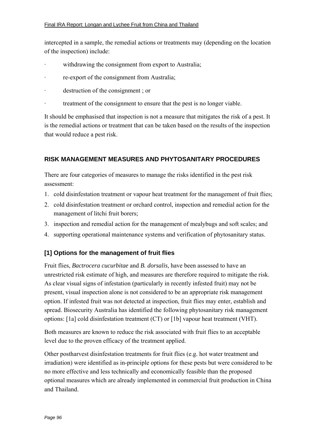intercepted in a sample, the remedial actions or treatments may (depending on the location of the inspection) include:

- withdrawing the consignment from export to Australia;
- re-export of the consignment from Australia;
- · destruction of the consignment ; or
- treatment of the consignment to ensure that the pest is no longer viable.

It should be emphasised that inspection is not a measure that mitigates the risk of a pest. It is the remedial actions or treatment that can be taken based on the results of the inspection that would reduce a pest risk.

### **RISK MANAGEMENT MEASURES AND PHYTOSANITARY PROCEDURES**

There are four categories of measures to manage the risks identified in the pest risk assessment:

- 1. cold disinfestation treatment or vapour heat treatment for the management of fruit flies;
- 2. cold disinfestation treatment or orchard control, inspection and remedial action for the management of litchi fruit borers;
- 3. inspection and remedial action for the management of mealybugs and soft scales; and
- 4. supporting operational maintenance systems and verification of phytosanitary status.

### **[1] Options for the management of fruit flies**

Fruit flies, *Bactrocera cucurbitae* and *B. dorsalis*, have been assessed to have an unrestricted risk estimate of high, and measures are therefore required to mitigate the risk. As clear visual signs of infestation (particularly in recently infested fruit) may not be present, visual inspection alone is not considered to be an appropriate risk management option. If infested fruit was not detected at inspection, fruit flies may enter, establish and spread. Biosecurity Australia has identified the following phytosanitary risk management options: [1a] cold disinfestation treatment (CT) or [1b] vapour heat treatment (VHT).

Both measures are known to reduce the risk associated with fruit flies to an acceptable level due to the proven efficacy of the treatment applied.

Other postharvest disinfestation treatments for fruit flies (e.g. hot water treatment and irradiation) were identified as in-principle options for these pests but were considered to be no more effective and less technically and economically feasible than the proposed optional measures which are already implemented in commercial fruit production in China and Thailand.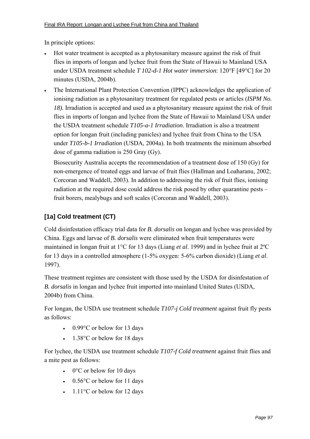In principle options:

- Hot water treatment is accepted as a phytosanitary measure against the risk of fruit flies in imports of longan and lychee fruit from the State of Hawaii to Mainland USA under USDA treatment schedule *T 102-d-1 Hot water immersion*: 120°F [49°C] for 20 minutes (USDA, 2004b).
- The International Plant Protection Convention (IPPC) acknowledges the application of ionising radiation as a phytosanitary treatment for regulated pests or articles (*ISPM No. 18).* Irradiation is accepted and used as a phytosanitary measure against the risk of fruit flies in imports of longan and lychee from the State of Hawaii to Mainland USA under the USDA treatment schedule *T105-a-1 Irradiation*. Irradiation is also a treatment option for longan fruit (including panicles) and lychee fruit from China to the USA under *T105-b-1 Irradiation* (USDA, 2004a). In both treatments the minimum absorbed dose of gamma radiation is 250 Gray (Gy).

Biosecurity Australia accepts the recommendation of a treatment dose of 150 (Gy) for non-emergence of treated eggs and larvae of fruit flies (Hallman and Loaharanu, 2002; Corcoran and Waddell, 2003). In addition to addressing the risk of fruit flies, ionising radiation at the required dose could address the risk posed by other quarantine pests  $$ fruit borers, mealybugs and soft scales (Corcoran and Waddell, 2003).

# **[1a] Cold treatment (CT)**

Cold disinfestation efficacy trial data for *B. dorsalis* on longan and lychee was provided by China. Eggs and larvae of *B. dorsalis* were eliminated when fruit temperatures were maintained in longan fruit at 1°C for 13 days (Liang *et al*. 1999) and in lychee fruit at 2ºC for 13 days in a controlled atmosphere (1-5% oxygen: 5-6% carbon dioxide) (Liang *et al*. 1997).

These treatment regimes are consistent with those used by the USDA for disinfestation of *B. dorsalis* in longan and lychee fruit imported into mainland United States (USDA, 2004b) from China.

For longan, the USDA use treatment schedule *T107-j Cold treatment* against fruit fly pests as follows:

- 0.99 °C or below for 13 days
- 1.38°C or below for 18 days

For lychee, the USDA use treatment schedule *T107-f Cold treatment* against fruit flies and a mite pest as follows:

- $0^{\circ}$ C or below for 10 days
- 0.56°C or below for 11 days
- $1.11^{\circ}$ C or below for 12 days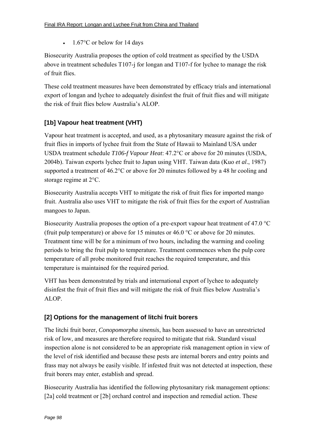•  $1.67^{\circ}$ C or below for 14 days

Biosecurity Australia proposes the option of cold treatment as specified by the USDA above in treatment schedules T107-j for longan and T107-f for lychee to manage the risk of fruit flies.

These cold treatment measures have been demonstrated by efficacy trials and international export of longan and lychee to adequately disinfest the fruit of fruit flies and will mitigate the risk of fruit flies below Australia's ALOP.

## **[1b] Vapour heat treatment (VHT)**

Vapour heat treatment is accepted, and used, as a phytosanitary measure against the risk of fruit flies in imports of lychee fruit from the State of Hawaii to Mainland USA under USDA treatment schedule *T106-f Vapour Heat*: 47.2°C or above for 20 minutes (USDA, 2004b). Taiwan exports lychee fruit to Japan using VHT. Taiwan data (Kuo *et al*., 1987) supported a treatment of 46.2°C or above for 20 minutes followed by a 48 hr cooling and storage regime at 2°C.

Biosecurity Australia accepts VHT to mitigate the risk of fruit flies for imported mango fruit. Australia also uses VHT to mitigate the risk of fruit flies for the export of Australian mangoes to Japan.

Biosecurity Australia proposes the option of a pre-export vapour heat treatment of 47.0 °C (fruit pulp temperature) or above for 15 minutes or 46.0 °C or above for 20 minutes. Treatment time will be for a minimum of two hours, including the warming and cooling periods to bring the fruit pulp to temperature. Treatment commences when the pulp core temperature of all probe monitored fruit reaches the required temperature, and this temperature is maintained for the required period.

VHT has been demonstrated by trials and international export of lychee to adequately disinfest the fruit of fruit flies and will mitigate the risk of fruit flies below Australia's ALOP.

## **[2] Options for the management of litchi fruit borers**

The litchi fruit borer, *Conopomorpha sinensis*, has been assessed to have an unrestricted risk of low, and measures are therefore required to mitigate that risk. Standard visual inspection alone is not considered to be an appropriate risk management option in view of the level of risk identified and because these pests are internal borers and entry points and frass may not always be easily visible. If infested fruit was not detected at inspection, these fruit borers may enter, establish and spread.

Biosecurity Australia has identified the following phytosanitary risk management options: [2a] cold treatment or [2b] orchard control and inspection and remedial action. These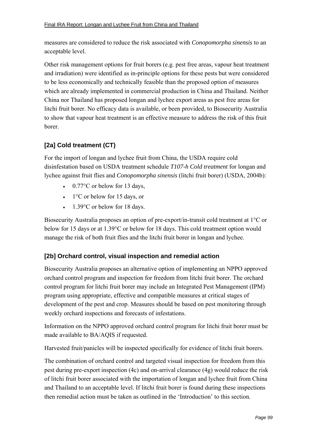measures are considered to reduce the risk associated with *Conopomorpha sinensis* to an acceptable level.

Other risk management options for fruit borers (e.g. pest free areas, vapour heat treatment and irradiation) were identified as in-principle options for these pests but were considered to be less economically and technically feasible than the proposed option of measures which are already implemented in commercial production in China and Thailand. Neither China nor Thailand has proposed longan and lychee export areas as pest free areas for litchi fruit borer. No efficacy data is available, or been provided, to Biosecurity Australia to show that vapour heat treatment is an effective measure to address the risk of this fruit borer.

## **[2a] Cold treatment (CT)**

For the import of longan and lychee fruit from China, the USDA require cold disinfestation based on USDA treatment schedule *T107-h Cold treatment* for longan and lychee against fruit flies and *Conopomorpha sinensis* (litchi fruit borer) (USDA, 2004b):

- 0.77 $\degree$ C or below for 13 days,
- 1°C or below for 15 days, or
- $1.39^{\circ}$ C or below for 18 days.

Biosecurity Australia proposes an option of pre-export/in-transit cold treatment at 1°C or below for 15 days or at 1.39°C or below for 18 days. This cold treatment option would manage the risk of both fruit flies and the litchi fruit borer in longan and lychee.

### **[2b] Orchard control, visual inspection and remedial action**

Biosecurity Australia proposes an alternative option of implementing an NPPO approved orchard control program and inspection for freedom from litchi fruit borer. The orchard control program for litchi fruit borer may include an Integrated Pest Management (IPM) program using appropriate, effective and compatible measures at critical stages of development of the pest and crop. Measures should be based on pest monitoring through weekly orchard inspections and forecasts of infestations.

Information on the NPPO approved orchard control program for litchi fruit borer must be made available to BA/AQIS if requested.

Harvested fruit/panicles will be inspected specifically for evidence of litchi fruit borers.

The combination of orchard control and targeted visual inspection for freedom from this pest during pre-export inspection (4c) and on-arrival clearance (4g) would reduce the risk of litchi fruit borer associated with the importation of longan and lychee fruit from China and Thailand to an acceptable level. If litchi fruit borer is found during these inspections then remedial action must be taken as outlined in the 'Introduction' to this section.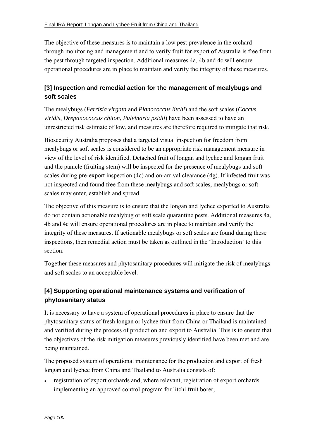The objective of these measures is to maintain a low pest prevalence in the orchard through monitoring and management and to verify fruit for export of Australia is free from the pest through targeted inspection. Additional measures 4a, 4b and 4c will ensure operational procedures are in place to maintain and verify the integrity of these measures.

## **[3] Inspection and remedial action for the management of mealybugs and soft scales**

The mealybugs (*Ferrisia virgata* and *Planococcus litchi*) and the soft scales (*Coccus viridis*, *Drepanococcus chiton*, *Pulvinaria psidii*) have been assessed to have an unrestricted risk estimate of low, and measures are therefore required to mitigate that risk.

Biosecurity Australia proposes that a targeted visual inspection for freedom from mealybugs or soft scales is considered to be an appropriate risk management measure in view of the level of risk identified. Detached fruit of longan and lychee and longan fruit and the panicle (fruiting stem) will be inspected for the presence of mealybugs and soft scales during pre-export inspection (4c) and on-arrival clearance (4g). If infested fruit was not inspected and found free from these mealybugs and soft scales, mealybugs or soft scales may enter, establish and spread.

The objective of this measure is to ensure that the longan and lychee exported to Australia do not contain actionable mealybug or soft scale quarantine pests. Additional measures 4a, 4b and 4c will ensure operational procedures are in place to maintain and verify the integrity of these measures. If actionable mealybugs or soft scales are found during these inspections, then remedial action must be taken as outlined in the 'Introduction' to this section.

Together these measures and phytosanitary procedures will mitigate the risk of mealybugs and soft scales to an acceptable level.

# **[4] Supporting operational maintenance systems and verification of phytosanitary status**

It is necessary to have a system of operational procedures in place to ensure that the phytosanitary status of fresh longan or lychee fruit from China or Thailand is maintained and verified during the process of production and export to Australia. This is to ensure that the objectives of the risk mitigation measures previously identified have been met and are being maintained.

The proposed system of operational maintenance for the production and export of fresh longan and lychee from China and Thailand to Australia consists of:

• registration of export orchards and, where relevant, registration of export orchards implementing an approved control program for litchi fruit borer;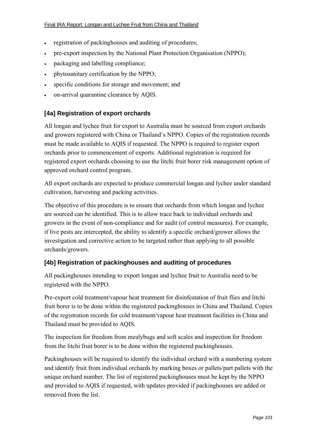- registration of packinghouses and auditing of procedures;
- pre-export inspection by the National Plant Protection Organisation (NPPO);
- packaging and labelling compliance;
- phytosanitary certification by the NPPO;
- specific conditions for storage and movement; and
- on-arrival quarantine clearance by AQIS.

#### **[4a] Registration of export orchards**

All longan and lychee fruit for export to Australia must be sourced from export orchards and growers registered with China or Thailand's NPPO. Copies of the registration records must be made available to AQIS if requested. The NPPO is required to register export orchards prior to commencement of exports. Additional registration is required for registered export orchards choosing to use the litchi fruit borer risk management option of approved orchard control program.

All export orchards are expected to produce commercial longan and lychee under standard cultivation, harvesting and packing activities.

The objective of this procedure is to ensure that orchards from which longan and lychee are sourced can be identified. This is to allow trace back to individual orchards and growers in the event of non-compliance and for audit (of control measures). For example, if live pests are intercepted, the ability to identify a specific orchard/grower allows the investigation and corrective action to be targeted rather than applying to all possible orchards/growers.

#### **[4b] Registration of packinghouses and auditing of procedures**

All packinghouses intending to export longan and lychee fruit to Australia need to be registered with the NPPO.

Pre-export cold treatment/vapour heat treatment for disinfestation of fruit flies and litchi fruit borer is to be done within the registered packinghouses in China and Thailand. Copies of the registration records for cold treatment/vapour heat treatment facilities in China and Thailand must be provided to AQIS.

The inspection for freedom from mealybugs and soft scales and inspection for freedom from the litchi fruit borer is to be done within the registered packinghouses.

Packinghouses will be required to identify the individual orchard with a numbering system and identify fruit from individual orchards by marking boxes or pallets/part pallets with the unique orchard number. The list of registered packinghouses must be kept by the NPPO and provided to AQIS if requested, with updates provided if packinghouses are added or removed from the list.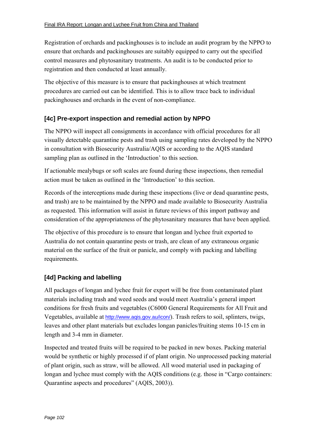Registration of orchards and packinghouses is to include an audit program by the NPPO to ensure that orchards and packinghouses are suitably equipped to carry out the specified control measures and phytosanitary treatments. An audit is to be conducted prior to registration and then conducted at least annually.

The objective of this measure is to ensure that packinghouses at which treatment procedures are carried out can be identified. This is to allow trace back to individual packinghouses and orchards in the event of non-compliance.

## **[4c] Pre-export inspection and remedial action by NPPO**

The NPPO will inspect all consignments in accordance with official procedures for all visually detectable quarantine pests and trash using sampling rates developed by the NPPO in consultation with Biosecurity Australia/AQIS or according to the AQIS standard sampling plan as outlined in the 'Introduction' to this section.

If actionable mealybugs or soft scales are found during these inspections, then remedial action must be taken as outlined in the 'Introduction' to this section.

Records of the interceptions made during these inspections (live or dead quarantine pests, and trash) are to be maintained by the NPPO and made available to Biosecurity Australia as requested. This information will assist in future reviews of this import pathway and consideration of the appropriateness of the phytosanitary measures that have been applied.

The objective of this procedure is to ensure that longan and lychee fruit exported to Australia do not contain quarantine pests or trash, are clean of any extraneous organic material on the surface of the fruit or panicle, and comply with packing and labelling requirements.

## **[4d] Packing and labelling**

All packages of longan and lychee fruit for export will be free from contaminated plant materials including trash and weed seeds and would meet Australia's general import conditions for fresh fruits and vegetables (C6000 General Requirements for All Fruit and Vegetables, available at http://www.aqis.gov.au/icon/). Trash refers to soil, splinters, twigs, leaves and other plant materials but excludes longan panicles/fruiting stems 10-15 cm in length and 3-4 mm in diameter.

Inspected and treated fruits will be required to be packed in new boxes. Packing material would be synthetic or highly processed if of plant origin. No unprocessed packing material of plant origin, such as straw, will be allowed. All wood material used in packaging of longan and lychee must comply with the AQIS conditions (e.g. those in "Cargo containers: Quarantine aspects and procedures" (AQIS, 2003)).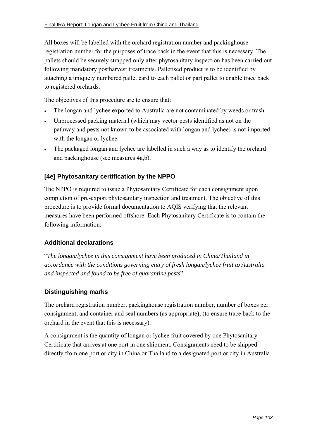All boxes will be labelled with the orchard registration number and packinghouse registration number for the purposes of trace back in the event that this is necessary. The pallets should be securely strapped only after phytosanitary inspection has been carried out following mandatory postharvest treatments. Palletised product is to be identified by attaching a uniquely numbered pallet card to each pallet or part pallet to enable trace back to registered orchards.

The objectives of this procedure are to ensure that:

- The longan and lychee exported to Australia are not contaminated by weeds or trash.
- Unprocessed packing material (which may vector pests identified as not on the pathway and pests not known to be associated with longan and lychee) is not imported with the longan or lychee.
- The packaged longan and lychee are labelled in such a way as to identify the orchard and packinghouse (see measures 4a,b).

### **[4e] Phytosanitary certification by the NPPO**

The NPPO is required to issue a Phytosanitary Certificate for each consignment upon completion of pre-export phytosanitary inspection and treatment. The objective of this procedure is to provide formal documentation to AQIS verifying that the relevant measures have been performed offshore. Each Phytosanitary Certificate is to contain the following information:

#### **Additional declarations**

ì*The longan/lychee in this consignment have been produced in China/Thailand in accordance with the conditions governing entry of fresh longan/lychee fruit to Australia and inspected and found to be free of quarantine pests*".

#### **Distinguishing marks**

The orchard registration number, packinghouse registration number, number of boxes per consignment, and container and seal numbers (as appropriate); (to ensure trace back to the orchard in the event that this is necessary).

A consignment is the quantity of longan or lychee fruit covered by one Phytosanitary Certificate that arrives at one port in one shipment. Consignments need to be shipped directly from one port or city in China or Thailand to a designated port or city in Australia.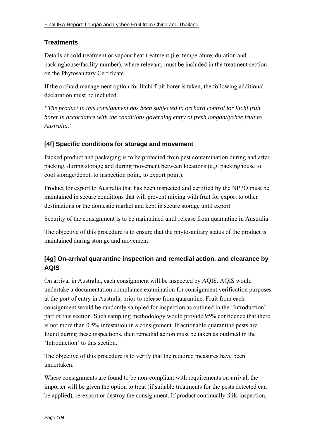### **Treatments**

Details of cold treatment or vapour heat treatment (i.e. temperature, duration and packinghouse/facility number), where relevant, must be included in the treatment section on the Phytosanitary Certificate.

If the orchard management option for litchi fruit borer is taken, the following additional declaration must be included.

*"The product in this consignment has been subjected to orchard control for litchi fruit borer in accordance with the conditions governing entry of fresh longan/lychee fruit to Australia."*

### **[4f] Specific conditions for storage and movement**

Packed product and packaging is to be protected from pest contamination during and after packing, during storage and during movement between locations (e.g. packinghouse to cool storage/depot, to inspection point, to export point).

Product for export to Australia that has been inspected and certified by the NPPO must be maintained in secure conditions that will prevent mixing with fruit for export to other destinations or the domestic market and kept in secure storage until export.

Security of the consignment is to be maintained until release from quarantine in Australia.

The objective of this procedure is to ensure that the phytosanitary status of the product is maintained during storage and movement.

## **[4g] On-arrival quarantine inspection and remedial action, and clearance by AQIS**

On arrival in Australia, each consignment will be inspected by AQIS. AQIS would undertake a documentation compliance examination for consignment verification purposes at the port of entry in Australia prior to release from quarantine. Fruit from each consignment would be randomly sampled for inspection as outlined in the 'Introduction' part of this section. Such sampling methodology would provide 95% confidence that there is not more than 0.5% infestation in a consignment. If actionable quarantine pests are found during these inspections, then remedial action must be taken as outlined in the 'Introduction' to this section.

The objective of this procedure is to verify that the required measures have been undertaken.

Where consignments are found to be non-compliant with requirements on-arrival, the importer will be given the option to treat (if suitable treatments for the pests detected can be applied), re-export or destroy the consignment. If product continually fails inspection,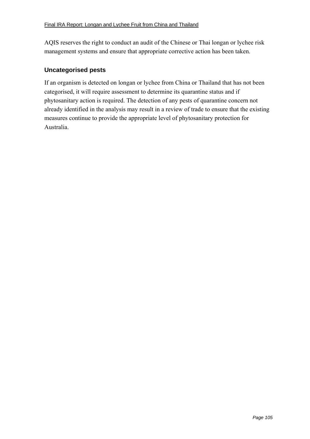AQIS reserves the right to conduct an audit of the Chinese or Thai longan or lychee risk management systems and ensure that appropriate corrective action has been taken.

### **Uncategorised pests**

If an organism is detected on longan or lychee from China or Thailand that has not been categorised, it will require assessment to determine its quarantine status and if phytosanitary action is required. The detection of any pests of quarantine concern not already identified in the analysis may result in a review of trade to ensure that the existing measures continue to provide the appropriate level of phytosanitary protection for Australia.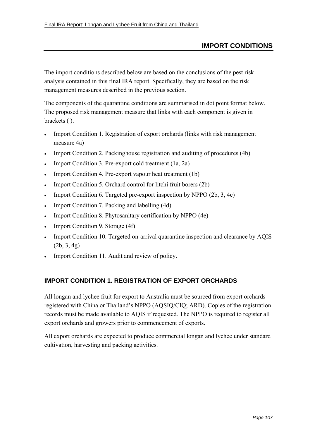## **IMPORT CONDITIONS**

The import conditions described below are based on the conclusions of the pest risk analysis contained in this final IRA report. Specifically, they are based on the risk management measures described in the previous section.

The components of the quarantine conditions are summarised in dot point format below. The proposed risk management measure that links with each component is given in brackets ( ).

- Import Condition 1. Registration of export orchards (links with risk management measure 4a)
- Import Condition 2. Packinghouse registration and auditing of procedures (4b)
- Import Condition 3. Pre-export cold treatment (1a, 2a)
- Import Condition 4. Pre-export vapour heat treatment (1b)
- Import Condition 5. Orchard control for litchi fruit borers (2b)
- Import Condition 6. Targeted pre-export inspection by NPPO (2b, 3, 4c)
- Import Condition 7. Packing and labelling (4d)
- Import Condition 8. Phytosanitary certification by NPPO (4e)
- Import Condition 9. Storage (4f)
- Import Condition 10. Targeted on-arrival quarantine inspection and clearance by AQIS (2b, 3, 4g)
- Import Condition 11. Audit and review of policy.

### **IMPORT CONDITION 1. REGISTRATION OF EXPORT ORCHARDS**

All longan and lychee fruit for export to Australia must be sourced from export orchards registered with China or Thailand's NPPO (AOSIO/CIO: ARD). Copies of the registration records must be made available to AQIS if requested. The NPPO is required to register all export orchards and growers prior to commencement of exports.

All export orchards are expected to produce commercial longan and lychee under standard cultivation, harvesting and packing activities.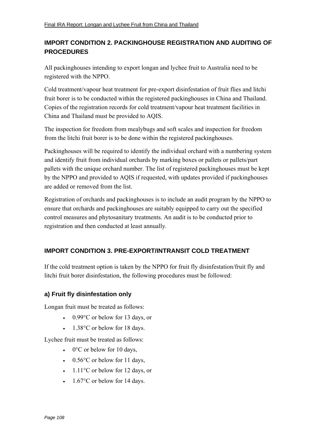# **IMPORT CONDITION 2. PACKINGHOUSE REGISTRATION AND AUDITING OF PROCEDURES**

All packinghouses intending to export longan and lychee fruit to Australia need to be registered with the NPPO.

Cold treatment/vapour heat treatment for pre-export disinfestation of fruit flies and litchi fruit borer is to be conducted within the registered packinghouses in China and Thailand. Copies of the registration records for cold treatment/vapour heat treatment facilities in China and Thailand must be provided to AQIS.

The inspection for freedom from mealybugs and soft scales and inspection for freedom from the litchi fruit borer is to be done within the registered packinghouses.

Packinghouses will be required to identify the individual orchard with a numbering system and identify fruit from individual orchards by marking boxes or pallets or pallets/part pallets with the unique orchard number. The list of registered packinghouses must be kept by the NPPO and provided to AQIS if requested, with updates provided if packinghouses are added or removed from the list.

Registration of orchards and packinghouses is to include an audit program by the NPPO to ensure that orchards and packinghouses are suitably equipped to carry out the specified control measures and phytosanitary treatments. An audit is to be conducted prior to registration and then conducted at least annually.

## **IMPORT CONDITION 3. PRE-EXPORT/INTRANSIT COLD TREATMENT**

If the cold treatment option is taken by the NPPO for fruit fly disinfestation/fruit fly and litchi fruit borer disinfestation, the following procedures must be followed:

## **a) Fruit fly disinfestation only**

Longan fruit must be treated as follows:

- 0.99 °C or below for 13 days, or
- 1.38°C or below for 18 days.

Lychee fruit must be treated as follows:

- $0^{\circ}$ C or below for 10 days,
- 0.56 $\degree$ C or below for 11 days,
- $1.11^{\circ}$ C or below for 12 days, or
- $1.67^{\circ}$ C or below for 14 days.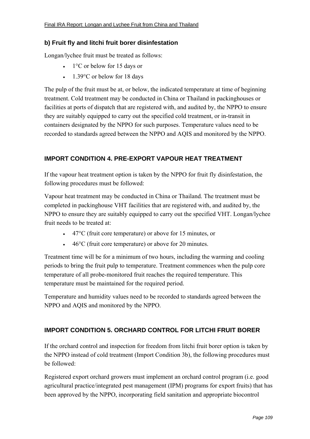### **b) Fruit fly and litchi fruit borer disinfestation**

Longan/lychee fruit must be treated as follows:

- 1<sup>o</sup>C or below for 15 days or
- 1.39°C or below for 18 days

The pulp of the fruit must be at, or below, the indicated temperature at time of beginning treatment. Cold treatment may be conducted in China or Thailand in packinghouses or facilities at ports of dispatch that are registered with, and audited by, the NPPO to ensure they are suitably equipped to carry out the specified cold treatment, or in-transit in containers designated by the NPPO for such purposes. Temperature values need to be recorded to standards agreed between the NPPO and AQIS and monitored by the NPPO.

### **IMPORT CONDITION 4. PRE-EXPORT VAPOUR HEAT TREATMENT**

If the vapour heat treatment option is taken by the NPPO for fruit fly disinfestation, the following procedures must be followed:

Vapour heat treatment may be conducted in China or Thailand. The treatment must be completed in packinghouse VHT facilities that are registered with, and audited by, the NPPO to ensure they are suitably equipped to carry out the specified VHT. Longan/lychee fruit needs to be treated at:

- $\cdot$  47°C (fruit core temperature) or above for 15 minutes, or
- 46°C (fruit core temperature) or above for 20 minutes.

Treatment time will be for a minimum of two hours, including the warming and cooling periods to bring the fruit pulp to temperature. Treatment commences when the pulp core temperature of all probe-monitored fruit reaches the required temperature. This temperature must be maintained for the required period.

Temperature and humidity values need to be recorded to standards agreed between the NPPO and AQIS and monitored by the NPPO.

# **IMPORT CONDITION 5. ORCHARD CONTROL FOR LITCHI FRUIT BORER**

If the orchard control and inspection for freedom from litchi fruit borer option is taken by the NPPO instead of cold treatment (Import Condition 3b), the following procedures must be followed:

Registered export orchard growers must implement an orchard control program (i.e. good agricultural practice/integrated pest management (IPM) programs for export fruits) that has been approved by the NPPO, incorporating field sanitation and appropriate biocontrol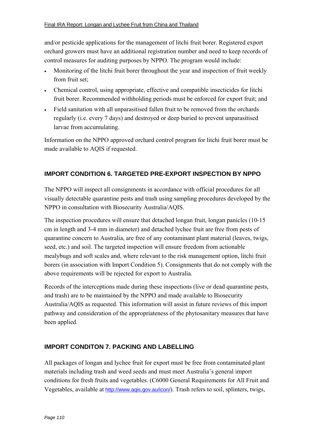and/or pesticide applications for the management of litchi fruit borer. Registered export orchard growers must have an additional registration number and need to keep records of control measures for auditing purposes by NPPO. The program would include:

- Monitoring of the litchi fruit borer throughout the year and inspection of fruit weekly from fruit set;
- Chemical control, using appropriate, effective and compatible insecticides for litchi fruit borer. Recommended withholding periods must be enforced for export fruit; and
- Field sanitation with all unparasitised fallen fruit to be removed from the orchards regularly (i.e. every 7 days) and destroyed or deep buried to prevent unparasitised larvae from accumulating.

Information on the NPPO approved orchard control program for litchi fruit borer must be made available to AQIS if requested.

# **IMPORT CONDITION 6. TARGETED PRE-EXPORT INSPECTION BY NPPO**

The NPPO will inspect all consignments in accordance with official procedures for all visually detectable quarantine pests and trash using sampling procedures developed by the NPPO in consultation with Biosecurity Australia/AQIS.

The inspection procedures will ensure that detached longan fruit, longan panicles (10-15 cm in length and 3-4 mm in diameter) and detached lychee fruit are free from pests of quarantine concern to Australia, are free of any contaminant plant material (leaves, twigs, seed, etc.) and soil. The targeted inspection will ensure freedom from actionable mealybugs and soft scales and, where relevant to the risk management option, litchi fruit borers (in association with Import Condition 5). Consignments that do not comply with the above requirements will be rejected for export to Australia.

Records of the interceptions made during these inspections (live or dead quarantine pests, and trash) are to be maintained by the NPPO and made available to Biosecurity Australia/AQIS as requested. This information will assist in future reviews of this import pathway and consideration of the appropriateness of the phytosanitary measures that have been applied.

# **IMPORT CONDITON 7. PACKING AND LABELLING**

All packages of longan and lychee fruit for export must be free from contaminated plant materials including trash and weed seeds and must meet Australiaís general import conditions for fresh fruits and vegetables. (C6000 General Requirements for All Fruit and Vegetables, available at http://www.aqis.gov.au/icon/). Trash refers to soil, splinters, twigs,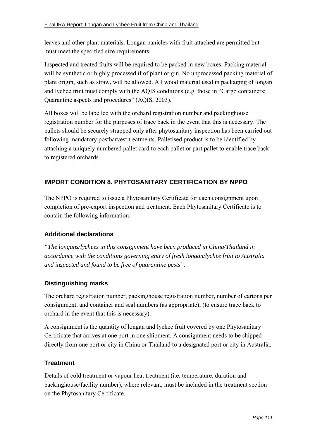leaves and other plant materials. Longan panicles with fruit attached are permitted but must meet the specified size requirements.

Inspected and treated fruits will be required to be packed in new boxes. Packing material will be synthetic or highly processed if of plant origin. No unprocessed packing material of plant origin, such as straw, will be allowed. All wood material used in packaging of longan and lychee fruit must comply with the AQIS conditions (e.g. those in "Cargo containers: Quarantine aspects and procedures" (AQIS, 2003).

All boxes will be labelled with the orchard registration number and packinghouse registration number for the purposes of trace back in the event that this is necessary. The pallets should be securely strapped only after phytosanitary inspection has been carried out following mandatory postharvest treatments. Palletised product is to be identified by attaching a uniquely numbered pallet card to each pallet or part pallet to enable trace back to registered orchards.

# **IMPORT CONDITION 8. PHYTOSANITARY CERTIFICATION BY NPPO**

The NPPO is required to issue a Phytosanitary Certificate for each consignment upon completion of pre-export inspection and treatment. Each Phytosanitary Certificate is to contain the following information:

# **Additional declarations**

*"The longans/lychees in this consignment have been produced in China/Thailand in accordance with the conditions governing entry of fresh longan/lychee fruit to Australia and inspected and found to be free of quarantine pests".* 

#### **Distinguishing marks**

The orchard registration number, packinghouse registration number, number of cartons per consignment, and container and seal numbers (as appropriate); (to ensure trace back to orchard in the event that this is necessary).

A consignment is the quantity of longan and lychee fruit covered by one Phytosanitary Certificate that arrives at one port in one shipment. A consignment needs to be shipped directly from one port or city in China or Thailand to a designated port or city in Australia.

#### **Treatment**

Details of cold treatment or vapour heat treatment (i.e. temperature, duration and packinghouse/facility number), where relevant, must be included in the treatment section on the Phytosanitary Certificate.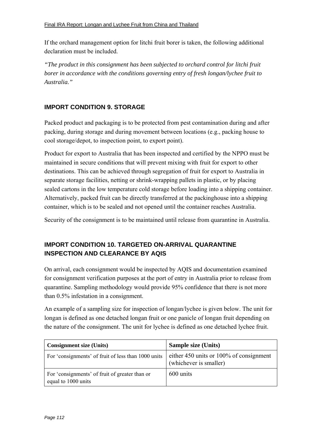If the orchard management option for litchi fruit borer is taken, the following additional declaration must be included.

*"The product in this consignment has been subjected to orchard control for litchi fruit borer in accordance with the conditions governing entry of fresh longan/lychee fruit to Australia."*

# **IMPORT CONDITION 9. STORAGE**

Packed product and packaging is to be protected from pest contamination during and after packing, during storage and during movement between locations (e.g., packing house to cool storage/depot, to inspection point, to export point).

Product for export to Australia that has been inspected and certified by the NPPO must be maintained in secure conditions that will prevent mixing with fruit for export to other destinations. This can be achieved through segregation of fruit for export to Australia in separate storage facilities, netting or shrink-wrapping pallets in plastic, or by placing sealed cartons in the low temperature cold storage before loading into a shipping container. Alternatively, packed fruit can be directly transferred at the packinghouse into a shipping container, which is to be sealed and not opened until the container reaches Australia.

Security of the consignment is to be maintained until release from quarantine in Australia.

# **IMPORT CONDITION 10. TARGETED ON-ARRIVAL QUARANTINE INSPECTION AND CLEARANCE BY AQIS**

On arrival, each consignment would be inspected by AQIS and documentation examined for consignment verification purposes at the port of entry in Australia prior to release from quarantine. Sampling methodology would provide 95% confidence that there is not more than 0.5% infestation in a consignment.

An example of a sampling size for inspection of longan/lychee is given below. The unit for longan is defined as one detached longan fruit or one panicle of longan fruit depending on the nature of the consignment. The unit for lychee is defined as one detached lychee fruit.

| <b>Consignment size (Units)</b>                                       | <b>Sample size (Units)</b>                                             |
|-----------------------------------------------------------------------|------------------------------------------------------------------------|
| For 'consignments' of fruit of less than 1000 units                   | either $450$ units or $100\%$ of consignment<br>(whichever is smaller) |
| For 'consignments' of fruit of greater than or<br>equal to 1000 units | 600 units                                                              |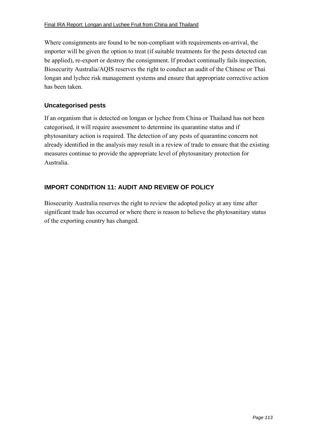Where consignments are found to be non-compliant with requirements on-arrival, the importer will be given the option to treat (if suitable treatments for the pests detected can be applied), re-export or destroy the consignment. If product continually fails inspection, Biosecurity Australia/AQIS reserves the right to conduct an audit of the Chinese or Thai longan and lychee risk management systems and ensure that appropriate corrective action has been taken.

### **Uncategorised pests**

If an organism that is detected on longan or lychee from China or Thailand has not been categorised, it will require assessment to determine its quarantine status and if phytosanitary action is required. The detection of any pests of quarantine concern not already identified in the analysis may result in a review of trade to ensure that the existing measures continue to provide the appropriate level of phytosanitary protection for Australia.

# **IMPORT CONDITION 11: AUDIT AND REVIEW OF POLICY**

Biosecurity Australia reserves the right to review the adopted policy at any time after significant trade has occurred or where there is reason to believe the phytosanitary status of the exporting country has changed.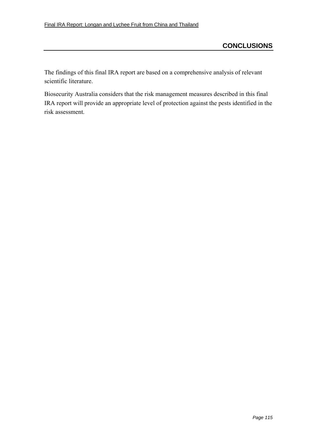The findings of this final IRA report are based on a comprehensive analysis of relevant scientific literature.

Biosecurity Australia considers that the risk management measures described in this final IRA report will provide an appropriate level of protection against the pests identified in the risk assessment.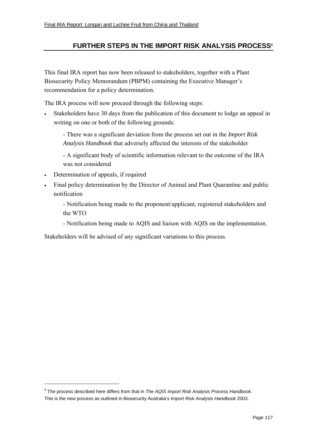# **FURTHER STEPS IN THE IMPORT RISK ANALYSIS PROCESS4**

This final IRA report has now been released to stakeholders, together with a Plant Biosecurity Policy Memorandum (PBPM) containing the Executive Manager's recommendation for a policy determination.

The IRA process will now proceed through the following steps:

Stakeholders have 30 days from the publication of this document to lodge an appeal in writing on one or both of the following grounds:

- There was a significant deviation from the process set out in the *Import Risk Analysis Handbook* that adversely affected the interests of the stakeholder

- A significant body of scientific information relevant to the outcome of the IRA was not considered
- Determination of appeals, if required

 $\overline{a}$ 

• Final policy determination by the Director of Animal and Plant Quarantine and public notification

- Notification being made to the proponent/applicant, registered stakeholders and the WTO

- Notification being made to AQIS and liaison with AQIS on the implementation.

Stakeholders will be advised of any significant variations to this process.

<sup>4</sup> The process described here differs from that in *The AQIS Import Risk Analysis Process Handbook*. This is the new process as outlined in Biosecurity Australia's *Import Risk Analysis Handbook* 2003.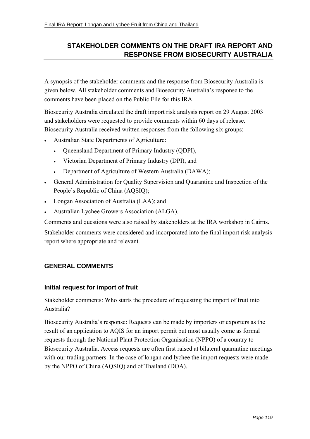# **STAKEHOLDER COMMENTS ON THE DRAFT IRA REPORT AND RESPONSE FROM BIOSECURITY AUSTRALIA**

A synopsis of the stakeholder comments and the response from Biosecurity Australia is given below. All stakeholder comments and Biosecurity Australiaís response to the comments have been placed on the Public File for this IRA.

Biosecurity Australia circulated the draft import risk analysis report on 29 August 2003 and stakeholders were requested to provide comments within 60 days of release. Biosecurity Australia received written responses from the following six groups:

- Australian State Departments of Agriculture:
	- Queensland Department of Primary Industry (QDPI),
	- Victorian Department of Primary Industry (DPI), and
	- Department of Agriculture of Western Australia (DAWA);
- General Administration for Quality Supervision and Quarantine and Inspection of the People's Republic of China (AQSIQ);
- Longan Association of Australia (LAA); and
- Australian Lychee Growers Association (ALGA).

Comments and questions were also raised by stakeholders at the IRA workshop in Cairns. Stakeholder comments were considered and incorporated into the final import risk analysis report where appropriate and relevant.

# **GENERAL COMMENTS**

#### **Initial request for import of fruit**

Stakeholder comments: Who starts the procedure of requesting the import of fruit into Australia?

Biosecurity Australia's response: Requests can be made by importers or exporters as the result of an application to AQIS for an import permit but most usually come as formal requests through the National Plant Protection Organisation (NPPO) of a country to Biosecurity Australia. Access requests are often first raised at bilateral quarantine meetings with our trading partners. In the case of longan and lychee the import requests were made by the NPPO of China (AQSIQ) and of Thailand (DOA).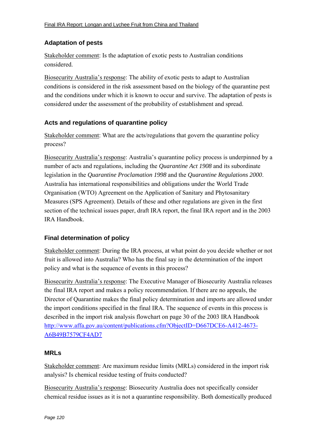# **Adaptation of pests**

Stakeholder comment: Is the adaptation of exotic pests to Australian conditions considered.

Biosecurity Australia's response: The ability of exotic pests to adapt to Australian conditions is considered in the risk assessment based on the biology of the quarantine pest and the conditions under which it is known to occur and survive. The adaptation of pests is considered under the assessment of the probability of establishment and spread.

### **Acts and regulations of quarantine policy**

Stakeholder comment: What are the acts/regulations that govern the quarantine policy process?

Biosecurity Australia's response: Australia's quarantine policy process is underpinned by a number of acts and regulations, including the *Quarantine Act 1908* and its subordinate legislation in the *Quarantine Proclamation 1998* and the *Quarantine Regulations 2000*. Australia has international responsibilities and obligations under the World Trade Organisation (WTO) Agreement on the Application of Sanitary and Phytosanitary Measures (SPS Agreement). Details of these and other regulations are given in the first section of the technical issues paper, draft IRA report, the final IRA report and in the 2003 IRA Handbook.

#### **Final determination of policy**

Stakeholder comment: During the IRA process, at what point do you decide whether or not fruit is allowed into Australia? Who has the final say in the determination of the import policy and what is the sequence of events in this process?

Biosecurity Australia's response: The Executive Manager of Biosecurity Australia releases the final IRA report and makes a policy recommendation. If there are no appeals, the Director of Quarantine makes the final policy determination and imports are allowed under the import conditions specified in the final IRA. The sequence of events in this process is described in the import risk analysis flowchart on page 30 of the 2003 IRA Handbook http://www.affa.gov.au/content/publications.cfm?ObjectID=D667DCE6-A412-4673- A6B49B7579CF4AD7

#### **MRLs**

Stakeholder comment: Are maximum residue limits (MRLs) considered in the import risk analysis? Is chemical residue testing of fruits conducted?

Biosecurity Australia's response: Biosecurity Australia does not specifically consider chemical residue issues as it is not a quarantine responsibility. Both domestically produced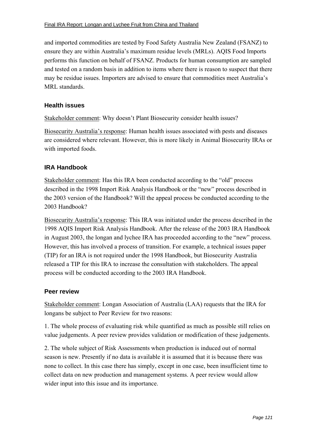and imported commodities are tested by Food Safety Australia New Zealand (FSANZ) to ensure they are within Australiaís maximum residue levels (MRLs). AQIS Food Imports performs this function on behalf of FSANZ. Products for human consumption are sampled and tested on a random basis in addition to items where there is reason to suspect that there may be residue issues. Importers are advised to ensure that commodities meet Australia's MRL standards.

#### **Health issues**

Stakeholder comment: Why doesn't Plant Biosecurity consider health issues?

Biosecurity Australiaís response: Human health issues associated with pests and diseases are considered where relevant. However, this is more likely in Animal Biosecurity IRAs or with imported foods.

#### **IRA Handbook**

Stakeholder comment: Has this IRA been conducted according to the "old" process described in the 1998 Import Risk Analysis Handbook or the "new" process described in the 2003 version of the Handbook? Will the appeal process be conducted according to the 2003 Handbook?

Biosecurity Australia's response: This IRA was initiated under the process described in the 1998 AQIS Import Risk Analysis Handbook. After the release of the 2003 IRA Handbook in August 2003, the longan and lychee IRA has proceeded according to the "new" process. However, this has involved a process of transition. For example, a technical issues paper (TIP) for an IRA is not required under the 1998 Handbook, but Biosecurity Australia released a TIP for this IRA to increase the consultation with stakeholders. The appeal process will be conducted according to the 2003 IRA Handbook.

#### **Peer review**

Stakeholder comment: Longan Association of Australia (LAA) requests that the IRA for longans be subject to Peer Review for two reasons:

1. The whole process of evaluating risk while quantified as much as possible still relies on value judgements. A peer review provides validation or modification of these judgements.

2. The whole subject of Risk Assessments when production is induced out of normal season is new. Presently if no data is available it is assumed that it is because there was none to collect. In this case there has simply, except in one case, been insufficient time to collect data on new production and management systems. A peer review would allow wider input into this issue and its importance.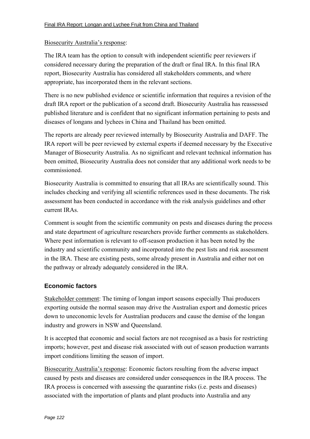#### Biosecurity Australia's response:

The IRA team has the option to consult with independent scientific peer reviewers if considered necessary during the preparation of the draft or final IRA. In this final IRA report, Biosecurity Australia has considered all stakeholders comments, and where appropriate, has incorporated them in the relevant sections.

There is no new published evidence or scientific information that requires a revision of the draft IRA report or the publication of a second draft. Biosecurity Australia has reassessed published literature and is confident that no significant information pertaining to pests and diseases of longans and lychees in China and Thailand has been omitted.

The reports are already peer reviewed internally by Biosecurity Australia and DAFF. The IRA report will be peer reviewed by external experts if deemed necessary by the Executive Manager of Biosecurity Australia. As no significant and relevant technical information has been omitted, Biosecurity Australia does not consider that any additional work needs to be commissioned.

Biosecurity Australia is committed to ensuring that all IRAs are scientifically sound. This includes checking and verifying all scientific references used in these documents. The risk assessment has been conducted in accordance with the risk analysis guidelines and other current IRAs.

Comment is sought from the scientific community on pests and diseases during the process and state department of agriculture researchers provide further comments as stakeholders. Where pest information is relevant to off-season production it has been noted by the industry and scientific community and incorporated into the pest lists and risk assessment in the IRA. These are existing pests, some already present in Australia and either not on the pathway or already adequately considered in the IRA.

#### **Economic factors**

Stakeholder comment: The timing of longan import seasons especially Thai producers exporting outside the normal season may drive the Australian export and domestic prices down to uneconomic levels for Australian producers and cause the demise of the longan industry and growers in NSW and Queensland.

It is accepted that economic and social factors are not recognised as a basis for restricting imports; however, pest and disease risk associated with out of season production warrants import conditions limiting the season of import.

Biosecurity Australiaís response: Economic factors resulting from the adverse impact caused by pests and diseases are considered under consequences in the IRA process. The IRA process is concerned with assessing the quarantine risks (i.e. pests and diseases) associated with the importation of plants and plant products into Australia and any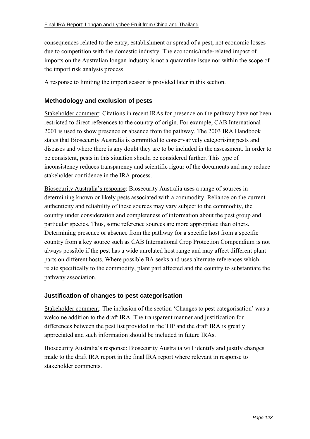consequences related to the entry, establishment or spread of a pest, not economic losses due to competition with the domestic industry. The economic/trade-related impact of imports on the Australian longan industry is not a quarantine issue nor within the scope of the import risk analysis process.

A response to limiting the import season is provided later in this section.

#### **Methodology and exclusion of pests**

Stakeholder comment: Citations in recent IRAs for presence on the pathway have not been restricted to direct references to the country of origin. For example, CAB International 2001 is used to show presence or absence from the pathway. The 2003 IRA Handbook states that Biosecurity Australia is committed to conservatively categorising pests and diseases and where there is any doubt they are to be included in the assessment. In order to be consistent, pests in this situation should be considered further. This type of inconsistency reduces transparency and scientific rigour of the documents and may reduce stakeholder confidence in the IRA process.

Biosecurity Australiaís response: Biosecurity Australia uses a range of sources in determining known or likely pests associated with a commodity. Reliance on the current authenticity and reliability of these sources may vary subject to the commodity, the country under consideration and completeness of information about the pest group and particular species. Thus, some reference sources are more appropriate than others. Determining presence or absence from the pathway for a specific host from a specific country from a key source such as CAB International Crop Protection Compendium is not always possible if the pest has a wide unrelated host range and may affect different plant parts on different hosts. Where possible BA seeks and uses alternate references which relate specifically to the commodity, plant part affected and the country to substantiate the pathway association.

#### **Justification of changes to pest categorisation**

Stakeholder comment: The inclusion of the section 'Changes to pest categorisation' was a welcome addition to the draft IRA. The transparent manner and justification for differences between the pest list provided in the TIP and the draft IRA is greatly appreciated and such information should be included in future IRAs.

Biosecurity Australia's response: Biosecurity Australia will identify and justify changes made to the draft IRA report in the final IRA report where relevant in response to stakeholder comments.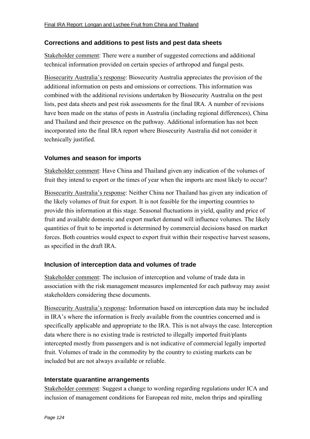### **Corrections and additions to pest lists and pest data sheets**

Stakeholder comment: There were a number of suggested corrections and additional technical information provided on certain species of arthropod and fungal pests.

Biosecurity Australiaís response: Biosecurity Australia appreciates the provision of the additional information on pests and omissions or corrections. This information was combined with the additional revisions undertaken by Biosecurity Australia on the pest lists, pest data sheets and pest risk assessments for the final IRA. A number of revisions have been made on the status of pests in Australia (including regional differences), China and Thailand and their presence on the pathway. Additional information has not been incorporated into the final IRA report where Biosecurity Australia did not consider it technically justified.

#### **Volumes and season for imports**

Stakeholder comment: Have China and Thailand given any indication of the volumes of fruit they intend to export or the times of year when the imports are most likely to occur?

Biosecurity Australia's response: Neither China nor Thailand has given any indication of the likely volumes of fruit for export. It is not feasible for the importing countries to provide this information at this stage. Seasonal fluctuations in yield, quality and price of fruit and available domestic and export market demand will influence volumes. The likely quantities of fruit to be imported is determined by commercial decisions based on market forces. Both countries would expect to export fruit within their respective harvest seasons, as specified in the draft IRA.

# **Inclusion of interception data and volumes of trade**

Stakeholder comment: The inclusion of interception and volume of trade data in association with the risk management measures implemented for each pathway may assist stakeholders considering these documents.

Biosecurity Australia's response: Information based on interception data may be included in IRA's where the information is freely available from the countries concerned and is specifically applicable and appropriate to the IRA. This is not always the case. Interception data where there is no existing trade is restricted to illegally imported fruit/plants intercepted mostly from passengers and is not indicative of commercial legally imported fruit. Volumes of trade in the commodity by the country to existing markets can be included but are not always available or reliable.

#### **Interstate quarantine arrangements**

Stakeholder comment: Suggest a change to wording regarding regulations under ICA and inclusion of management conditions for European red mite, melon thrips and spiralling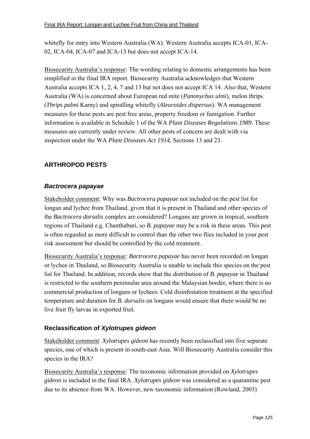whitefly for entry into Western Australia (WA). Western Australia accepts ICA-01, ICA-02, ICA-04, ICA-07 and ICA-13 but does not accept ICA-14.

Biosecurity Australia's response: The wording relating to domestic arrangements has been simplified in the final IRA report. Biosecurity Australia acknowledges that Western Australia accepts ICA 1, 2, 4, 7 and 13 but not does not accept ICA 14. Also that, Western Australia (WA) is concerned about European red mite (*Panonychus ulmi*), melon thrips (*Thrips palmi* Karny) and spiralling whitefly (*Aleuroides dispersus*). WA management measures for these pests are pest free areas, property freedom or fumigation. Further information is available in Schedule 1 of the WA *Plant Diseases Regulations 1989*. These measures are currently under review. All other pests of concern are dealt with via inspection under the WA *Plant Diseases Act 1914*, Sections 13 and 23.

# **ARTHROPOD PESTS**

### *Bactrocera papayae*

Stakeholder comment: Why was *Bactrocera papayae* not included on the pest list for longan and lychee from Thailand, given that it is present in Thailand and other species of the *Bactrocera dorsalis* complex are considered? Longans are grown in tropical, southern regions of Thailand e.g. Chanthaburi, so *B. papayae* may be a risk in these areas. This pest is often regarded as more difficult to control than the other two flies included in your pest risk assessment but should be controlled by the cold treatment.

Biosecurity Australiaís response: *Bactrocera papayae* has never been recorded on longan or lychee in Thailand, so Biosecurity Australia is unable to include this species on the pest list for Thailand. In addition, records show that the distribution of *B. papayae* in Thailand is restricted to the southern peninsular area around the Malaysian border, where there is no commercial production of longans or lychees. Cold disinfestation treatment at the specified temperature and duration for *B. dorsalis* on longans would ensure that there would be no live fruit fly larvae in exported fruit.

# **Reclassification of** *Xylotrupes gideon*

Stakeholder comment: *Xylotrupes gideon* has recently been reclassified into five separate species, one of which is present in south-east Asia. Will Biosecurity Australia consider this species in the IRA?

Biosecurity Australiaís response: The taxonomic information provided on *Xylotrupes gideon* is included in the final IRA. *Xylotrupes gideon* was considered as a quarantine pest due to its absence from WA. However, new taxonomic information (Rowland, 2003)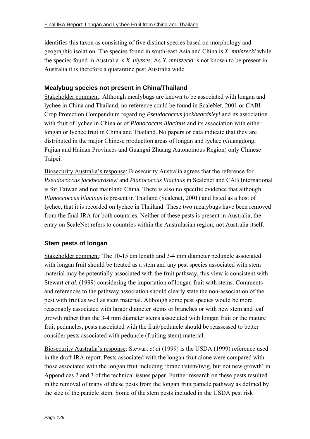identifies this taxon as consisting of five distinct species based on morphology and geographic isolation. The species found in south-east Asia and China is *X. mniszecki* while the species found in Australia is *X. ulysses.* As *X. mniszecki* is not known to be present in Australia it is therefore a quarantine pest Australia wide.

#### **Mealybug species not present in China/Thailand**

Stakeholder comment: Although mealybugs are known to be associated with longan and lychee in China and Thailand, no reference could be found in ScaleNet, 2001 or CABI Crop Protection Compendium regarding *Pseudococcus jackbeardsleyi* and its association with fruit of lychee in China or of *Planococcus lilacinus* and its association with either longan or lychee fruit in China and Thailand. No papers or data indicate that they are distributed in the major Chinese production areas of longan and lychee (Guangdong, Fujian and Hainan Provinces and Guangxi Zhuang Autonomous Region) only Chinese Taipei.

Biosecurity Australiaís response: Biosecurity Australia agrees that the reference for *Pseudococcus jackbeardsleyi* and *Planococcus lilacinus* in Scalenet and CAB International is for Taiwan and not mainland China. There is also no specific evidence that although *Planoccoccus lilacinus* is present in Thailand (Scalenet, 2001) and listed as a host of lychee, that it is recorded on lychee in Thailand. These two mealybugs have been removed from the final IRA for both countries. Neither of these pests is present in Australia, the entry on ScaleNet refers to countries within the Australasian region, not Australia itself.

# **Stem pests of longan**

Stakeholder comment: The 10-15 cm length and 3-4 mm diameter peduncle associated with longan fruit should be treated as a stem and any pest species associated with stem material may be potentially associated with the fruit pathway, this view is consistent with Stewart *et al*. (1999) considering the importation of longan fruit with stems. Comments and references to the pathway association should clearly state the non-association of the pest with fruit as well as stem material. Although some pest species would be more reasonably associated with larger diameter stems or branches or with new stem and leaf growth rather than the 3-4 mm diameter stems associated with longan fruit or the mature fruit peduncles, pests associated with the fruit/peduncle should be reassessed to better consider pests associated with peduncle (fruiting stem) material.

Biosecurity Australiaís response: Stewart *et al* (1999) is the USDA (1999) reference used in the draft IRA report. Pests associated with the longan fruit alone were compared with those associated with the longan fruit including 'branch/stem/twig, but not new growth' in Appendices 2 and 3 of the technical issues paper. Further research on these pests resulted in the removal of many of these pests from the longan fruit panicle pathway as defined by the size of the panicle stem. Some of the stem pests included in the USDA pest risk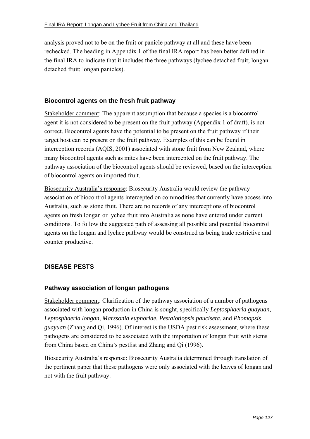analysis proved not to be on the fruit or panicle pathway at all and these have been rechecked. The heading in Appendix 1 of the final IRA report has been better defined in the final IRA to indicate that it includes the three pathways (lychee detached fruit; longan detached fruit; longan panicles).

### **Biocontrol agents on the fresh fruit pathway**

Stakeholder comment: The apparent assumption that because a species is a biocontrol agent it is not considered to be present on the fruit pathway (Appendix 1 of draft), is not correct. Biocontrol agents have the potential to be present on the fruit pathway if their target host can be present on the fruit pathway. Examples of this can be found in interception records (AQIS, 2001) associated with stone fruit from New Zealand, where many biocontrol agents such as mites have been intercepted on the fruit pathway. The pathway association of the biocontrol agents should be reviewed, based on the interception of biocontrol agents on imported fruit.

Biosecurity Australiaís response: Biosecurity Australia would review the pathway association of biocontrol agents intercepted on commodities that currently have access into Australia, such as stone fruit. There are no records of any interceptions of biocontrol agents on fresh longan or lychee fruit into Australia as none have entered under current conditions. To follow the suggested path of assessing all possible and potential biocontrol agents on the longan and lychee pathway would be construed as being trade restrictive and counter productive.

# **DISEASE PESTS**

#### **Pathway association of longan pathogens**

Stakeholder comment: Clarification of the pathway association of a number of pathogens associated with longan production in China is sought, specifically *Leptosphaeria guayuan, Leptosphaeria longan, Marssonia euphoriae, Pestalotiopsis pauciseta*, and *Phomopsis guayuan* (Zhang and Qi, 1996). Of interest is the USDA pest risk assessment, where these pathogens are considered to be associated with the importation of longan fruit with stems from China based on China's pestlist and Zhang and Oi (1996).

Biosecurity Australia's response: Biosecurity Australia determined through translation of the pertinent paper that these pathogens were only associated with the leaves of longan and not with the fruit pathway.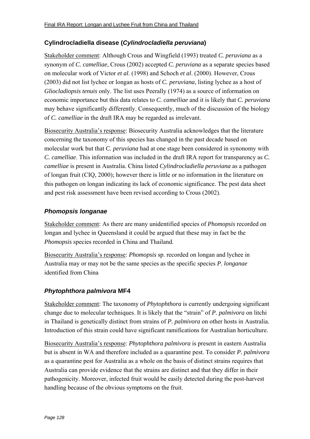# **Cylindrocladiella disease (***Cylindrocladiella peruviana***)**

Stakeholder comment: Although Crous and Wingfield (1993) treated *C. peruviana* as a synonym of *C. camelliae*, Crous (2002) accepted *C. peruviana* as a separate species based on molecular work of Victor *et al*. (1998) and Schoch *et al*. (2000). However, Crous (2003) did not list lychee or longan as hosts of *C. peruviana*, listing lychee as a host of *Gliocladiopsis tenuis* only. The list uses Peerally (1974) as a source of information on economic importance but this data relates to *C. camelliae* and it is likely that *C. peruviana* may behave significantly differently. Consequently, much of the discussion of the biology of *C. camelliae* in the draft IRA may be regarded as irrelevant.

Biosecurity Australiaís response: Biosecurity Australia acknowledges that the literature concerning the taxonomy of this species has changed in the past decade based on molecular work but that *C. peruviana* had at one stage been considered in synonomy with *C. camelliae*. This information was included in the draft IRA report for transparency as *C. camelliae* is present in Australia. China listed *Cylindrocladiella peruviana* as a pathogen of longan fruit (CIQ, 2000); however there is little or no information in the literature on this pathogen on longan indicating its lack of economic significance. The pest data sheet and pest risk assessment have been revised according to Crous (2002).

# *Phomopsis longanae*

Stakeholder comment: As there are many unidentified species of *Phomopsis* recorded on longan and lychee in Queensland it could be argued that these may in fact be the *Phomopsis* species recorded in China and Thailand.

Biosecurity Australiaís response: *Phomopsis* sp. recorded on longan and lychee in Australia may or may not be the same species as the specific species *P. longanae* identified from China

# *Phytophthora palmivora* **MF4**

Stakeholder comment: The taxonomy of *Phytophthora* is currently undergoing significant change due to molecular techniques. It is likely that the "strain" of *P. palmivora* on litchi in Thailand is genetically distinct from strains of *P. palmivora* on other hosts in Australia. Introduction of this strain could have significant ramifications for Australian horticulture.

Biosecurity Australiaís response: *Phytophthora palmivora* is present in eastern Australia but is absent in WA and therefore included as a quarantine pest. To consider *P. palmivora* as a quarantine pest for Australia as a whole on the basis of distinct strains requires that Australia can provide evidence that the strains are distinct and that they differ in their pathogenicity. Moreover, infected fruit would be easily detected during the post-harvest handling because of the obvious symptoms on the fruit.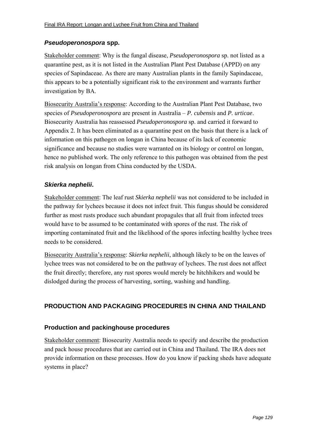### *Pseudoperonospora* **spp.**

Stakeholder comment: Why is the fungal disease, *Pseudoperonospora* sp. not listed as a quarantine pest, as it is not listed in the Australian Plant Pest Database (APPD) on any species of Sapindaceae. As there are many Australian plants in the family Sapindaceae, this appears to be a potentially significant risk to the environment and warrants further investigation by BA.

Biosecurity Australia's response: According to the Australian Plant Pest Database, two species of *Pseudoperonospora* are present in Australia – *P. cubensis* and *P. urticae.* Biosecurity Australia has reassessed *Pseudoperonospora* sp. and carried it forward to Appendix 2. It has been eliminated as a quarantine pest on the basis that there is a lack of information on this pathogen on longan in China because of its lack of economic significance and because no studies were warranted on its biology or control on longan, hence no published work. The only reference to this pathogen was obtained from the pest risk analysis on longan from China conducted by the USDA.

### *Skierka nephelii***.**

Stakeholder comment: The leaf rust *Skierka nephelii* was not considered to be included in the pathway for lychees because it does not infect fruit. This fungus should be considered further as most rusts produce such abundant propagules that all fruit from infected trees would have to be assumed to be contaminated with spores of the rust. The risk of importing contaminated fruit and the likelihood of the spores infecting healthy lychee trees needs to be considered.

Biosecurity Australiaís response: *Skierka nephelii*, although likely to be on the leaves of lychee trees was not considered to be on the pathway of lychees. The rust does not affect the fruit directly; therefore, any rust spores would merely be hitchhikers and would be dislodged during the process of harvesting, sorting, washing and handling.

# **PRODUCTION AND PACKAGING PROCEDURES IN CHINA AND THAILAND**

#### **Production and packinghouse procedures**

Stakeholder comment: Biosecurity Australia needs to specify and describe the production and pack house procedures that are carried out in China and Thailand. The IRA does not provide information on these processes. How do you know if packing sheds have adequate systems in place?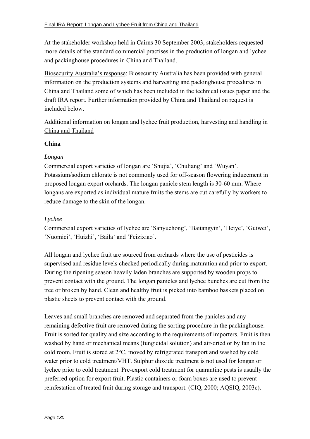At the stakeholder workshop held in Cairns 30 September 2003, stakeholders requested more details of the standard commercial practises in the production of longan and lychee and packinghouse procedures in China and Thailand.

Biosecurity Australia's response: Biosecurity Australia has been provided with general information on the production systems and harvesting and packinghouse procedures in China and Thailand some of which has been included in the technical issues paper and the draft IRA report. Further information provided by China and Thailand on request is included below.

Additional information on longan and lychee fruit production, harvesting and handling in China and Thailand

#### **China**

### *Longan*

Commercial export varieties of longan are 'Shujia', 'Chuliang' and 'Wuyan'. Potassium/sodium chlorate is not commonly used for off-season flowering inducement in proposed longan export orchards. The longan panicle stem length is 30-60 mm. Where longans are exported as individual mature fruits the stems are cut carefully by workers to reduce damage to the skin of the longan.

# *Lychee*

Commercial export varieties of lychee are 'Sanyuehong', 'Baitangyin', 'Heiye', 'Guiwei', 'Nuomici', 'Huizhi', 'Baila' and 'Feizixiao'.

All longan and lychee fruit are sourced from orchards where the use of pesticides is supervised and residue levels checked periodically during maturation and prior to export. During the ripening season heavily laden branches are supported by wooden props to prevent contact with the ground. The longan panicles and lychee bunches are cut from the tree or broken by hand. Clean and healthy fruit is picked into bamboo baskets placed on plastic sheets to prevent contact with the ground.

Leaves and small branches are removed and separated from the panicles and any remaining defective fruit are removed during the sorting procedure in the packinghouse. Fruit is sorted for quality and size according to the requirements of importers. Fruit is then washed by hand or mechanical means (fungicidal solution) and air-dried or by fan in the cold room. Fruit is stored at 2°C, moved by refrigerated transport and washed by cold water prior to cold treatment/VHT. Sulphur dioxide treatment is not used for longan or lychee prior to cold treatment. Pre-export cold treatment for quarantine pests is usually the preferred option for export fruit. Plastic containers or foam boxes are used to prevent reinfestation of treated fruit during storage and transport. (CIQ, 2000; AQSIQ, 2003c).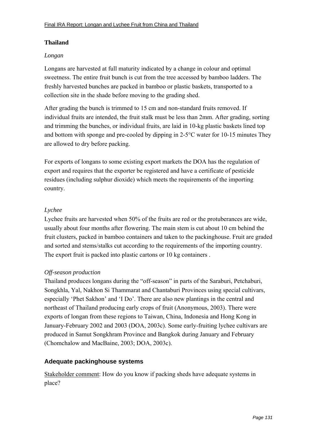# **Thailand**

# *Longan*

Longans are harvested at full maturity indicated by a change in colour and optimal sweetness. The entire fruit bunch is cut from the tree accessed by bamboo ladders. The freshly harvested bunches are packed in bamboo or plastic baskets, transported to a collection site in the shade before moving to the grading shed.

After grading the bunch is trimmed to 15 cm and non-standard fruits removed. If individual fruits are intended, the fruit stalk must be less than 2mm. After grading, sorting and trimming the bunches, or individual fruits, are laid in 10-kg plastic baskets lined top and bottom with sponge and pre-cooled by dipping in 2-5°C water for 10-15 minutes They are allowed to dry before packing.

For exports of longans to some existing export markets the DOA has the regulation of export and requires that the exporter be registered and have a certificate of pesticide residues (including sulphur dioxide) which meets the requirements of the importing country.

# *Lychee*

Lychee fruits are harvested when 50% of the fruits are red or the protuberances are wide, usually about four months after flowering. The main stem is cut about 10 cm behind the fruit clusters, packed in bamboo containers and taken to the packinghouse. Fruit are graded and sorted and stems/stalks cut according to the requirements of the importing country. The export fruit is packed into plastic cartons or 10 kg containers .

# *Off-season production*

Thailand produces longans during the "off-season" in parts of the Saraburi, Petchaburi, Songkhla, Yal, Nakhon Si Thammarat and Chantaburi Provinces using special cultivars, especially 'Phet Sakhon' and 'I Do'. There are also new plantings in the central and northeast of Thailand producing early crops of fruit (Anonymous, 2003). There were exports of longan from these regions to Taiwan, China, Indonesia and Hong Kong in January-February 2002 and 2003 (DOA, 2003c). Some early-fruiting lychee cultivars are produced in Samut Songkhram Province and Bangkok during January and February (Chomchalow and MacBaine, 2003; DOA, 2003c).

# **Adequate packinghouse systems**

Stakeholder comment: How do you know if packing sheds have adequate systems in place?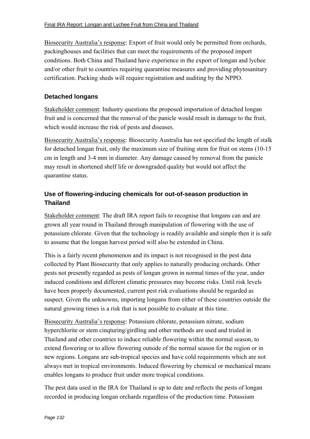Biosecurity Australia's response: Export of fruit would only be permitted from orchards, packinghouses and facilities that can meet the requirements of the proposed import conditions. Both China and Thailand have experience in the export of longan and lychee and/or other fruit to countries requiring quarantine measures and providing phytosanitary certification. Packing sheds will require registration and auditing by the NPPO.

### **Detached longans**

Stakeholder comment: Industry questions the proposed importation of detached longan fruit and is concerned that the removal of the panicle would result in damage to the fruit, which would increase the risk of pests and diseases.

Biosecurity Australia's response: Biosecurity Australia has not specified the length of stalk for detached longan fruit, only the maximum size of fruiting stem for fruit on stems (10-15 cm in length and 3-4 mm in diameter. Any damage caused by removal from the panicle may result in shortened shelf life or downgraded quality but would not affect the quarantine status.

# **Use of flowering-inducing chemicals for out-of-season production in Thailand**

Stakeholder comment: The draft IRA report fails to recognise that longans can and are grown all year round in Thailand through manipulation of flowering with the use of potassium chlorate. Given that the technology is readily available and simple then it is safe to assume that the longan harvest period will also be extended in China.

This is a fairly recent phenomenon and its impact is not recognised in the pest data collected by Plant Biosecurity that only applies to naturally producing orchards. Other pests not presently regarded as pests of longan grown in normal times of the year, under induced conditions and different climatic pressures may become risks. Until risk levels have been properly documented, current pest risk evaluations should be regarded as suspect. Given the unknowns, importing longans from either of these countries outside the natural growing times is a risk that is not possible to evaluate at this time.

Biosecurity Australia's response: Potassium chlorate, potassium nitrate, sodium hyperchlorite or stem cinqturing/girdling and other methods are used and trialed in Thailand and other countries to induce reliable flowering within the normal season, to extend flowering or to allow flowering outside of the normal season for the region or in new regions. Longans are sub-tropical species and have cold requirements which are not always met in tropical environments. Induced flowering by chemical or mechanical means enables longans to produce fruit under more tropical conditions.

The pest data used in the IRA for Thailand is up to date and reflects the pests of longan recorded in producing longan orchards regardless of the production time. Potassium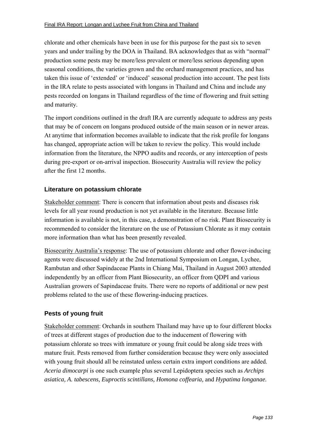chlorate and other chemicals have been in use for this purpose for the past six to seven years and under trailing by the DOA in Thailand. BA acknowledges that as with "normal" production some pests may be more/less prevalent or more/less serious depending upon seasonal conditions, the varieties grown and the orchard management practices, and has taken this issue of 'extended' or 'induced' seasonal production into account. The pest lists in the IRA relate to pests associated with longans in Thailand and China and include any pests recorded on longans in Thailand regardless of the time of flowering and fruit setting and maturity.

The import conditions outlined in the draft IRA are currently adequate to address any pests that may be of concern on longans produced outside of the main season or in newer areas. At anytime that information becomes available to indicate that the risk profile for longans has changed, appropriate action will be taken to review the policy. This would include information from the literature, the NPPO audits and records, or any interception of pests during pre-export or on-arrival inspection. Biosecurity Australia will review the policy after the first 12 months.

#### **Literature on potassium chlorate**

Stakeholder comment: There is concern that information about pests and diseases risk levels for all year round production is not yet available in the literature. Because little information is available is not, in this case, a demonstration of no risk. Plant Biosecurity is recommended to consider the literature on the use of Potassium Chlorate as it may contain more information than what has been presently revealed.

Biosecurity Australia's response: The use of potassium chlorate and other flower-inducing agents were discussed widely at the 2nd International Symposium on Longan, Lychee, Rambutan and other Sapindaceae Plants in Chiang Mai, Thailand in August 2003 attended independently by an officer from Plant Biosecurity, an officer from QDPI and various Australian growers of Sapindaceae fruits. There were no reports of additional or new pest problems related to the use of these flowering-inducing practices.

# **Pests of young fruit**

Stakeholder comment: Orchards in southern Thailand may have up to four different blocks of trees at different stages of production due to the inducement of flowering with potassium chlorate so trees with immature or young fruit could be along side trees with mature fruit. Pests removed from further consideration because they were only associated with young fruit should all be reinstated unless certain extra import conditions are added. *Aceria dimocarpi* is one such example plus several Lepidoptera species such as *Archips asiatica, A. tabescens, Euproctis scintillans, Homona coffearia,* and *Hypatima longanae.*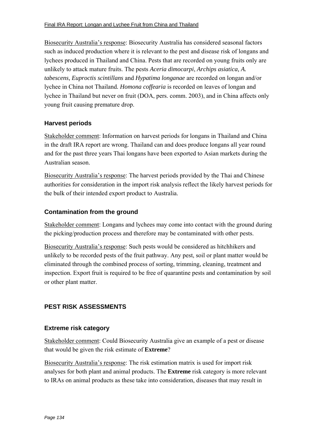Biosecurity Australia's response: Biosecurity Australia has considered seasonal factors such as induced production where it is relevant to the pest and disease risk of longans and lychees produced in Thailand and China. Pests that are recorded on young fruits only are unlikely to attack mature fruits. The pests *Aceria dimocarpi*, *Archips asiatica, A. tabescens, Euproctis scintillans* and *Hypatima longanae* are recorded on longan and/or lychee in China not Thailand*. Homona coffearia* is recorded on leaves of longan and lychee in Thailand but never on fruit (DOA, pers. comm. 2003), and in China affects only young fruit causing premature drop.

### **Harvest periods**

Stakeholder comment: Information on harvest periods for longans in Thailand and China in the draft IRA report are wrong. Thailand can and does produce longans all year round and for the past three years Thai longans have been exported to Asian markets during the Australian season.

Biosecurity Australia's response: The harvest periods provided by the Thai and Chinese authorities for consideration in the import risk analysis reflect the likely harvest periods for the bulk of their intended export product to Australia.

### **Contamination from the ground**

Stakeholder comment: Longans and lychees may come into contact with the ground during the picking/production process and therefore may be contaminated with other pests.

Biosecurity Australia's response: Such pests would be considered as hitchhikers and unlikely to be recorded pests of the fruit pathway. Any pest, soil or plant matter would be eliminated through the combined process of sorting, trimming, cleaning, treatment and inspection. Export fruit is required to be free of quarantine pests and contamination by soil or other plant matter.

# **PEST RISK ASSESSMENTS**

#### **Extreme risk category**

Stakeholder comment: Could Biosecurity Australia give an example of a pest or disease that would be given the risk estimate of **Extreme**?

Biosecurity Australiaís response: The risk estimation matrix is used for import risk analyses for both plant and animal products. The **Extreme** risk category is more relevant to IRAs on animal products as these take into consideration, diseases that may result in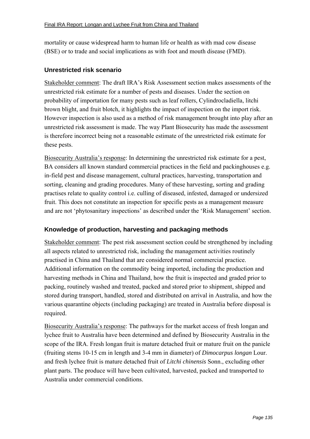mortality or cause widespread harm to human life or health as with mad cow disease (BSE) or to trade and social implications as with foot and mouth disease (FMD).

#### **Unrestricted risk scenario**

Stakeholder comment: The draft IRA's Risk Assessment section makes assessments of the unrestricted risk estimate for a number of pests and diseases. Under the section on probability of importation for many pests such as leaf rollers, Cylindrocladiella, litchi brown blight, and fruit blotch, it highlights the impact of inspection on the import risk. However inspection is also used as a method of risk management brought into play after an unrestricted risk assessment is made. The way Plant Biosecurity has made the assessment is therefore incorrect being not a reasonable estimate of the unrestricted risk estimate for these pests.

Biosecurity Australiaís response: In determining the unrestricted risk estimate for a pest, BA considers all known standard commercial practices in the field and packinghouses e.g. in-field pest and disease management, cultural practices, harvesting, transportation and sorting, cleaning and grading procedures. Many of these harvesting, sorting and grading practises relate to quality control i.e. culling of diseased, infested, damaged or undersized fruit. This does not constitute an inspection for specific pests as a management measure and are not 'phytosanitary inspections' as described under the 'Risk Management' section.

# **Knowledge of production, harvesting and packaging methods**

Stakeholder comment: The pest risk assessment section could be strengthened by including all aspects related to unrestricted risk, including the management activities routinely practised in China and Thailand that are considered normal commercial practice. Additional information on the commodity being imported, including the production and harvesting methods in China and Thailand, how the fruit is inspected and graded prior to packing, routinely washed and treated, packed and stored prior to shipment, shipped and stored during transport, handled, stored and distributed on arrival in Australia, and how the various quarantine objects (including packaging) are treated in Australia before disposal is required.

Biosecurity Australia's response: The pathways for the market access of fresh longan and lychee fruit to Australia have been determined and defined by Biosecurity Australia in the scope of the IRA. Fresh longan fruit is mature detached fruit or mature fruit on the panicle (fruiting stems 10-15 cm in length and 3-4 mm in diameter) of *Dimocarpus longan* Lour. and fresh lychee fruit is mature detached fruit of *Litchi chinensis* Sonn., excluding other plant parts. The produce will have been cultivated, harvested, packed and transported to Australia under commercial conditions.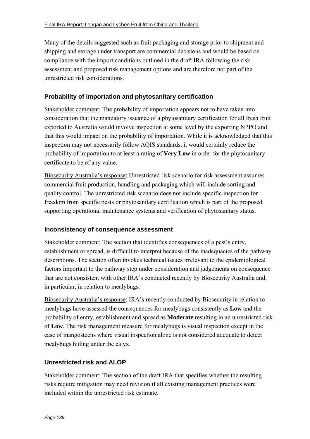Many of the details suggested such as fruit packaging and storage prior to shipment and shipping and storage under transport are commercial decisions and would be based on compliance with the import conditions outlined in the draft IRA following the risk assessment and proposed risk management options and are therefore not part of the unrestricted risk considerations.

### **Probability of importation and phytosanitary certification**

Stakeholder comment: The probability of importation appears not to have taken into consideration that the mandatory issuance of a phytosanitary certification for all fresh fruit exported to Australia would involve inspection at some level by the exporting NPPO and that this would impact on the probability of importation. While it is acknowledged that this inspection may not necessarily follow AQIS standards, it would certainly reduce the probability of importation to at least a rating of **Very Low** in order for the phytosanitary certificate to be of any value.

Biosecurity Australia's response: Unrestricted risk scenario for risk assessment assumes commercial fruit production, handling and packaging which will include sorting and quality control. The unrestricted risk scenario does not include specific inspection for freedom from specific pests or phytosanitary certification which is part of the proposed supporting operational maintenance systems and verification of phytosanitary status.

#### **Inconsistency of consequence assessment**

Stakeholder comment: The section that identifies consequences of a pest's entry, establishment or spread, is difficult to interpret because of the inadequacies of the pathway descriptions. The section often invokes technical issues irrelevant to the epidemiological factors important to the pathway step under consideration and judgements on consequence that are not consistent with other IRA's conducted recently by Biosecurity Australia and, in particular, in relation to mealybugs.

Biosecurity Australia's response: IRA's recently conducted by Biosecurity in relation to mealybugs have assessed the consequences for mealybugs consistently as **Low** and the probability of entry, establishment and spread as **Moderate** resulting in an unrestricted risk of **Low**. The risk management measure for mealybugs is visual inspection except in the case of mangosteens where visual inspection alone is not considered adequate to detect mealybugs hiding under the calyx.

#### **Unrestricted risk and ALOP**

Stakeholder comment: The section of the draft IRA that specifies whether the resulting risks require mitigation may need revision if all existing management practices were included within the unrestricted risk estimate.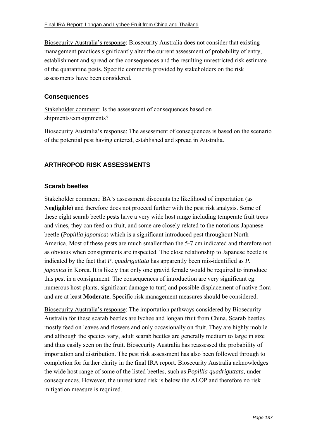Biosecurity Australia's response: Biosecurity Australia does not consider that existing management practices significantly alter the current assessment of probability of entry, establishment and spread or the consequences and the resulting unrestricted risk estimate of the quarantine pests. Specific comments provided by stakeholders on the risk assessments have been considered.

#### **Consequences**

Stakeholder comment: Is the assessment of consequences based on shipments/consignments?

Biosecurity Australia's response: The assessment of consequences is based on the scenario of the potential pest having entered, established and spread in Australia.

### **ARTHROPOD RISK ASSESSMENTS**

#### **Scarab beetles**

Stakeholder comment: BA's assessment discounts the likelihood of importation (as **Negligible**) and therefore does not proceed further with the pest risk analysis. Some of these eight scarab beetle pests have a very wide host range including temperate fruit trees and vines, they can feed on fruit, and some are closely related to the notorious Japanese beetle (*Popillia japonica*) which is a significant introduced pest throughout North America. Most of these pests are much smaller than the 5-7 cm indicated and therefore not as obvious when consignments are inspected. The close relationship to Japanese beetle is indicated by the fact that *P. quadriguttata* has apparently been mis-identified as *P. japonica* in Korea. It is likely that only one gravid female would be required to introduce this pest in a consignment. The consequences of introduction are very significant eg. numerous host plants, significant damage to turf, and possible displacement of native flora and are at least **Moderate.** Specific risk management measures should be considered.

Biosecurity Australia's response: The importation pathways considered by Biosecurity Australia for these scarab beetles are lychee and longan fruit from China. Scarab beetles mostly feed on leaves and flowers and only occasionally on fruit. They are highly mobile and although the species vary, adult scarab beetles are generally medium to large in size and thus easily seen on the fruit. Biosecurity Australia has reassessed the probability of importation and distribution. The pest risk assessment has also been followed through to completion for further clarity in the final IRA report. Biosecurity Australia acknowledges the wide host range of some of the listed beetles, such as *Popillia quadriguttata,* under consequences. However, the unrestricted risk is below the ALOP and therefore no risk mitigation measure is required.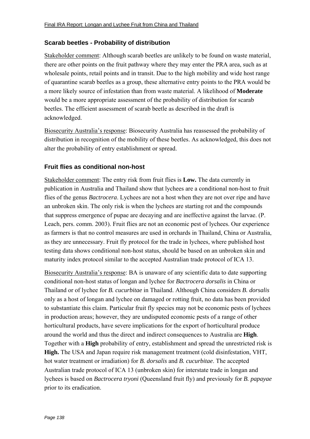# **Scarab beetles - Probability of distribution**

Stakeholder comment: Although scarab beetles are unlikely to be found on waste material, there are other points on the fruit pathway where they may enter the PRA area, such as at wholesale points, retail points and in transit. Due to the high mobility and wide host range of quarantine scarab beetles as a group, these alternative entry points to the PRA would be a more likely source of infestation than from waste material. A likelihood of **Moderate** would be a more appropriate assessment of the probability of distribution for scarab beetles. The efficient assessment of scarab beetle as described in the draft is acknowledged.

Biosecurity Australia's response: Biosecurity Australia has reassessed the probability of distribution in recognition of the mobility of these beetles. As acknowledged, this does not alter the probability of entry establishment or spread.

### **Fruit flies as conditional non-host**

Stakeholder comment: The entry risk from fruit flies is **Low.** The data currently in publication in Australia and Thailand show that lychees are a conditional non-host to fruit flies of the genus *Bactrocera*. Lychees are not a host when they are not over ripe and have an unbroken skin. The only risk is when the lychees are starting rot and the compounds that suppress emergence of pupae are decaying and are ineffective against the larvae. (P. Leach, pers. comm. 2003). Fruit flies are not an economic pest of lychees. Our experience as farmers is that no control measures are used in orchards in Thailand, China or Australia, as they are unnecessary. Fruit fly protocol for the trade in lychees, where published host testing data shows conditional non-host status, should be based on an unbroken skin and maturity index protocol similar to the accepted Australian trade protocol of ICA 13.

Biosecurity Australia's response: BA is unaware of any scientific data to date supporting conditional non-host status of longan and lychee for *Bactrocera dorsalis* in China or Thailand or of lychee for *B. cucurbitae* in Thailand. Although China considers *B. dorsalis* only as a host of longan and lychee on damaged or rotting fruit, no data has been provided to substantiate this claim. Particular fruit fly species may not be economic pests of lychees in production areas; however, they are undisputed economic pests of a range of other horticultural products, have severe implications for the export of horticultural produce around the world and thus the direct and indirect consequences to Australia are **High**. Together with a **High** probability of entry, establishment and spread the unrestricted risk is **High.** The USA and Japan require risk management treatment (cold disinfestation, VHT, hot water treatment or irradiation) for *B. dorsalis* and *B. cucurbitae*. The accepted Australian trade protocol of ICA 13 (unbroken skin) for interstate trade in longan and lychees is based on *Bactrocera tryoni* (Queensland fruit fly) and previously for *B. papayae* prior to its eradication.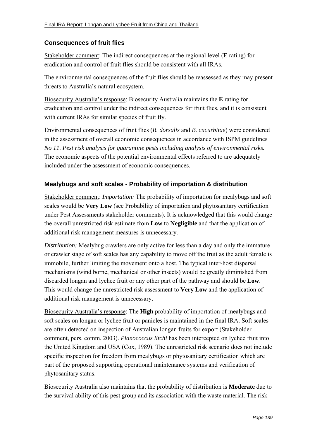### **Consequences of fruit flies**

Stakeholder comment: The indirect consequences at the regional level (**E** rating) for eradication and control of fruit flies should be consistent with all IRAs.

The environmental consequences of the fruit flies should be reassessed as they may present threats to Australia's natural ecosystem.

Biosecurity Australiaís response: Biosecurity Australia maintains the **E** rating for eradication and control under the indirect consequences for fruit flies, and it is consistent with current IRAs for similar species of fruit fly.

Environmental consequences of fruit flies (*B. dorsalis* and *B. cucurbitae*) were considered in the assessment of overall economic consequences in accordance with ISPM guidelines *No 11. Pest risk analysis for quarantine pests including analysis of environmental risks.* The economic aspects of the potential environmental effects referred to are adequately included under the assessment of economic consequences.

### **Mealybugs and soft scales - Probability of importation & distribution**

Stakeholder comment: *Importation:* The probability of importation for mealybugs and soft scales would be **Very Low** (see Probability of importation and phytosanitary certification under Pest Assessments stakeholder comments). It is acknowledged that this would change the overall unrestricted risk estimate from **Low** to **Negligible** and that the application of additional risk management measures is unnecessary.

*Distribution:* Mealybug crawlers are only active for less than a day and only the immature or crawler stage of soft scales has any capability to move off the fruit as the adult female is immobile, further limiting the movement onto a host. The typical inter-host dispersal mechanisms (wind borne, mechanical or other insects) would be greatly diminished from discarded longan and lychee fruit or any other part of the pathway and should be **Low**. This would change the unrestricted risk assessment to **Very Low** and the application of additional risk management is unnecessary.

Biosecurity Australia's response: The **High** probability of importation of mealybugs and soft scales on longan or lychee fruit or panicles is maintained in the final IRA. Soft scales are often detected on inspection of Australian longan fruits for export (Stakeholder comment, pers. comm. 2003). *Planococcus litchi* has been intercepted on lychee fruit into the United Kingdom and USA (Cox, 1989). The unrestricted risk scenario does not include specific inspection for freedom from mealybugs or phytosanitary certification which are part of the proposed supporting operational maintenance systems and verification of phytosanitary status.

Biosecurity Australia also maintains that the probability of distribution is **Moderate** due to the survival ability of this pest group and its association with the waste material. The risk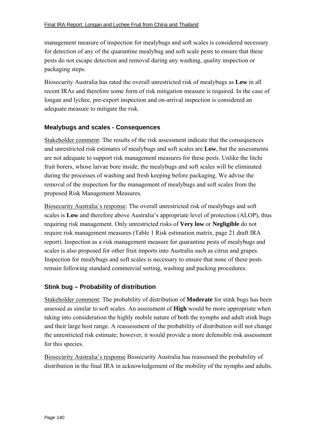management measure of inspection for mealybugs and soft scales is considered necessary for detection of any of the quarantine mealybug and soft scale pests to ensure that these pests do not escape detection and removal during any washing, quality inspection or packaging steps.

Biosecurity Australia has rated the overall unrestricted risk of mealybugs as **Low** in all recent IRAs and therefore some form of risk mitigation measure is required. In the case of longan and lychee, pre-export inspection and on-arrival inspection is considered an adequate measure to mitigate the risk.

### **Mealybugs and scales - Consequences**

Stakeholder comment: The results of the risk assessment indicate that the consequences and unrestricted risk estimates of mealybugs and soft scales are **Low**, but the assessments are not adequate to support risk management measures for these pests. Unlike the litchi fruit borers, whose larvae bore inside, the mealybugs and soft scales will be eliminated during the processes of washing and fresh keeping before packaging. We advise the removal of the inspection for the management of mealybugs and soft scales from the proposed Risk Management Measures.

Biosecurity Australia's response: The overall unrestricted risk of mealybugs and soft scales is **Low** and therefore above Australia's appropriate level of protection (ALOP), thus requiring risk management. Only unrestricted risks of **Very low** or **Negligible** do not require risk management measures (Table 1 Risk estimation matrix, page 21 draft IRA report). Inspection as a risk management measure for quarantine pests of mealybugs and scales is also proposed for other fruit imports into Australia such as citrus and grapes. Inspection for mealybugs and soft scales is necessary to ensure that none of these pests remain following standard commercial sorting, washing and packing procedures.

# **Stink bug – Probability of distribution**

Stakeholder comment: The probability of distribution of **Moderate** for stink bugs has been assessed as similar to soft scales. An assessment of **High** would be more appropriate when taking into consideration the highly mobile nature of both the nymphs and adult stink bugs and their large host range. A reassessment of the probability of distribution will not change the unrestricted risk estimate; however, it would provide a more defensible risk assessment for this species.

Biosecurity Australia's response Biosecurity Australia has reassessed the probability of distribution in the final IRA in acknowledgement of the mobility of the nymphs and adults.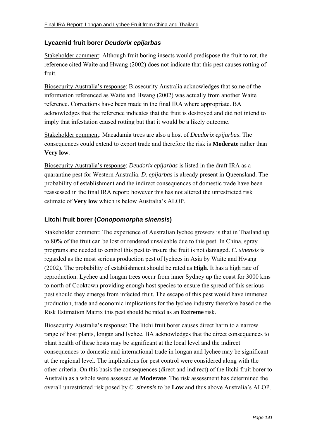# **Lycaenid fruit borer** *Deudorix epijarbas*

Stakeholder comment: Although fruit boring insects would predispose the fruit to rot, the reference cited Waite and Hwang (2002) does not indicate that this pest causes rotting of fruit.

Biosecurity Australia's response: Biosecurity Australia acknowledges that some of the information referenced as Waite and Hwang (2002) was actually from another Waite reference. Corrections have been made in the final IRA where appropriate. BA acknowledges that the reference indicates that the fruit is destroyed and did not intend to imply that infestation caused rotting but that it would be a likely outcome.

Stakeholder comment: Macadamia trees are also a host of *Deudorix epijarbas*. The consequences could extend to export trade and therefore the risk is **Moderate** rather than **Very low**.

Biosecurity Australiaís response: *Deudorix epijarbas* is listed in the draft IRA as a quarantine pest for Western Australia. *D. epijarbas* is already present in Queensland. The probability of establishment and the indirect consequences of domestic trade have been reassessed in the final IRA report; however this has not altered the unrestricted risk estimate of **Very low** which is below Australia's ALOP.

### **Litchi fruit borer (***Conopomorpha sinensis***)**

Stakeholder comment: The experience of Australian lychee growers is that in Thailand up to 80% of the fruit can be lost or rendered unsaleable due to this pest. In China, spray programs are needed to control this pest to insure the fruit is not damaged. *C. sinensis* is regarded as the most serious production pest of lychees in Asia by Waite and Hwang (2002). The probability of establishment should be rated as **High**. It has a high rate of reproduction. Lychee and longan trees occur from inner Sydney up the coast for 3000 kms to north of Cooktown providing enough host species to ensure the spread of this serious pest should they emerge from infected fruit. The escape of this pest would have immense production, trade and economic implications for the lychee industry therefore based on the Risk Estimation Matrix this pest should be rated as an **Extreme** risk.

Biosecurity Australiaís response: The litchi fruit borer causes direct harm to a narrow range of host plants, longan and lychee. BA acknowledges that the direct consequences to plant health of these hosts may be significant at the local level and the indirect consequences to domestic and international trade in longan and lychee may be significant at the regional level. The implications for pest control were considered along with the other criteria. On this basis the consequences (direct and indirect) of the litchi fruit borer to Australia as a whole were assessed as **Moderate**. The risk assessment has determined the overall unrestricted risk posed by *C. sinensis* to be **Low** and thus above Australia's ALOP.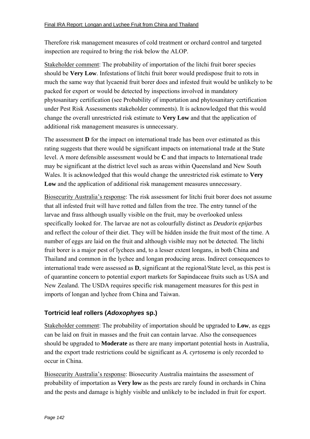Therefore risk management measures of cold treatment or orchard control and targeted inspection are required to bring the risk below the ALOP.

Stakeholder comment: The probability of importation of the litchi fruit borer species should be **Very Low**. Infestations of litchi fruit borer would predispose fruit to rots in much the same way that lycaenid fruit borer does and infested fruit would be unlikely to be packed for export or would be detected by inspections involved in mandatory phytosanitary certification (see Probability of importation and phytosanitary certification under Pest Risk Assessments stakeholder comments). It is acknowledged that this would change the overall unrestricted risk estimate to **Very Low** and that the application of additional risk management measures is unnecessary.

The assessment **D** for the impact on international trade has been over estimated as this rating suggests that there would be significant impacts on international trade at the State level. A more defensible assessment would be **C** and that impacts to International trade may be significant at the district level such as areas within Queensland and New South Wales. It is acknowledged that this would change the unrestricted risk estimate to **Very Low** and the application of additional risk management measures unnecessary.

Biosecurity Australia's response: The risk assessment for litchi fruit borer does not assume that all infested fruit will have rotted and fallen from the tree. The entry tunnel of the larvae and frass although usually visible on the fruit, may be overlooked unless specifically looked for. The larvae are not as colourfully distinct as *Deudorix epijarbas* and reflect the colour of their diet. They will be hidden inside the fruit most of the time. A number of eggs are laid on the fruit and although visible may not be detected. The litchi fruit borer is a major pest of lychees and, to a lesser extent longans, in both China and Thailand and common in the lychee and longan producing areas. Indirect consequences to international trade were assessed as **D**, significant at the regional/State level, as this pest is of quarantine concern to potential export markets for Sapindaceae fruits such as USA and New Zealand. The USDA requires specific risk management measures for this pest in imports of longan and lychee from China and Taiwan.

# **Tortricid leaf rollers (***Adoxophyes* **sp.)**

Stakeholder comment: The probability of importation should be upgraded to **Low**, as eggs can be laid on fruit in masses and the fruit can contain larvae. Also the consequences should be upgraded to **Moderate** as there are many important potential hosts in Australia, and the export trade restrictions could be significant as *A. cyrtosema* is only recorded to occur in China.

Biosecurity Australia's response: Biosecurity Australia maintains the assessment of probability of importation as **Very low** as the pests are rarely found in orchards in China and the pests and damage is highly visible and unlikely to be included in fruit for export.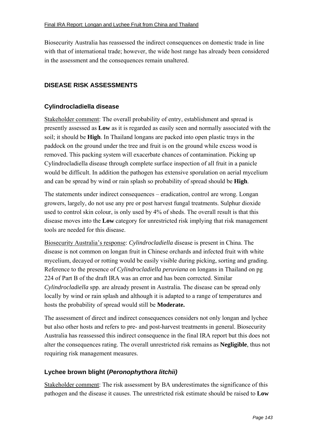Biosecurity Australia has reassessed the indirect consequences on domestic trade in line with that of international trade; however, the wide host range has already been considered in the assessment and the consequences remain unaltered.

# **DISEASE RISK ASSESSMENTS**

### **Cylindrocladiella disease**

Stakeholder comment: The overall probability of entry, establishment and spread is presently assessed as **Low** as it is regarded as easily seen and normally associated with the soil; it should be **High**. In Thailand longans are packed into open plastic trays in the paddock on the ground under the tree and fruit is on the ground while excess wood is removed. This packing system will exacerbate chances of contamination. Picking up Cylindrocladiella disease through complete surface inspection of all fruit in a panicle would be difficult. In addition the pathogen has extensive sporulation on aerial mycelium and can be spread by wind or rain splash so probability of spread should be **High**.

The statements under indirect consequences – eradication, control are wrong. Longan growers, largely, do not use any pre or post harvest fungal treatments. Sulphur dioxide used to control skin colour, is only used by 4% of sheds. The overall result is that this disease moves into the **Low** category for unrestricted risk implying that risk management tools are needed for this disease.

Biosecurity Australiaís response: *Cylindrocladiella* disease is present in China. The disease is not common on longan fruit in Chinese orchards and infected fruit with white mycelium, decayed or rotting would be easily visible during picking, sorting and grading. Reference to the presence of *Cylindrocladiella peruviana* on longans in Thailand on pg 224 of Part B of the draft IRA was an error and has been corrected. Similar *Cylindrocladiella* spp. are already present in Australia. The disease can be spread only locally by wind or rain splash and although it is adapted to a range of temperatures and hosts the probability of spread would still be **Moderate.**

The assessment of direct and indirect consequences considers not only longan and lychee but also other hosts and refers to pre- and post-harvest treatments in general. Biosecurity Australia has reassessed this indirect consequence in the final IRA report but this does not alter the consequences rating. The overall unrestricted risk remains as **Negligible**, thus not requiring risk management measures.

# **Lychee brown blight (***Peronophythora litchii)*

Stakeholder comment: The risk assessment by BA underestimates the significance of this pathogen and the disease it causes. The unrestricted risk estimate should be raised to **Low**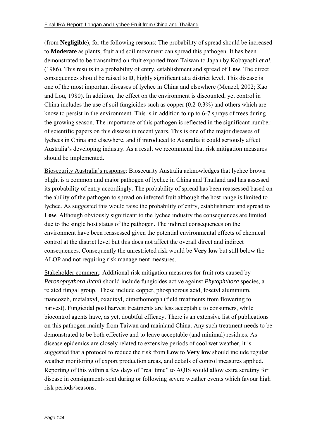(from **Negligible**), for the following reasons: The probability of spread should be increased to **Moderate** as plants, fruit and soil movement can spread this pathogen. It has been demonstrated to be transmitted on fruit exported from Taiwan to Japan by Kobayashi *et al*. (1986). This results in a probability of entry, establishment and spread of **Low**. The direct consequences should be raised to **D**, highly significant at a district level. This disease is one of the most important diseases of lychee in China and elsewhere (Menzel, 2002; Kao and Lou, 1980). In addition, the effect on the environment is discounted, yet control in China includes the use of soil fungicides such as copper (0.2-0.3%) and others which are know to persist in the environment. This is in addition to up to 6-7 sprays of trees during the growing season. The importance of this pathogen is reflected in the significant number of scientific papers on this disease in recent years. This is one of the major diseases of lychees in China and elsewhere, and if introduced to Australia it could seriously affect Australia's developing industry. As a result we recommend that risk mitigation measures should be implemented.

Biosecurity Australia's response: Biosecurity Australia acknowledges that lychee brown blight is a common and major pathogen of lychee in China and Thailand and has assessed its probability of entry accordingly. The probability of spread has been reassessed based on the ability of the pathogen to spread on infected fruit although the host range is limited to lychee. As suggested this would raise the probability of entry, establishment and spread to **Low**. Although obviously significant to the lychee industry the consequences are limited due to the single host status of the pathogen. The indirect consequences on the environment have been reassessed given the potential environmental effects of chemical control at the district level but this does not affect the overall direct and indirect consequences. Consequently the unrestricted risk would be **Very low** but still below the ALOP and not requiring risk management measures.

Stakeholder comment: Additional risk mitigation measures for fruit rots caused by *Peronophythora litchii* should include fungicides active against *Phytophthora* species, a related fungal group. These include copper, phosphorous acid, fosetyl aluminium, mancozeb, metalaxyl, oxadixyl, dimethomorph (field treatments from flowering to harvest). Fungicidal post harvest treatments are less acceptable to consumers, while biocontrol agents have, as yet, doubtful efficacy. There is an extensive list of publications on this pathogen mainly from Taiwan and mainland China. Any such treatment needs to be demonstrated to be both effective and to leave acceptable (and minimal) residues. As disease epidemics are closely related to extensive periods of cool wet weather, it is suggested that a protocol to reduce the risk from **Low** to **Very low** should include regular weather monitoring of export production areas, and details of control measures applied. Reporting of this within a few days of "real time" to AQIS would allow extra scrutiny for disease in consignments sent during or following severe weather events which favour high risk periods/seasons.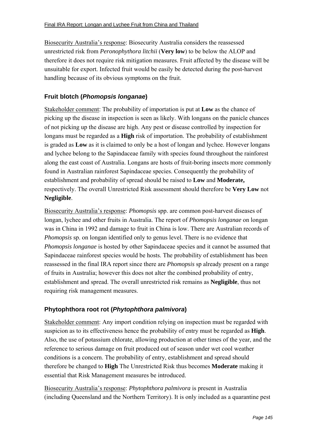Biosecurity Australia's response: Biosecurity Australia considers the reassessed unrestricted risk from *Peronophythora litchii* (**Very low**) to be below the ALOP and therefore it does not require risk mitigation measures. Fruit affected by the disease will be unsuitable for export. Infected fruit would be easily be detected during the post-harvest handling because of its obvious symptoms on the fruit.

# **Fruit blotch (***Phomopsis longanae***)**

Stakeholder comment: The probability of importation is put at **Low** as the chance of picking up the disease in inspection is seen as likely. With longans on the panicle chances of not picking up the disease are high. Any pest or disease controlled by inspection for longans must be regarded as a **High** risk of importation. The probability of establishment is graded as **Low** as it is claimed to only be a host of longan and lychee. However longans and lychee belong to the Sapindaceae family with species found throughout the rainforest along the east coast of Australia. Longans are hosts of fruit-boring insects more commonly found in Australian rainforest Sapindaceae species. Consequently the probability of establishment and probability of spread should be raised to **Low** and **Moderate,**  respectively. The overall Unrestricted Risk assessment should therefore be **Very Low** not **Negligible**.

Biosecurity Australia's response: *Phomopsis* spp. are common post-harvest diseases of longan, lychee and other fruits in Australia. The report of *Phomopsis longanae* on longan was in China in 1992 and damage to fruit in China is low. There are Australian records of *Phomopsis* sp. on longan identified only to genus level. There is no evidence that *Phomopsis longanae* is hosted by other Sapindaceae species and it cannot be assumed that Sapindaceae rainforest species would be hosts. The probability of establishment has been reassessed in the final IRA report since there are *Phomopsis* sp already present on a range of fruits in Australia; however this does not alter the combined probability of entry, establishment and spread. The overall unrestricted risk remains as **Negligible**, thus not requiring risk management measures.

# **Phytophthora root rot (***Phytophthora palmivora***)**

Stakeholder comment: Any import condition relying on inspection must be regarded with suspicion as to its effectiveness hence the probability of entry must be regarded as **High**. Also, the use of potassium chlorate, allowing production at other times of the year, and the reference to serious damage on fruit produced out of season under wet cool weather conditions is a concern. The probability of entry, establishment and spread should therefore be changed to **High** The Unrestricted Risk thus becomes **Moderate** making it essential that Risk Management measures be introduced.

Biosecurity Australia's response: *Phytophthora palmivora* is present in Australia (including Queensland and the Northern Territory). It is only included as a quarantine pest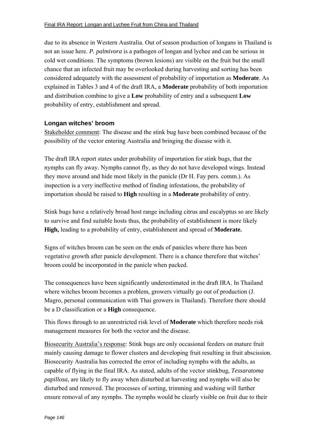due to its absence in Western Australia. Out of season production of longans in Thailand is not an issue here. *P. palmivora* is a pathogen of longan and lychee and can be serious in cold wet conditions. The symptoms (brown lesions) are visible on the fruit but the small chance that an infected fruit may be overlooked during harvesting and sorting has been considered adequately with the assessment of probability of importation as **Moderate**. As explained in Tables 3 and 4 of the draft IRA, a **Moderate** probability of both importation and distribution combine to give a **Low** probability of entry and a subsequent **Low** probability of entry, establishment and spread.

## **Longan witches' broom**

Stakeholder comment: The disease and the stink bug have been combined because of the possibility of the vector entering Australia and bringing the disease with it.

The draft IRA report states under probability of importation for stink bugs, that the nymphs can fly away. Nymphs cannot fly, as they do not have developed wings. Instead they move around and hide most likely in the panicle (Dr H. Fay pers. comm.). As inspection is a very ineffective method of finding infestations, the probability of importation should be raised to **High** resulting in a **Moderate** probability of entry.

Stink bugs have a relatively broad host range including citrus and eucalyptus so are likely to survive and find suitable hosts thus, the probability of establishment is more likely **High,** leading to a probability of entry, establishment and spread of **Moderate.** 

Signs of witches broom can be seen on the ends of panicles where there has been vegetative growth after panicle development. There is a chance therefore that witches<sup>†</sup> broom could be incorporated in the panicle when packed.

The consequences have been significantly underestimated in the draft IRA. In Thailand where witches broom becomes a problem, growers virtually go out of production (J. Magro, personal communication with Thai growers in Thailand). Therefore there should be a D classification or a **High** consequence.

This flows through to an unrestricted risk level of **Moderate** which therefore needs risk management measures for both the vector and the disease.

Biosecurity Australia's response: Stink bugs are only occasional feeders on mature fruit mainly causing damage to flower clusters and developing fruit resulting in fruit abscission. Biosecurity Australia has corrected the error of including nymphs with the adults, as capable of flying in the final IRA. As stated, adults of the vector stinkbug, *Tessaratoma papillosa*, are likely to fly away when disturbed at harvesting and nymphs will also be disturbed and removed. The processes of sorting, trimming and washing will further ensure removal of any nymphs. The nymphs would be clearly visible on fruit due to their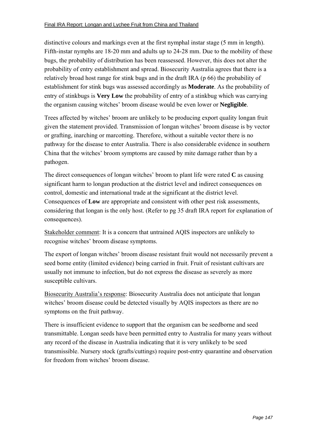distinctive colours and markings even at the first nymphal instar stage (5 mm in length). Fifth-instar nymphs are 18-20 mm and adults up to 24-28 mm. Due to the mobility of these bugs, the probability of distribution has been reassessed. However, this does not alter the probability of entry establishment and spread. Biosecurity Australia agrees that there is a relatively broad host range for stink bugs and in the draft IRA (p 66) the probability of establishment for stink bugs was assessed accordingly as **Moderate**. As the probability of entry of stinkbugs is **Very Low** the probability of entry of a stinkbug which was carrying the organism causing witches' broom disease would be even lower or **Negligible**.

Trees affected by witches' broom are unlikely to be producing export quality longan fruit given the statement provided. Transmission of longan witches' broom disease is by vector or grafting, inarching or marcotting. Therefore, without a suitable vector there is no pathway for the disease to enter Australia. There is also considerable evidence in southern China that the witches' broom symptoms are caused by mite damage rather than by a pathogen.

The direct consequences of longan witches' broom to plant life were rated  $C$  as causing significant harm to longan production at the district level and indirect consequences on control, domestic and international trade at the significant at the district level. Consequences of **Low** are appropriate and consistent with other pest risk assessments, considering that longan is the only host. (Refer to pg 35 draft IRA report for explanation of consequences).

Stakeholder comment: It is a concern that untrained AQIS inspectors are unlikely to recognise witches' broom disease symptoms.

The export of longan witches' broom disease resistant fruit would not necessarily prevent a seed borne entity (limited evidence) being carried in fruit. Fruit of resistant cultivars are usually not immune to infection, but do not express the disease as severely as more susceptible cultivars.

Biosecurity Australiaís response: Biosecurity Australia does not anticipate that longan witches' broom disease could be detected visually by AQIS inspectors as there are no symptoms on the fruit pathway.

There is insufficient evidence to support that the organism can be seedborne and seed transmittable. Longan seeds have been permitted entry to Australia for many years without any record of the disease in Australia indicating that it is very unlikely to be seed transmissible. Nursery stock (grafts/cuttings) require post-entry quarantine and observation for freedom from witches' broom disease.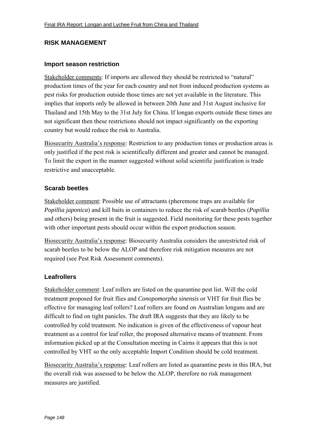# **RISK MANAGEMENT**

#### **Import season restriction**

Stakeholder comments: If imports are allowed they should be restricted to "natural" production times of the year for each country and not from induced production systems as pest risks for production outside those times are not yet available in the literature. This implies that imports only be allowed in between 20th June and 31st August inclusive for Thailand and 15th May to the 31st July for China. If longan exports outside these times are not significant then these restrictions should not impact significantly on the exporting country but would reduce the risk to Australia.

Biosecurity Australiaís response: Restriction to any production times or production areas is only justified if the pest risk is scientifically different and greater and cannot be managed. To limit the export in the manner suggested without solid scientific justification is trade restrictive and unacceptable.

#### **Scarab beetles**

Stakeholder comment: Possible use of attractants (pheremone traps are available for *Popillia japonica*) and kill baits in containers to reduce the risk of scarab beetles (*Popillia*  and others) being present in the fruit is suggested. Field monitoring for these pests together with other important pests should occur within the export production season.

Biosecurity Australia's response: Biosecurity Australia considers the unrestricted risk of scarab beetles to be below the ALOP and therefore risk mitigation measures are not required (see Pest Risk Assessment comments).

#### **Leafrollers**

Stakeholder comment: Leaf rollers are listed on the quarantine pest list. Will the cold treatment proposed for fruit flies and *Conopomorpha sinensis* or VHT for fruit flies be effective for managing leaf rollers? Leaf rollers are found on Australian longans and are difficult to find on tight panicles. The draft IRA suggests that they are likely to be controlled by cold treatment. No indication is given of the effectiveness of vapour heat treatment as a control for leaf roller, the proposed alternative means of treatment. From information picked up at the Consultation meeting in Cairns it appears that this is not controlled by VHT so the only acceptable Import Condition should be cold treatment.

Biosecurity Australia's response: Leaf rollers are listed as quarantine pests in this IRA, but the overall risk was assessed to be below the ALOP, therefore no risk management measures are justified.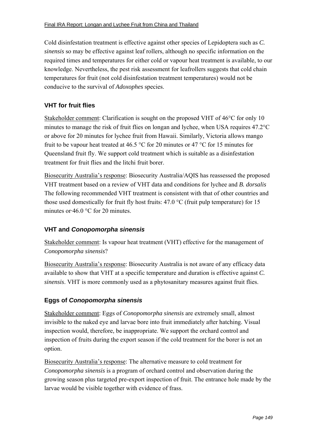Cold disinfestation treatment is effective against other species of Lepidoptera such as *C. sinensis* so may be effective against leaf rollers, although no specific information on the required times and temperatures for either cold or vapour heat treatment is available, to our knowledge. Nevertheless, the pest risk assessment for leafrollers suggests that cold chain temperatures for fruit (not cold disinfestation treatment temperatures) would not be conducive to the survival of *Adoxophes* species.

# **VHT for fruit flies**

Stakeholder comment: Clarification is sought on the proposed VHT of 46°C for only 10 minutes to manage the risk of fruit flies on longan and lychee, when USA requires 47.2°C or above for 20 minutes for lychee fruit from Hawaii. Similarly, Victoria allows mango fruit to be vapour heat treated at 46.5 °C for 20 minutes or 47 °C for 15 minutes for Queensland fruit fly. We support cold treatment which is suitable as a disinfestation treatment for fruit flies and the litchi fruit borer.

Biosecurity Australiaís response: Biosecurity Australia/AQIS has reassessed the proposed VHT treatment based on a review of VHT data and conditions for lychee and *B. dorsalis* The following recommended VHT treatment is consistent with that of other countries and those used domestically for fruit fly host fruits:  $47.0 \degree C$  (fruit pulp temperature) for 15 minutes or·46.0 °C for 20 minutes.

#### **VHT and** *Conopomorpha sinensis*

Stakeholder comment: Is vapour heat treatment (VHT) effective for the management of *Conopomorpha sinensis*?

Biosecurity Australia's response: Biosecurity Australia is not aware of any efficacy data available to show that VHT at a specific temperature and duration is effective against *C. sinensis*. VHT is more commonly used as a phytosanitary measures against fruit flies.

# **Eggs of** *Conopomorpha sinensis*

Stakeholder comment: Eggs of *Conopomorpha sinensis* are extremely small, almost invisible to the naked eye and larvae bore into fruit immediately after hatching. Visual inspection would, therefore, be inappropriate. We support the orchard control and inspection of fruits during the export season if the cold treatment for the borer is not an option.

Biosecurity Australia's response: The alternative measure to cold treatment for *Conopomorpha sinensis* is a program of orchard control and observation during the growing season plus targeted pre-export inspection of fruit. The entrance hole made by the larvae would be visible together with evidence of frass.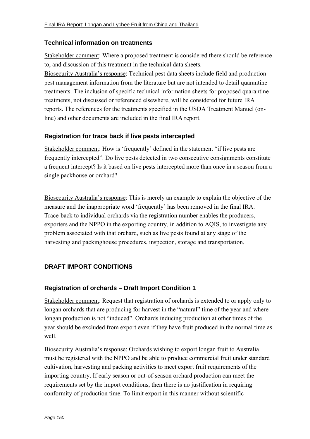## **Technical information on treatments**

Stakeholder comment: Where a proposed treatment is considered there should be reference to, and discussion of this treatment in the technical data sheets.

Biosecurity Australia's response: Technical pest data sheets include field and production pest management information from the literature but are not intended to detail quarantine treatments. The inclusion of specific technical information sheets for proposed quarantine treatments, not discussed or referenced elsewhere, will be considered for future IRA reports. The references for the treatments specified in the USDA Treatment Manuel (online) and other documents are included in the final IRA report.

# **Registration for trace back if live pests intercepted**

Stakeholder comment: How is 'frequently' defined in the statement "if live pests are frequently interceptedî. Do live pests detected in two consecutive consignments constitute a frequent intercept? Is it based on live pests intercepted more than once in a season from a single packhouse or orchard?

Biosecurity Australia's response: This is merely an example to explain the objective of the measure and the inappropriate word 'frequently' has been removed in the final IRA. Trace-back to individual orchards via the registration number enables the producers, exporters and the NPPO in the exporting country, in addition to AQIS, to investigate any problem associated with that orchard, such as live pests found at any stage of the harvesting and packinghouse procedures, inspection, storage and transportation.

# **DRAFT IMPORT CONDITIONS**

# **Registration of orchards – Draft Import Condition 1**

Stakeholder comment: Request that registration of orchards is extended to or apply only to longan orchards that are producing for harvest in the "natural" time of the year and where longan production is not "induced". Orchards inducing production at other times of the year should be excluded from export even if they have fruit produced in the normal time as well.

Biosecurity Australia's response: Orchards wishing to export longan fruit to Australia must be registered with the NPPO and be able to produce commercial fruit under standard cultivation, harvesting and packing activities to meet export fruit requirements of the importing country. If early season or out-of-season orchard production can meet the requirements set by the import conditions, then there is no justification in requiring conformity of production time. To limit export in this manner without scientific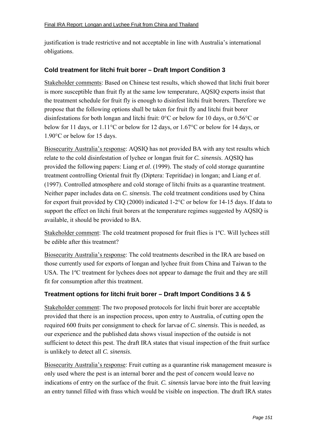justification is trade restrictive and not acceptable in line with Australia's international obligations.

## **Cold treatment for litchi fruit borer – Draft Import Condition 3**

Stakeholder comments: Based on Chinese test results, which showed that litchi fruit borer is more susceptible than fruit fly at the same low temperature, AQSIQ experts insist that the treatment schedule for fruit fly is enough to disinfest litchi fruit borers. Therefore we propose that the following options shall be taken for fruit fly and litchi fruit borer disinfestations for both longan and litchi fruit: 0°C or below for 10 days, or 0.56°C or below for 11 days, or 1.11°C or below for 12 days, or 1.67°C or below for 14 days, or 1.90°C or below for 15 days.

Biosecurity Australia's response: AQSIQ has not provided BA with any test results which relate to the cold disinfestation of lychee or longan fruit for *C. sinensis*. AQSIQ has provided the following papers: Liang *et al*. (1999). The study of cold storage quarantine treatment controlling Oriental fruit fly (Diptera: Tepritidae) in longan; and Liang *et al*. (1997). Controlled atmosphere and cold storage of litchi fruits as a quarantine treatment. Neither paper includes data on *C. sinensis*. The cold treatment conditions used by China for export fruit provided by CIQ (2000) indicated 1-2°C or below for 14-15 days. If data to support the effect on litchi fruit borers at the temperature regimes suggested by AQSIQ is available, it should be provided to BA.

Stakeholder comment: The cold treatment proposed for fruit flies is 1ºC. Will lychees still be edible after this treatment?

Biosecurity Australiaís response: The cold treatments described in the IRA are based on those currently used for exports of longan and lychee fruit from China and Taiwan to the USA. The 1ºC treatment for lychees does not appear to damage the fruit and they are still fit for consumption after this treatment.

#### **Treatment options for litchi fruit borer – Draft Import Conditions 3 & 5**

Stakeholder comment: The two proposed protocols for litchi fruit borer are acceptable provided that there is an inspection process, upon entry to Australia, of cutting open the required 600 fruits per consignment to check for larvae of *C. sinensis*. This is needed, as our experience and the published data shows visual inspection of the outside is not sufficient to detect this pest. The draft IRA states that visual inspection of the fruit surface is unlikely to detect all *C. sinensis*.

Biosecurity Australia's response: Fruit cutting as a quarantine risk management measure is only used where the pest is an internal borer and the pest of concern would leave no indications of entry on the surface of the fruit. *C. sinensis* larvae bore into the fruit leaving an entry tunnel filled with frass which would be visible on inspection. The draft IRA states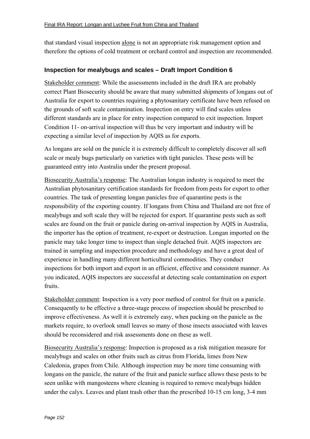that standard visual inspection alone is not an appropriate risk management option and therefore the options of cold treatment or orchard control and inspection are recommended.

## **Inspection for mealybugs and scales – Draft Import Condition 6**

Stakeholder comment: While the assessments included in the draft IRA are probably correct Plant Biosecurity should be aware that many submitted shipments of longans out of Australia for export to countries requiring a phytosanitary certificate have been refused on the grounds of soft scale contamination. Inspection on entry will find scales unless different standards are in place for entry inspection compared to exit inspection. Import Condition 11- on-arrival inspection will thus be very important and industry will be expecting a similar level of inspection by AQIS as for exports.

As longans are sold on the panicle it is extremely difficult to completely discover all soft scale or mealy bugs particularly on varieties with tight panicles. These pests will be guaranteed entry into Australia under the present proposal.

Biosecurity Australiaís response: The Australian longan industry is required to meet the Australian phytosanitary certification standards for freedom from pests for export to other countries. The task of presenting longan panicles free of quarantine pests is the responsibility of the exporting country. If longans from China and Thailand are not free of mealybugs and soft scale they will be rejected for export. If quarantine pests such as soft scales are found on the fruit or panicle during on-arrival inspection by AQIS in Australia, the importer has the option of treatment, re-export or destruction. Longan imported on the panicle may take longer time to inspect than single detached fruit. AQIS inspectors are trained in sampling and inspection procedure and methodology and have a great deal of experience in handling many different horticultural commodities. They conduct inspections for both import and export in an efficient, effective and consistent manner. As you indicated, AQIS inspectors are successful at detecting scale contamination on export fruits.

Stakeholder comment: Inspection is a very poor method of control for fruit on a panicle. Consequently to be effective a three-stage process of inspection should be prescribed to improve effectiveness. As well it is extremely easy, when packing on the panicle as the markets require, to overlook small leaves so many of those insects associated with leaves should be reconsidered and risk assessments done on these as well.

Biosecurity Australia's response: Inspection is proposed as a risk mitigation measure for mealybugs and scales on other fruits such as citrus from Florida, limes from New Caledonia, grapes from Chile. Although inspection may be more time consuming with longans on the panicle, the nature of the fruit and panicle surface allows these pests to be seen unlike with mangosteens where cleaning is required to remove mealybugs hidden under the calyx. Leaves and plant trash other than the prescribed 10-15 cm long, 3-4 mm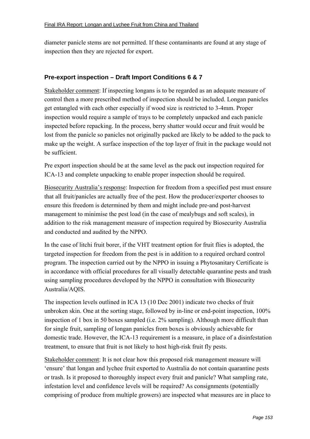diameter panicle stems are not permitted. If these contaminants are found at any stage of inspection then they are rejected for export.

# **Pre-export inspection – Draft Import Conditions 6 & 7**

Stakeholder comment: If inspecting longans is to be regarded as an adequate measure of control then a more prescribed method of inspection should be included. Longan panicles get entangled with each other especially if wood size is restricted to 3-4mm. Proper inspection would require a sample of trays to be completely unpacked and each panicle inspected before repacking. In the process, berry shatter would occur and fruit would be lost from the panicle so panicles not originally packed are likely to be added to the pack to make up the weight. A surface inspection of the top layer of fruit in the package would not be sufficient.

Pre export inspection should be at the same level as the pack out inspection required for ICA-13 and complete unpacking to enable proper inspection should be required.

Biosecurity Australia's response: Inspection for freedom from a specified pest must ensure that all fruit/panicles are actually free of the pest. How the producer/exporter chooses to ensure this freedom is determined by them and might include pre-and post-harvest management to minimise the pest load (in the case of mealybugs and soft scales), in addition to the risk management measure of inspection required by Biosecurity Australia and conducted and audited by the NPPO.

In the case of litchi fruit borer, if the VHT treatment option for fruit flies is adopted, the targeted inspection for freedom from the pest is in addition to a required orchard control program. The inspection carried out by the NPPO in issuing a Phytosanitary Certificate is in accordance with official procedures for all visually detectable quarantine pests and trash using sampling procedures developed by the NPPO in consultation with Biosecurity Australia/AQIS.

The inspection levels outlined in ICA 13 (10 Dec 2001) indicate two checks of fruit unbroken skin. One at the sorting stage, followed by in-line or end-point inspection, 100% inspection of 1 box in 50 boxes sampled (i.e. 2% sampling). Although more difficult than for single fruit, sampling of longan panicles from boxes is obviously achievable for domestic trade. However, the ICA-13 requirement is a measure, in place of a disinfestation treatment, to ensure that fruit is not likely to host high-risk fruit fly pests.

Stakeholder comment: It is not clear how this proposed risk management measure will ëensureí that longan and lychee fruit exported to Australia do not contain quarantine pests or trash. Is it proposed to thoroughly inspect every fruit and panicle? What sampling rate, infestation level and confidence levels will be required? As consignments (potentially comprising of produce from multiple growers) are inspected what measures are in place to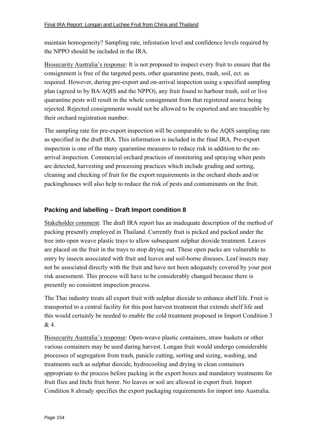maintain homogeneity? Sampling rate, infestation level and confidence levels required by the NPPO should be included in the IRA.

Biosecurity Australia's response: It is not proposed to inspect every fruit to ensure that the consignment is free of the targeted pests, other quarantine pests, trash, soil, ect. as required. However, during pre-export and on-arrival inspection using a specified sampling plan (agreed to by BA/AQIS and the NPPO), any fruit found to harbour trash, soil or live quarantine pests will result in the whole consignment from that registered source being rejected. Rejected consignments would not be allowed to be exported and are traceable by their orchard registration number.

The sampling rate for pre-export inspection will be comparable to the AQIS sampling rate as specified in the draft IRA. This information is included in the final IRA. Pre-export inspection is one of the many quarantine measures to reduce risk in addition to the onarrival inspection. Commercial orchard practices of monitoring and spraying when pests are detected, harvesting and processing practices which include grading and sorting, cleaning and checking of fruit for the export requirements in the orchard sheds and/or packinghouses will also help to reduce the risk of pests and contaminants on the fruit.

# **Packing and labelling – Draft Import condition 8**

Stakeholder comment: The draft IRA report has an inadequate description of the method of packing presently employed in Thailand. Currently fruit is picked and packed under the tree into open weave plastic trays to allow subsequent sulphur dioxide treatment. Leaves are placed on the fruit in the trays to stop drying out. These open packs are vulnerable to entry by insects associated with fruit and leaves and soil-borne diseases. Leaf insects may not be associated directly with the fruit and have not been adequately covered by your pest risk assessment. This process will have to be considerably changed because there is presently no consistent inspection process.

The Thai industry treats all export fruit with sulphur dioxide to enhance shelf life. Fruit is transported to a central facility for this post harvest treatment that extends shelf life and this would certainly be needed to enable the cold treatment proposed in Import Condition 3 & 4.

Biosecurity Australia's response: Open-weave plastic containers, straw baskets or other various containers may be used during harvest. Longan fruit would undergo considerable processes of segregation from trash, panicle cutting, sorting and sizing, washing, and treatments such as sulphur dioxide, hydrocooling and drying in clean containers appropriate to the process before packing in the export boxes and mandatory treatments for fruit flies and litchi fruit borer. No leaves or soil are allowed in export fruit. Import Condition 8 already specifies the export packaging requirements for import into Australia.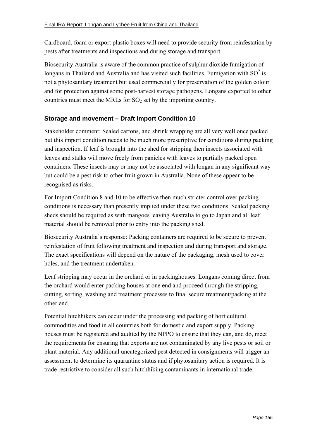Cardboard, foam or export plastic boxes will need to provide security from reinfestation by pests after treatments and inspections and during storage and transport.

Biosecurity Australia is aware of the common practice of sulphur dioxide fumigation of longans in Thailand and Australia and has visited such facilities. Fumigation with  $SO<sup>2</sup>$  is not a phytosanitary treatment but used commercially for preservation of the golden colour and for protection against some post-harvest storage pathogens. Longans exported to other countries must meet the MRLs for  $SO<sub>2</sub>$  set by the importing country.

## **Storage and movement – Draft Import Condition 10**

Stakeholder comment: Sealed cartons, and shrink wrapping are all very well once packed but this import condition needs to be much more prescriptive for conditions during packing and inspection. If leaf is brought into the shed for stripping then insects associated with leaves and stalks will move freely from panicles with leaves to partially packed open containers. These insects may or may not be associated with longan in any significant way but could be a pest risk to other fruit grown in Australia. None of these appear to be recognised as risks.

For Import Condition 8 and 10 to be effective then much stricter control over packing conditions is necessary than presently implied under these two conditions. Sealed packing sheds should be required as with mangoes leaving Australia to go to Japan and all leaf material should be removed prior to entry into the packing shed.

Biosecurity Australiaís response: Packing containers are required to be secure to prevent reinfestation of fruit following treatment and inspection and during transport and storage. The exact specifications will depend on the nature of the packaging, mesh used to cover holes, and the treatment undertaken.

Leaf stripping may occur in the orchard or in packinghouses. Longans coming direct from the orchard would enter packing houses at one end and proceed through the stripping, cutting, sorting, washing and treatment processes to final secure treatment/packing at the other end.

Potential hitchhikers can occur under the processing and packing of horticultural commodities and food in all countries both for domestic and export supply. Packing houses must be registered and audited by the NPPO to ensure that they can, and do, meet the requirements for ensuring that exports are not contaminated by any live pests or soil or plant material. Any additional uncategorized pest detected in consignments will trigger an assessment to determine its quarantine status and if phytosanitary action is required. It is trade restrictive to consider all such hitchhiking contaminants in international trade.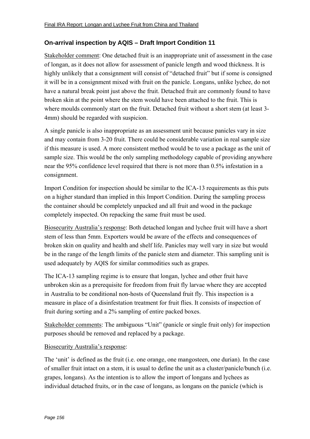# **On-arrival inspection by AQIS – Draft Import Condition 11**

Stakeholder comment: One detached fruit is an inappropriate unit of assessment in the case of longan, as it does not allow for assessment of panicle length and wood thickness. It is highly unlikely that a consignment will consist of "detached fruit" but if some is consigned it will be in a consignment mixed with fruit on the panicle. Longans, unlike lychee, do not have a natural break point just above the fruit. Detached fruit are commonly found to have broken skin at the point where the stem would have been attached to the fruit. This is where moulds commonly start on the fruit. Detached fruit without a short stem (at least 3- 4mm) should be regarded with suspicion.

A single panicle is also inappropriate as an assessment unit because panicles vary in size and may contain from 3-20 fruit. There could be considerable variation in real sample size if this measure is used. A more consistent method would be to use a package as the unit of sample size. This would be the only sampling methodology capable of providing anywhere near the 95% confidence level required that there is not more than 0.5% infestation in a consignment.

Import Condition for inspection should be similar to the ICA-13 requirements as this puts on a higher standard than implied in this Import Condition. During the sampling process the container should be completely unpacked and all fruit and wood in the package completely inspected. On repacking the same fruit must be used.

Biosecurity Australia's response: Both detached longan and lychee fruit will have a short stem of less than 5mm. Exporters would be aware of the effects and consequences of broken skin on quality and health and shelf life. Panicles may well vary in size but would be in the range of the length limits of the panicle stem and diameter. This sampling unit is used adequately by AQIS for similar commodities such as grapes.

The ICA-13 sampling regime is to ensure that longan, lychee and other fruit have unbroken skin as a prerequisite for freedom from fruit fly larvae where they are accepted in Australia to be conditional non-hosts of Queensland fruit fly. This inspection is a measure in place of a disinfestation treatment for fruit flies. It consists of inspection of fruit during sorting and a 2% sampling of entire packed boxes.

Stakeholder comments: The ambiguous "Unit" (panicle or single fruit only) for inspection purposes should be removed and replaced by a package.

#### Biosecurity Australia's response:

The 'unit' is defined as the fruit (i.e. one orange, one mangosteen, one durian). In the case of smaller fruit intact on a stem, it is usual to define the unit as a cluster/panicle/bunch (i.e. grapes, longans). As the intention is to allow the import of longans and lychees as individual detached fruits, or in the case of longans, as longans on the panicle (which is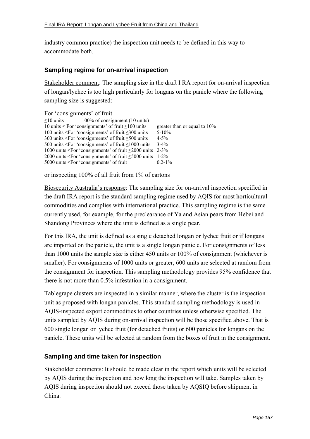industry common practice) the inspection unit needs to be defined in this way to accommodate both.

#### **Sampling regime for on-arrival inspection**

Stakeholder comment: The sampling size in the draft I RA report for on-arrival inspection of longan/lychee is too high particularly for longans on the panicle where the following sampling size is suggested:

| For 'consignments' of fruit                                                                   |                                 |
|-----------------------------------------------------------------------------------------------|---------------------------------|
| 100% of consignment (10 units)<br>$\leq 10$ units                                             |                                 |
| 10 units < For 'consignments' of fruit $\leq 100$ units                                       | greater than or equal to $10\%$ |
| 100 units $\leq$ For 'consignments' of fruit $\leq$ 300 units                                 | $5 - 10\%$                      |
| 300 units $\leq$ For 'consignments' of fruit $\leq$ 500 units                                 | $4 - 5\%$                       |
| 500 units <for 'consignments'="" <math="" fruit="" of="">\leq 1000 units</for>                | $3-4\%$                         |
| 1000 units <for 'consignments'="" <math="" fruit="" of="">\leq2000 units 2-3%</for>           |                                 |
| 2000 units <for 'consignments'="" <math="" fruit="" of="">\leq5000 units 1-2%</for>           |                                 |
| 5000 units <for 'consignments'="" fruit<="" of="" td=""><td><math>0.2 - 1\%</math></td></for> | $0.2 - 1\%$                     |

or inspecting 100% of all fruit from 1% of cartons

Biosecurity Australia's response: The sampling size for on-arrival inspection specified in the draft IRA report is the standard sampling regime used by AQIS for most horticultural commodities and complies with international practice. This sampling regime is the same currently used, for example, for the preclearance of Ya and Asian pears from Hebei and Shandong Provinces where the unit is defined as a single pear.

For this IRA, the unit is defined as a single detached longan or lychee fruit or if longans are imported on the panicle, the unit is a single longan panicle. For consignments of less than 1000 units the sample size is either 450 units or 100% of consignment (whichever is smaller). For consignments of 1000 units or greater, 600 units are selected at random from the consignment for inspection. This sampling methodology provides 95% confidence that there is not more than 0.5% infestation in a consignment.

Tablegrape clusters are inspected in a similar manner, where the cluster is the inspection unit as proposed with longan panicles. This standard sampling methodology is used in AQIS-inspected export commodities to other countries unless otherwise specified. The units sampled by AQIS during on-arrival inspection will be those specified above. That is 600 single longan or lychee fruit (for detached fruits) or 600 panicles for longans on the panicle. These units will be selected at random from the boxes of fruit in the consignment.

#### **Sampling and time taken for inspection**

Stakeholder comments: It should be made clear in the report which units will be selected by AQIS during the inspection and how long the inspection will take. Samples taken by AQIS during inspection should not exceed those taken by AQSIQ before shipment in China.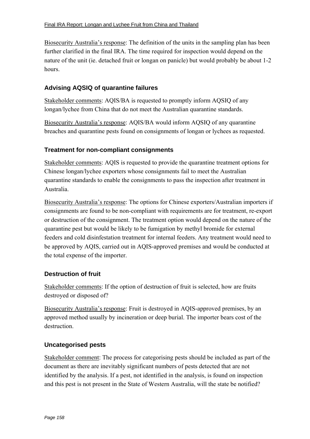Biosecurity Australia's response: The definition of the units in the sampling plan has been further clarified in the final IRA. The time required for inspection would depend on the nature of the unit (ie. detached fruit or longan on panicle) but would probably be about 1-2 hours.

# **Advising AQSIQ of quarantine failures**

Stakeholder comments: AQIS/BA is requested to promptly inform AQSIQ of any longan/lychee from China that do not meet the Australian quarantine standards.

Biosecurity Australia's response: AQIS/BA would inform AQSIQ of any quarantine breaches and quarantine pests found on consignments of longan or lychees as requested.

## **Treatment for non-compliant consignments**

Stakeholder comments: AQIS is requested to provide the quarantine treatment options for Chinese longan/lychee exporters whose consignments fail to meet the Australian quarantine standards to enable the consignments to pass the inspection after treatment in Australia.

Biosecurity Australia's response: The options for Chinese exporters/Australian importers if consignments are found to be non-compliant with requirements are for treatment, re-export or destruction of the consignment. The treatment option would depend on the nature of the quarantine pest but would be likely to be fumigation by methyl bromide for external feeders and cold disinfestation treatment for internal feeders. Any treatment would need to be approved by AQIS, carried out in AQIS-approved premises and would be conducted at the total expense of the importer.

# **Destruction of fruit**

Stakeholder comments: If the option of destruction of fruit is selected, how are fruits destroyed or disposed of?

Biosecurity Australia's response: Fruit is destroyed in AQIS-approved premises, by an approved method usually by incineration or deep burial. The importer bears cost of the destruction.

#### **Uncategorised pests**

Stakeholder comment: The process for categorising pests should be included as part of the document as there are inevitably significant numbers of pests detected that are not identified by the analysis. If a pest, not identified in the analysis, is found on inspection and this pest is not present in the State of Western Australia, will the state be notified?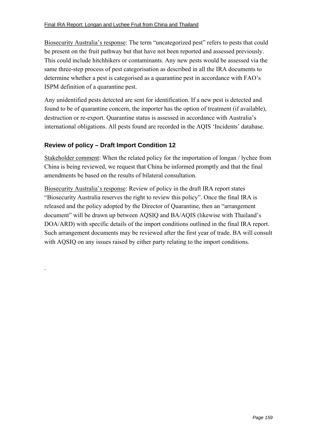Biosecurity Australia's response: The term "uncategorized pest" refers to pests that could be present on the fruit pathway but that have not been reported and assessed previously. This could include hitchhikers or contaminants. Any new pests would be assessed via the same three-step process of pest categorisation as described in all the IRA documents to determine whether a pest is categorised as a quarantine pest in accordance with FAO's ISPM definition of a quarantine pest.

Any unidentified pests detected are sent for identification. If a new pest is detected and found to be of quarantine concern, the importer has the option of treatment (if available), destruction or re-export. Quarantine status is assessed in accordance with Australia's international obligations. All pests found are recorded in the AQIS 'Incidents' database.

# **Review of policy – Draft Import Condition 12**

.

Stakeholder comment: When the related policy for the importation of longan / lychee from China is being reviewed, we request that China be informed promptly and that the final amendments be based on the results of bilateral consultation.

Biosecurity Australiaís response: Review of policy in the draft IRA report states ìBiosecurity Australia reserves the right to review this policyî. Once the final IRA is released and the policy adopted by the Director of Quarantine, then an "arrangement" document" will be drawn up between AQSIQ and BA/AQIS (likewise with Thailand's DOA/ARD) with specific details of the import conditions outlined in the final IRA report. Such arrangement documents may be reviewed after the first year of trade. BA will consult with AQSIQ on any issues raised by either party relating to the import conditions.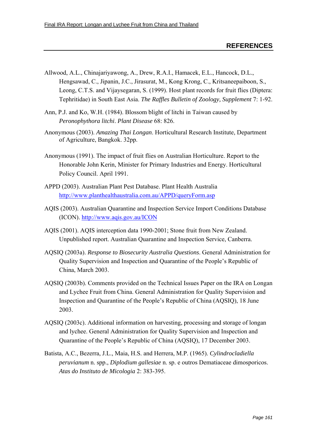- Allwood, A.L., Chinajariyawong, A., Drew, R.A.I., Hamacek, E.L., Hancock, D.L., Hengsawad, C., Jipanin, J.C., Jirasurat, M., Kong Krong, C., Kritsaneepaiboon, S., Leong, C.T.S. and Vijaysegaran, S. (1999). Host plant records for fruit flies (Diptera: Tephritidae) in South East Asia. *The Raffles Bulletin of Zoology, Supplement* 7: 1-92.
- Ann, P.J. and Ko, W.H. (1984). Blossom blight of litchi in Taiwan caused by *Peronophythora litchi*. *Plant Disease* 68: 826.
- Anonymous (2003). *Amazing Thai Longan*. Horticultural Research Institute, Department of Agriculture, Bangkok. 32pp.
- Anonymous (1991). The impact of fruit flies on Australian Horticulture. Report to the Honorable John Kerin, Minister for Primary Industries and Energy. Horticultural Policy Council. April 1991.
- APPD (2003). Australian Plant Pest Database. Plant Health Australia http://www.planthealthaustralia.com.au/APPD/queryForm.asp
- AQIS (2003). Australian Quarantine and Inspection Service Import Conditions Database (ICON). http://www.aqis.gov.au/ICON
- AQIS (2001). AQIS interception data 1990-2001; Stone fruit from New Zealand. Unpublished report. Australian Quarantine and Inspection Service, Canberra.
- AQSIQ (2003a). *Response to Biosecurity Australia Questions*. General Administration for Quality Supervision and Inspection and Quarantine of the People's Republic of China, March 2003.
- AQSIQ (2003b). Comments provided on the Technical Issues Paper on the IRA on Longan and Lychee Fruit from China. General Administration for Quality Supervision and Inspection and Quarantine of the People's Republic of China (AQSIQ), 18 June 2003.
- AQSIQ (2003c). Additional information on harvesting, processing and storage of longan and lychee. General Administration for Quality Supervision and Inspection and Quarantine of the People's Republic of China (AOSIO), 17 December 2003.
- Batista, A.C., Bezerra, J.L., Maia, H.S. and Herrera, M.P. (1965). *Cylindrocladiella peruvianum* n. spp., *Diplodium gallesiae* n. sp. e outros Dematiaceae dimosporicos. *Atas do Instituto de Micologia* 2: 383-395.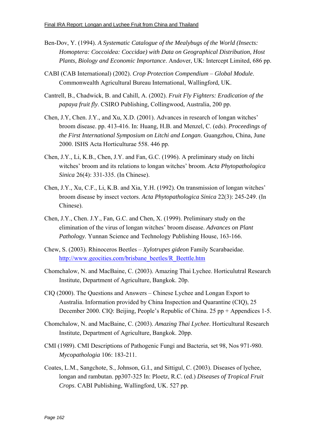- Ben-Dov, Y. (1994). *A Systematic Catalogue of the Mealybugs of the World (Insects: Homoptera: Coccoidea: Coccidae) with Data on Geographical Distribution, Host Plants, Biology and Economic Importance*. Andover, UK: Intercept Limited, 686 pp.
- CABI (CAB International) (2002). *Crop Protection Compendium Global Module*. Commonwealth Agricultural Bureau International, Wallingford, UK.
- Cantrell, B., Chadwick, B. and Cahill, A. (2002). *Fruit Fly Fighters: Eradication of the papaya fruit fly*. CSIRO Publishing, Collingwood, Australia, 200 pp.
- Chen, J.Y, Chen, J.Y., and Xu, X.D. (2001). Advances in research of longan witches<sup>7</sup> broom disease. pp. 413-416. In: Huang, H.B. and Menzel, C. (eds). *Proceedings of the First International Symposium on Litchi and Longan*. Guangzhou, China, June 2000. ISHS Acta Horticulturae 558. 446 pp.
- Chen, J.Y., Li, K.B., Chen, J.Y. and Fan, G.C. (1996). A preliminary study on litchi witches<sup>'</sup> broom and its relations to longan witches' broom. *Acta Phytopathologica Sinica* 26(4): 331-335. (In Chinese).
- Chen, J.Y., Xu, C.F., Li, K.B. and Xia, Y.H. (1992). On transmission of longan witches' broom disease by insect vectors. *Acta Phytopathologica Sinica* 22(3): 245-249. (In Chinese).
- Chen, J.Y., Chen. J.Y., Fan, G.C. and Chen, X. (1999). Preliminary study on the elimination of the virus of longan witches' broom disease. *Advances on Plant Pathology.* Yunnan Science and Technology Publishing House, 163-166.
- Chew, S. (2003). Rhinoceros Beetles *Xylotrupes gideon* Family Scarabaeidae. http://www.geocities.com/brisbane\_beetles/R\_Beettle.htm
- Chomchalow, N. and MacBaine, C. (2003). Amazing Thai Lychee. Horticulutral Research Institute, Department of Agriculture, Bangkok. 20p.
- CIQ (2000). The Questions and Answers Chinese Lychee and Longan Export to Australia. Information provided by China Inspection and Quarantine (CIQ), 25 December 2000. CIQ: Beijing, People's Republic of China.  $25$  pp + Appendices 1-5.
- Chomchalow, N. and MacBaine, C. (2003). *Amazing Thai Lychee*. Horticultural Research Institute, Department of Agriculture, Bangkok. 20pp.
- CMI (1989). CMI Descriptions of Pathogenic Fungi and Bacteria, set 98, Nos 971-980. *Mycopathologia* 106: 183-211.
- Coates, L.M., Sangchote, S., Johnson, G.I., and Sittigul, C. (2003). Diseases of lychee, longan and rambutan. pp307-325 In: Ploetz, R.C. (ed.) *Diseases of Tropical Fruit Crops*. CABI Publishing, Wallingford, UK. 527 pp.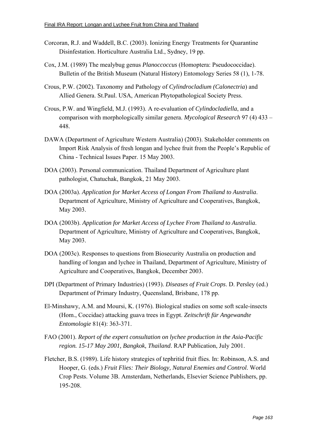- Corcoran, R.J. and Waddell, B.C. (2003). Ionizing Energy Treatments for Quarantine Disinfestation. Horticulture Australia Ltd., Sydney, 19 pp.
- Cox, J.M. (1989) The mealybug genus *Planoccoccus* (Homoptera: Pseudococcidae). Bulletin of the British Museum (Natural History) Entomology Series 58 (1), 1-78.
- Crous, P.W. (2002). Taxonomy and Pathology of *Cylindrocladium (Calonectria*) and Allied Genera. St.Paul. USA, American Phytopathological Society Press.
- Crous, P.W. and Wingfield, M.J. (1993). A re-evaluation of *Cylindocladiella*, and a comparison with morphologically similar genera. *Mycological Research* 97 (4) 433 – 448.
- DAWA (Department of Agriculture Western Australia) (2003). Stakeholder comments on Import Risk Analysis of fresh longan and lychee fruit from the People's Republic of China - Technical Issues Paper. 15 May 2003.
- DOA (2003). Personal communication. Thailand Department of Agriculture plant pathologist, Chatuchak, Bangkok, 21 May 2003.
- DOA (2003a). *Application for Market Access of Longan From Thailand to Australia*. Department of Agriculture, Ministry of Agriculture and Cooperatives, Bangkok, May 2003.
- DOA (2003b). *Application for Market Access of Lychee From Thailand to Australia*. Department of Agriculture, Ministry of Agriculture and Cooperatives, Bangkok, May 2003.
- DOA (2003c). Responses to questions from Biosecurity Australia on production and handling of longan and lychee in Thailand, Department of Agriculture, Ministry of Agriculture and Cooperatives, Bangkok, December 2003.
- DPI (Department of Primary Industries) (1993). *Diseases of Fruit Crops*. D. Persley (ed.) Department of Primary Industry, Queensland, Brisbane, 178 pp.
- El-Minshawy, A.M. and Moursi, K. (1976). Biological studies on some soft scale-insects (Hom., Coccidae) attacking guava trees in Egypt. *Zeitschrift für Angewandte Entomologie* 81(4): 363-371.
- FAO (2001). *Report of the expert consultation on lychee production in the Asia-Pacific region. 15-17 May 2001, Bangkok, Thailand*. RAP Publication, July 2001.
- Fletcher, B.S. (1989). Life history strategies of tephritid fruit flies. In: Robinson, A.S. and Hooper, G. (eds.) *Fruit Flies: Their Biology, Natural Enemies and Control*. World Crop Pests. Volume 3B. Amsterdam, Netherlands, Elsevier Science Publishers, pp. 195-208.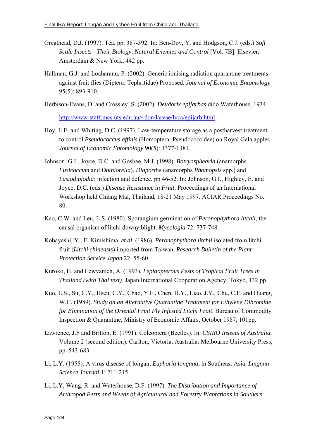- Greathead, D.J. (1997). Tea. pp. 387-392. In: Ben-Dov, Y. and Hodgson, C.J. (eds.) *Soft Scale Insects - Their Biology, Natural Enemies and Control* [Vol. 7B]. Elsevier, Amsterdam & New York, 442 pp.
- Hallman, G.J. and Loaharanu, P. (2002). Generic ionising radiation quarantine treatments against fruit flies (Diptera: Tephritidae) Proposed. *Journal of Economic Entomology* 95(5): 893-910.
- Herbison-Evans, D. and Crossley, S. (2002). *Deudorix epijarbas* dido Waterhouse, 1934

http://www-staff.mcs.uts.edu.au/~don/larvae/lyca/epijarb.html

- Hoy, L.E. and Whiting, D.C. (1997). Low-temperature storage as a postharvest treatment to control *Pseudococcus affinis* (Homoptera: Pseudococcidae) on Royal Gala apples. *Journal of Economic Entomology* 90(5): 1377-1381.
- Johnson, G.I., Joyce, D.C. and Gosbee, M.J. (1998). *Botryosphearia* (anamorphs *Fusicoccum* and *Dothiorella*), *Diaporthe* (anamorphs *Phomopsis* spp.) and *Lasiodiplodia*: infection and defence. pp 46-52. In: Johnson, G.I., Highley, E. and Joyce, D.C. (eds.) *Disease Resistance in Fruit*. Proceedings of an International Workshop held Chiang Mai, Thailand, 18-21 May 1997. ACIAR Proceedings No. 80.
- Kao, C.W. and Leu, L.S. (1980). Sporangium germination of *Peronophythora litchii*, the causal organism of litchi downy blight. *Mycologia* 72: 737-748.
- Kobayashi, Y., E. Kimishima, *et al*. (1986). *Peronophythora litchii* isolated from litchi fruit (*Litchi chinensis*) imported from Taiwan. *Research Bulletin of the Plant Protection Service Japan* 22: 55-60.
- Kuroko, H. and Lewvanich, A. (1993). *Lepidopterous Pests of Tropical Fruit Trees in Thailand (with Thai text)*. Japan International Cooperation Agency, Tokyo, 132 pp.
- Kuo, L.S., Su, C.Y., Hseu, C.Y., Chao, Y.F., Chen, H.Y., Liao, J.Y., Chu, C.F. and Huang, W.C. (1989). *Study on an Alternative Quarantine Treatment for Ethylene Dibromide for Elimination of the Oriental Fruit Fly Infested Litchi Fruit*. Bureau of Commodity Inspection & Quarantine, Ministry of Economic Affairs, October 1987, 101pp.
- Lawrence, J.F and Britton, E. (1991). Coleoptera (Beetles). In: *CSIRO Insects of Australia*. Volume 2 (second edition). Carlton, Victoria, Australia: Melbourne University Press, pp. 543-683.
- Li, L.Y. (1955). A virus disease of longan, *Euphoria longana*, in Southeast Asia. *Lingnan Science Journal* 1: 211-215.
- Li, L.Y, Wang, R. and Waterhouse, D.F. (1997). *The Distribution and Importance of Arthropod Pests and Weeds of Agricultural and Forestry Plantations in Southern*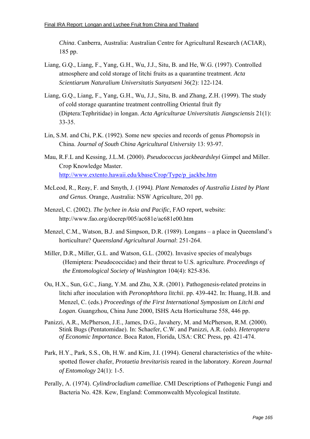*China*. Canberra, Australia: Australian Centre for Agricultural Research (ACIAR), 185 pp.

- Liang, G.Q., Liang, F., Yang, G.H., Wu, J.J., Situ, B. and He, W.G. (1997). Controlled atmosphere and cold storage of litchi fruits as a quarantine treatment. *Acta Scientiarum Naturalium Universitatis Sunyatseni* 36(2): 122-124.
- Liang, G.Q., Liang, F., Yang, G.H., Wu, J.J., Situ, B. and Zhang, Z.H. (1999). The study of cold storage quarantine treatment controlling Oriental fruit fly (Diptera:Tephritidae) in longan. *Acta Agriculturae Universitatis Jiangsciensis* 21(1): 33-35.
- Lin, S.M. and Chi, P.K. (1992). Some new species and records of genus *Phomopsis* in China. *Journal of South China Agricultural University* 13: 93-97.
- Mau, R.F.L and Kessing, J.L.M. (2000). *Pseudococcus jackbeardsleyi* Gimpel and Miller. Crop Knowledge Master. http://www.extento.hawaii.edu/kbase/Crop/Type/p\_jackbe.htm
- McLeod, R., Reay, F. and Smyth, J. (1994*). Plant Nematodes of Australia Listed by Plant and Genus*. Orange, Australia: NSW Agriculture, 201 pp.
- Menzel, C. (2002). *The lychee in Asia and Pacific*, FAO report, website: http://www.fao.org/docrep/005/ac681e/ac681e00.htm
- Menzel, C.M., Watson, B.J. and Simpson, D.R.  $(1989)$ . Longans a place in Queensland's horticulture? *Queensland Agricultural Journal*: 251-264.
- Miller, D.R., Miller, G.L. and Watson, G.L. (2002). Invasive species of mealybugs (Hemiptera: Pseudococcidae) and their threat to U.S. agriculture. *Proceedings of the Entomological Society of Washington* 104(4): 825-836.
- Ou, H.X., Sun, G.C., Jiang, Y.M. and Zhu, X.R. (2001). Pathogenesis-related proteins in litchi after inoculation with *Peronophthora litchii*. pp. 439-442. In: Huang, H.B. and Menzel, C. (eds.) *Proceedings of the First International Symposium on Litchi and Logan*. Guangzhou, China June 2000, ISHS Acta Horticulturae 558, 446 pp.
- Panizzi, A.R., McPherson, J.E., James, D.G., Javahery, M. and McPherson, R.M. (2000). Stink Bugs (Pentatomidae). In: Schaefer, C.W. and Panizzi, A.R. (eds). *Heteroptera of Economic Importance*. Boca Raton, Florida, USA: CRC Press, pp. 421-474.
- Park, H.Y., Park, S.S., Oh, H.W. and Kim, J.I. (1994). General characteristics of the whitespotted flower chafer, *Protaetia brevitarisis* reared in the laboratory. *Korean Journal of Entomology* 24(1): 1-5.
- Perally, A. (1974). *Cylindrocladium camelliae*. CMI Descriptions of Pathogenic Fungi and Bacteria No. 428. Kew, England: Commonwealth Mycological Institute.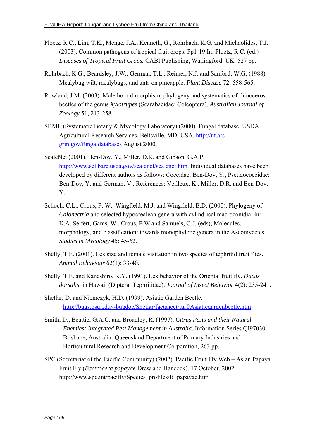- Ploetz, R.C., Lim, T.K., Menge, J.A., Kenneth, G., Rohrbach, K.G. and Michaolides, T.J. (2003). Common pathogens of tropical fruit crops. Pp1-19 In: Ploetz, R.C. (ed.) *Diseases of Tropical Fruit Crops.* CABI Publishing, Wallingford, UK. 527 pp.
- Rohrbach, K.G., Beardsley, J.W., German, T.L., Reimer, N.J. and Sanford, W.G. (1988). Mealybug wilt, mealybugs, and ants on pineapple. *Plant Disease* 72: 558-565.
- Rowland, J.M. (2003). Male horn dimorphism, phylogeny and systematics of rhinoceros beetles of the genus *Xylotrupes* (Scarabaeidae: Coleoptera). *Australian Journal of Zoology* 51, 213-258.
- SBML (Systematic Botany & Mycology Laboratory) (2000). Fungal database. USDA, Agricultural Research Services, Beltsville, MD, USA. http://nt.arsgrin.gov/fungaldatabases August 2000.
- ScaleNet (2001). Ben-Dov, Y., Miller, D.R. and Gibson, G.A.P. http://www.sel.barc.usda.gov/scalenet/scalenet.htm. Individual databases have been developed by different authors as follows: Coccidae: Ben-Dov, Y., Pseudococcidae: Ben-Dov, Y. and German, V., References: Veilleux, K., Miller, D.R. and Ben-Dov, Y.
- Schoch, C.L., Crous, P. W., Wingfield, M.J. and Wingfield, B.D. (2000). Phylogeny of *Calonectria* and selected hypocrealean genera with cylindrical macroconidia. In: K.A. Seifert, Gams, W., Crous, P.W and Samuels, G.J. (eds), Molecules, morphology, and classification: towards monophyletic genera in the Ascomycetes. *Studies in Mycology* 45: 45-62.
- Shelly, T.E. (2001). Lek size and female visitation in two species of tephritid fruit flies. *Animal Behaviour* 62(1): 33-40.
- Shelly, T.E. and Kaneshiro, K.Y. (1991). Lek behavior of the Oriental fruit fly, *Dacus dorsalis*, in Hawaii (Diptera: Tephritidae). *Journal of Insect Behavior* 4(2): 235-241.
- Shetlar, D. and Niemczyk, H.D. (1999). Asiatic Garden Beetle. http://bugs.osu.edu/~bugdoc/Shetlar/factsheet/turf/Asiaticgardenbeetle.htm
- Smith, D., Beattie, G.A.C. and Broadley, R. (1997). *Citrus Pests and their Natural Enemies: Integrated Pest Management in Australia*. Information Series QI97030. Brisbane, Australia: Queensland Department of Primary Industries and Horticultural Research and Development Corporation, 263 pp.
- SPC (Secretariat of the Pacific Community) (2002). Pacific Fruit Fly Web  $-$  Asian Papaya Fruit Fly (*Bactrocera papayae* Drew and Hancock). 17 October, 2002. http://www.spc.int/pacifly/Species\_profiles/B\_papayae.htm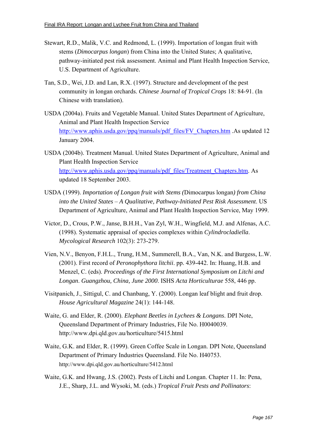- Stewart, R.D., Malik, V.C. and Redmond, L. (1999). Importation of longan fruit with stems (*Dimocarpus longan*) from China into the United States; A qualitative, pathway-initiated pest risk assessment. Animal and Plant Health Inspection Service, U.S. Department of Agriculture.
- Tan, S.D., Wei, J.D. and Lan, R.X. (1997). Structure and development of the pest community in longan orchards. *Chinese Journal of Tropical Crops* 18: 84-91. (In Chinese with translation).
- USDA (2004a). Fruits and Vegetable Manual. United States Department of Agriculture, Animal and Plant Health Inspection Service http://www.aphis.usda.gov/ppq/manuals/pdf\_files/FV\_Chapters.htm .As updated 12 January 2004.
- USDA (2004b). Treatment Manual. United States Department of Agriculture, Animal and Plant Health Inspection Service http://www.aphis.usda.gov/ppq/manuals/pdf\_files/Treatment\_Chapters.htm. As updated 18 September 2003.
- USDA (1999). *Importation of Longan fruit with Stems (*Dimocarpus longan*) from China into the United States – A Qualitative, Pathway-Initiated Pest Risk Assessment.* US Department of Agriculture, Animal and Plant Health Inspection Service, May 1999.
- Victor, D., Crous, P.W., Janse, B.H.H., Van Zyl, W.H., Wingfield, M.J. and Alfenas, A.C. (1998). Systematic appraisal of species complexes within *Cylindrocladiella*. *Mycological Research* 102(3): 273-279.
- Vien, N.V., Benyon, F.H.L., Trung, H.M., Summerell, B.A., Van, N.K. and Burgess, L.W. (2001). First record of *Peronophythora litchii*. pp. 439-442. In: Huang, H.B. and Menzel, C. (eds). *Proceedings of the First International Symposium on Litchi and Longan*. *Guangzhou, China, June 2000*. ISHS *Acta Horticulturae* 558, 446 pp.
- Visitpanich, J., Sittigul, C. and Chanbang, Y. (2000). Longan leaf blight and fruit drop. *House Agricultural Magazine* 24(1): 144-148.
- Waite, G. and Elder, R. (2000). *Elephant Beetles in Lychees & Longans*. DPI Note, Queensland Department of Primary Industries, File No. H0040039. http://www.dpi.qld.gov.au/horticulture/5415.html
- Waite, G.K. and Elder, R. (1999). Green Coffee Scale in Longan. DPI Note, Queensland Department of Primary Industries Queensland. File No. H40753. http://www.dpi.qld.gov.au/horticulture/5412.html
- Waite, G.K. and Hwang, J.S. (2002). Pests of Litchi and Longan. Chapter 11. In: Pena, J.E., Sharp, J.L. and Wysoki, M. (eds.) *Tropical Fruit Pests and Pollinators*: